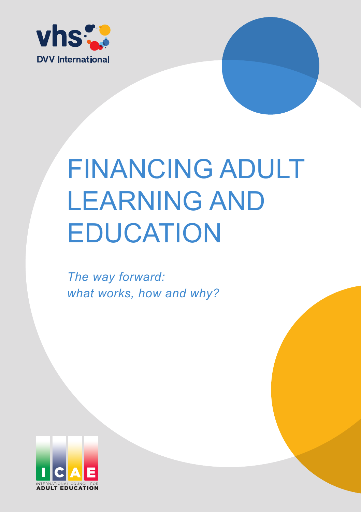

# **EDUCATION FINANCING ADULT** LEARNING AND

The way forward: *what works, how and why?* 

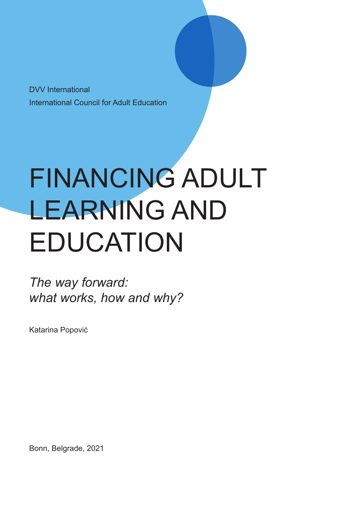DVV International International Council for Adult Education

# FINANCING ADULT LEARNING AND EDUCATION

*The way forward: what works, how and why?*

Katarina Popović

Bonn, Belgrade, 2021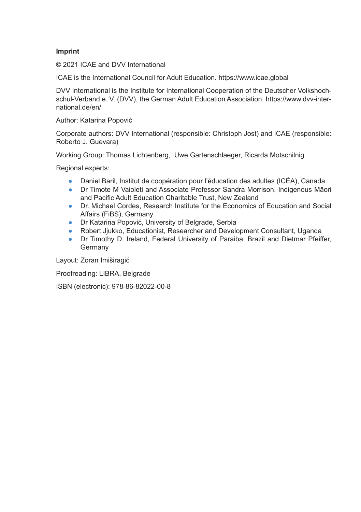#### **Imprint**

© 2021 ICAE and DVV International

ICAE is the International Council for Adult Education. https://www.icae.global

DVV International is the Institute for International Cooperation of the Deutscher Volkshochschul-Verband e. V. (DVV), the German Adult Education Association. https://www.dvv-international.de/en/

Author: Katarina Popović

Corporate authors: DVV International (responsible: Christoph Jost) and ICAE (responsible: Roberto J. Guevara)

Working Group: Thomas Lichtenberg, Uwe Gartenschlaeger, Ricarda Motschilnig

Regional experts:

- Daniel Baril, Institut de coopération pour l'éducation des adultes (ICÉA), Canada
- Dr Timote M Vaioleti and Associate Professor Sandra Morrison, Indigenous Māori and Pacific Adult Education Charitable Trust, New Zealand
- Dr. Michael Cordes, Research Institute for the Economics of Education and Social Affairs (FiBS), Germany
- Dr Katarina Popović, University of Belgrade, Serbia
- Robert Jjukko, Educationist, Researcher and Development Consultant, Uganda
- Dr Timothy D. Ireland, Federal University of Paraiba, Brazil and Dietmar Pfeiffer, Germany

Layout: Zoran Imiširagić

Proofreading: LIBRA, Belgrade

ISBN (electronic): 978-86-82022-00-8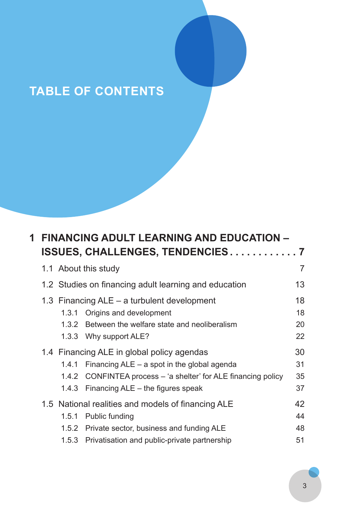# **TABLE OF CONTENTS**

| 1. | <b>FINANCING ADULT LEARNING AND EDUCATION -</b>       |       |                                                                |    |  |  |
|----|-------------------------------------------------------|-------|----------------------------------------------------------------|----|--|--|
|    |                                                       |       | ISSUES, CHALLENGES, TENDENCIES7                                |    |  |  |
|    |                                                       |       | 1.1 About this study                                           | 7  |  |  |
|    | 1.2 Studies on financing adult learning and education |       |                                                                |    |  |  |
|    |                                                       |       | 1.3 Financing ALE – a turbulent development                    | 18 |  |  |
|    |                                                       | 1.3.1 | Origins and development                                        | 18 |  |  |
|    |                                                       | 1.3.2 | Between the welfare state and neoliberalism                    | 20 |  |  |
|    |                                                       |       | 1.3.3 Why support ALE?                                         | 22 |  |  |
|    |                                                       |       | 1.4 Financing ALE in global policy agendas                     | 30 |  |  |
|    |                                                       | 1.4.1 | Financing $ALE - a$ spot in the global agenda                  | 31 |  |  |
|    |                                                       |       | 1.4.2 CONFINTEA process – 'a shelter' for ALE financing policy | 35 |  |  |
|    |                                                       | 1.4.3 | Financing ALE – the figures speak                              | 37 |  |  |
|    |                                                       |       | 1.5 National realities and models of financing ALE             | 42 |  |  |
|    |                                                       |       | 1.5.1 Public funding                                           | 44 |  |  |
|    |                                                       |       | 1.5.2 Private sector, business and funding ALE                 | 48 |  |  |
|    |                                                       |       | 1.5.3 Privatisation and public-private partnership             | 51 |  |  |
|    |                                                       |       |                                                                |    |  |  |

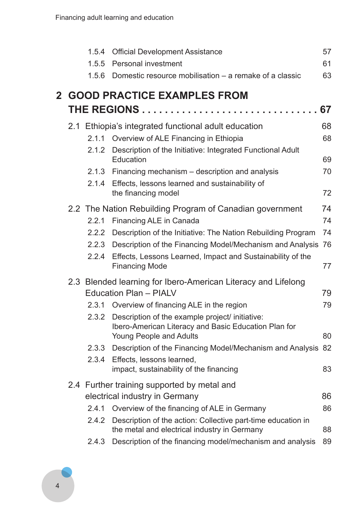|                | 1.5.4 | <b>Official Development Assistance</b>                                                                                                   | 57 |
|----------------|-------|------------------------------------------------------------------------------------------------------------------------------------------|----|
|                | 1.5.5 | Personal investment                                                                                                                      | 61 |
|                |       | 1.5.6 Domestic resource mobilisation – a remake of a classic                                                                             | 63 |
| $\overline{2}$ |       | <b>GOOD PRACTICE EXAMPLES FROM</b>                                                                                                       |    |
|                |       | <b>THE REGIONS</b>                                                                                                                       | 67 |
|                |       | 2.1 Ethiopia's integrated functional adult education                                                                                     | 68 |
|                |       | 2.1.1 Overview of ALE Financing in Ethiopia                                                                                              | 68 |
|                | 2.1.2 | Description of the Initiative: Integrated Functional Adult<br>Education                                                                  | 69 |
|                |       | 2.1.3 Financing mechanism - description and analysis                                                                                     | 70 |
|                |       | 2.1.4 Effects, lessons learned and sustainability of<br>the financing model                                                              | 72 |
|                |       | 2.2 The Nation Rebuilding Program of Canadian government                                                                                 | 74 |
|                |       | 2.2.1 Financing ALE in Canada                                                                                                            | 74 |
|                | 2.2.2 | Description of the Initiative: The Nation Rebuilding Program                                                                             | 74 |
|                | 2.2.3 | Description of the Financing Model/Mechanism and Analysis                                                                                | 76 |
|                | 2.2.4 | Effects, Lessons Learned, Impact and Sustainability of the<br><b>Financing Mode</b>                                                      | 77 |
|                |       | 2.3 Blended learning for Ibero-American Literacy and Lifelong<br>Education Plan - PIALV                                                  | 79 |
|                |       | 2.3.1 Overview of financing ALE in the region                                                                                            | 79 |
|                |       | 2.3.2 Description of the example project/ initiative:<br>Ibero-American Literacy and Basic Education Plan for<br>Young People and Adults | 80 |
|                |       | 2.3.3 Description of the Financing Model/Mechanism and Analysis                                                                          | 82 |
|                |       | 2.3.4 Effects, lessons learned,<br>impact, sustainability of the financing                                                               | 83 |
|                |       | 2.4 Further training supported by metal and                                                                                              |    |
|                |       | electrical industry in Germany                                                                                                           | 86 |
|                |       | 2.4.1 Overview of the financing of ALE in Germany                                                                                        | 86 |
|                | 2.4.2 | Description of the action: Collective part-time education in<br>the metal and electrical industry in Germany                             | 88 |
|                | 2.4.3 | Description of the financing model/mechanism and analysis                                                                                | 89 |

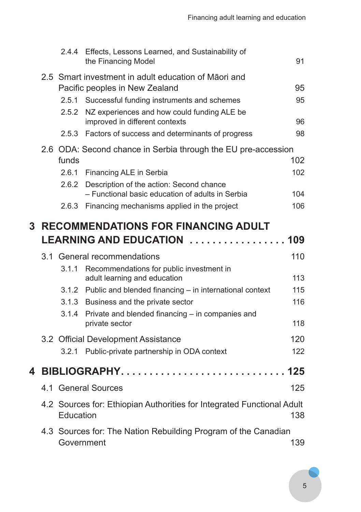|   |                                                                | 2.4.4                                                                  | Effects, Lessons Learned, and Sustainability of<br>the Financing Model        | 91  |  |
|---|----------------------------------------------------------------|------------------------------------------------------------------------|-------------------------------------------------------------------------------|-----|--|
|   |                                                                |                                                                        | 2.5 Smart investment in adult education of Māori and                          |     |  |
|   |                                                                |                                                                        | Pacific peoples in New Zealand                                                | 95  |  |
|   |                                                                | 2.5.1                                                                  | Successful funding instruments and schemes                                    | 95  |  |
|   |                                                                | 2.5.2                                                                  | NZ experiences and how could funding ALE be<br>improved in different contexts | 96  |  |
|   |                                                                | 2.5.3                                                                  | Factors of success and determinants of progress                               | 98  |  |
|   |                                                                | 2.6 ODA: Second chance in Serbia through the EU pre-accession          |                                                                               |     |  |
|   |                                                                | funds                                                                  |                                                                               | 102 |  |
|   |                                                                | 2.6.1                                                                  | Financing ALE in Serbia                                                       | 102 |  |
|   |                                                                | 2.6.2                                                                  | Description of the action: Second chance                                      |     |  |
|   |                                                                |                                                                        | - Functional basic education of adults in Serbia                              | 104 |  |
|   |                                                                | 2.6.3                                                                  | Financing mechanisms applied in the project                                   | 106 |  |
| 3 |                                                                |                                                                        | <b>RECOMMENDATIONS FOR FINANCING ADULT</b>                                    |     |  |
|   |                                                                |                                                                        | LEARNING AND EDUCATION  109                                                   |     |  |
|   |                                                                |                                                                        | 3.1 General recommendations                                                   | 110 |  |
|   |                                                                | 3.1.1                                                                  | Recommendations for public investment in<br>adult learning and education      | 113 |  |
|   |                                                                | 3.1.2                                                                  | Public and blended financing - in international context                       | 115 |  |
|   |                                                                |                                                                        | 3.1.3 Business and the private sector                                         | 116 |  |
|   |                                                                | 3.1.4                                                                  | Private and blended financing - in companies and                              |     |  |
|   |                                                                |                                                                        | private sector                                                                | 118 |  |
|   |                                                                |                                                                        | 3.2 Official Development Assistance                                           | 120 |  |
|   |                                                                | 3.2.1                                                                  | Public-private partnership in ODA context                                     | 122 |  |
| 4 |                                                                |                                                                        | <b>BIBLIOGRAPHY</b><br>.                                                      | 125 |  |
|   |                                                                |                                                                        | 4.1 General Sources                                                           | 125 |  |
|   |                                                                | 4.2 Sources for: Ethiopian Authorities for Integrated Functional Adult |                                                                               |     |  |
|   | Education                                                      |                                                                        |                                                                               | 138 |  |
|   | 4.3 Sources for: The Nation Rebuilding Program of the Canadian |                                                                        |                                                                               |     |  |
|   |                                                                |                                                                        |                                                                               | 139 |  |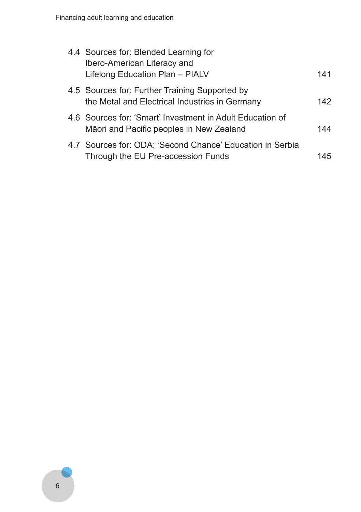| 4.4 Sources for: Blended Learning for<br>Ibero-American Literacy and<br>Lifelong Education Plan - PIALV | 141 |
|---------------------------------------------------------------------------------------------------------|-----|
| 4.5 Sources for: Further Training Supported by<br>the Metal and Electrical Industries in Germany        | 142 |
| 4.6 Sources for: 'Smart' Investment in Adult Education of<br>Māori and Pacific peoples in New Zealand   | 144 |
| 4.7 Sources for: ODA: 'Second Chance' Education in Serbia<br>Through the EU Pre-accession Funds         | 145 |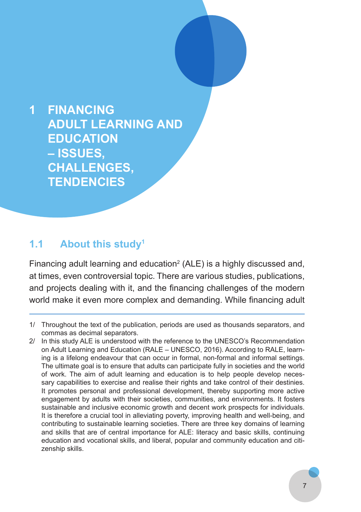**1 FINANCING ADULT LEARNING AND EDUCATION – ISSUES, CHALLENGES, TENDENCIES**

#### **1.1 About this study1**

Financing adult learning and education<sup>2</sup> (ALE) is a highly discussed and, at times, even controversial topic. There are various studies, publications, and projects dealing with it, and the financing challenges of the modern world make it even more complex and demanding. While financing adult

- 1/ Throughout the text of the publication, periods are used as thousands separators, and commas as decimal separators.
- 2/ In this study ALE is understood with the reference to the UNESCO's Recommendation on Adult Learning and Education (RALE – UNESCO, 2016). According to RALE, learning is a lifelong endeavour that can occur in formal, non-formal and informal settings. The ultimate goal is to ensure that adults can participate fully in societies and the world of work. The aim of adult learning and education is to help people develop necessary capabilities to exercise and realise their rights and take control of their destinies. It promotes personal and professional development, thereby supporting more active engagement by adults with their societies, communities, and environments. It fosters sustainable and inclusive economic growth and decent work prospects for individuals. It is therefore a crucial tool in alleviating poverty, improving health and well-being, and contributing to sustainable learning societies. There are three key domains of learning and skills that are of central importance for ALE: literacy and basic skills, continuing education and vocational skills, and liberal, popular and community education and citizenship skills.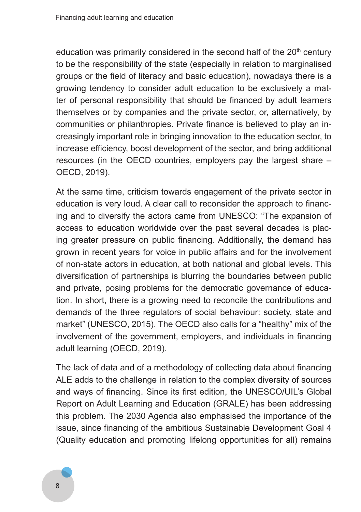education was primarily considered in the second half of the  $20<sup>th</sup>$  century to be the responsibility of the state (especially in relation to marginalised groups or the field of literacy and basic education), nowadays there is a growing tendency to consider adult education to be exclusively a matter of personal responsibility that should be financed by adult learners themselves or by companies and the private sector, or, alternatively, by communities or philanthropies. Private finance is believed to play an increasingly important role in bringing innovation to the education sector, to increase efficiency, boost development of the sector, and bring additional resources (in the OECD countries, employers pay the largest share – OECD, 2019).

At the same time, criticism towards engagement of the private sector in education is very loud. A clear call to reconsider the approach to financing and to diversify the actors came from UNESCO: "The expansion of access to education worldwide over the past several decades is placing greater pressure on public financing. Additionally, the demand has grown in recent years for voice in public affairs and for the involvement of non-state actors in education, at both national and global levels. This diversification of partnerships is blurring the boundaries between public and private, posing problems for the democratic governance of education. In short, there is a growing need to reconcile the contributions and demands of the three regulators of social behaviour: society, state and market" (UNESCO, 2015). The OECD also calls for a "healthy" mix of the involvement of the government, employers, and individuals in financing adult learning (OECD, 2019).

The lack of data and of a methodology of collecting data about financing ALE adds to the challenge in relation to the complex diversity of sources and ways of financing. Since its first edition, the UNESCO/UIL's Global Report on Adult Learning and Education (GRALE) has been addressing this problem. The 2030 Agenda also emphasised the importance of the issue, since financing of the ambitious Sustainable Development Goal 4 (Quality education and promoting lifelong opportunities for all) remains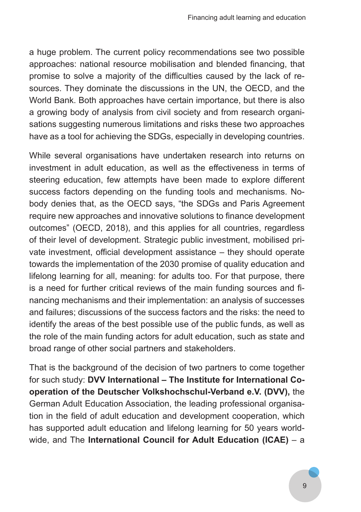a huge problem. The current policy recommendations see two possible approaches: national resource mobilisation and blended financing, that promise to solve a majority of the difficulties caused by the lack of resources. They dominate the discussions in the UN, the OECD, and the World Bank. Both approaches have certain importance, but there is also a growing body of analysis from civil society and from research organisations suggesting numerous limitations and risks these two approaches have as a tool for achieving the SDGs, especially in developing countries.

While several organisations have undertaken research into returns on investment in adult education, as well as the effectiveness in terms of steering education, few attempts have been made to explore different success factors depending on the funding tools and mechanisms. Nobody denies that, as the OECD says, "the SDGs and Paris Agreement require new approaches and innovative solutions to finance development outcomes" (OECD, 2018), and this applies for all countries, regardless of their level of development. Strategic public investment, mobilised private investment, official development assistance – they should operate towards the implementation of the 2030 promise of quality education and lifelong learning for all, meaning: for adults too. For that purpose, there is a need for further critical reviews of the main funding sources and financing mechanisms and their implementation: an analysis of successes and failures; discussions of the success factors and the risks: the need to identify the areas of the best possible use of the public funds, as well as the role of the main funding actors for adult education, such as state and broad range of other social partners and stakeholders.

That is the background of the decision of two partners to come together for such study: **DVV International – The Institute for International Cooperation of the Deutscher Volkshochschul-Verband e.V. (DVV),** the German Adult Education Association, the leading professional organisation in the field of adult education and development cooperation, which has supported adult education and lifelong learning for 50 years worldwide, and The **International Council for Adult Education (ICAE)** – a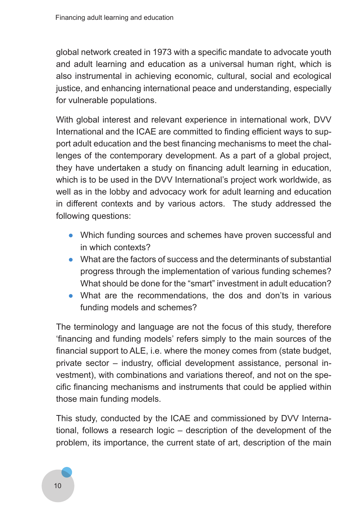global network created in 1973 with a specific mandate to advocate youth and adult learning and education as a universal human right, which is also instrumental in achieving economic, cultural, social and ecological justice, and enhancing international peace and understanding, especially for vulnerable populations.

With global interest and relevant experience in international work, DVV International and the ICAE are committed to finding efficient ways to support adult education and the best financing mechanisms to meet the challenges of the contemporary development. As a part of a global project, they have undertaken a study on financing adult learning in education, which is to be used in the DVV International's project work worldwide, as well as in the lobby and advocacy work for adult learning and education in different contexts and by various actors. The study addressed the following questions:

- Which funding sources and schemes have proven successful and in which contexts?
- What are the factors of success and the determinants of substantial progress through the implementation of various funding schemes? What should be done for the "smart" investment in adult education?
- What are the recommendations, the dos and don'ts in various funding models and schemes?

The terminology and language are not the focus of this study, therefore 'financing and funding models' refers simply to the main sources of the financial support to ALE, i.e. where the money comes from (state budget, private sector – industry, official development assistance, personal investment), with combinations and variations thereof, and not on the specific financing mechanisms and instruments that could be applied within those main funding models.

This study, conducted by the ICAE and commissioned by DVV International, follows a research logic – description of the development of the problem, its importance, the current state of art, description of the main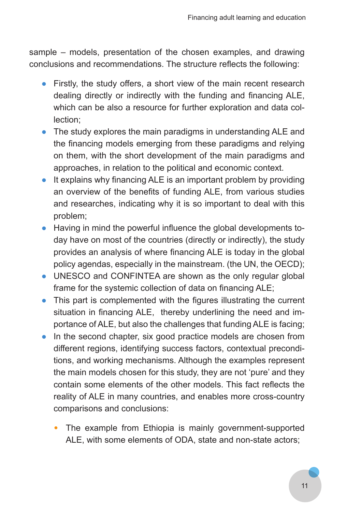sample – models, presentation of the chosen examples, and drawing conclusions and recommendations. The structure reflects the following:

- Firstly, the study offers, a short view of the main recent research dealing directly or indirectly with the funding and financing ALE, which can be also a resource for further exploration and data collection;
- The study explores the main paradigms in understanding ALE and the financing models emerging from these paradigms and relying on them, with the short development of the main paradigms and approaches, in relation to the political and economic context.
- It explains why financing ALE is an important problem by providing an overview of the benefits of funding ALE, from various studies and researches, indicating why it is so important to deal with this problem;
- Having in mind the powerful influence the global developments today have on most of the countries (directly or indirectly), the study provides an analysis of where financing ALE is today in the global policy agendas, especially in the mainstream. (the UN, the OECD);
- UNESCO and CONFINTEA are shown as the only regular global frame for the systemic collection of data on financing ALE;
- This part is complemented with the figures illustrating the current situation in financing ALE, thereby underlining the need and importance of ALE, but also the challenges that funding ALE is facing;
- In the second chapter, six good practice models are chosen from different regions, identifying success factors, contextual preconditions, and working mechanisms. Although the examples represent the main models chosen for this study, they are not 'pure' and they contain some elements of the other models. This fact reflects the reality of ALE in many countries, and enables more cross-country comparisons and conclusions:
	- The example from Ethiopia is mainly government-supported ALE, with some elements of ODA, state and non-state actors;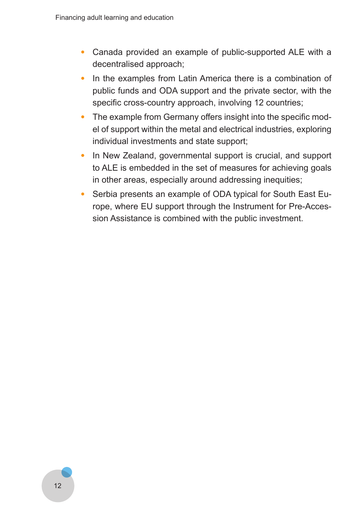- Canada provided an example of public-supported ALE with a decentralised approach;
- In the examples from Latin America there is a combination of public funds and ODA support and the private sector, with the specific cross-country approach, involving 12 countries;
- The example from Germany offers insight into the specific model of support within the metal and electrical industries, exploring individual investments and state support;
- In New Zealand, governmental support is crucial, and support to ALE is embedded in the set of measures for achieving goals in other areas, especially around addressing inequities;
- Serbia presents an example of ODA typical for South East Europe, where EU support through the Instrument for Pre-Accession Assistance is combined with the public investment.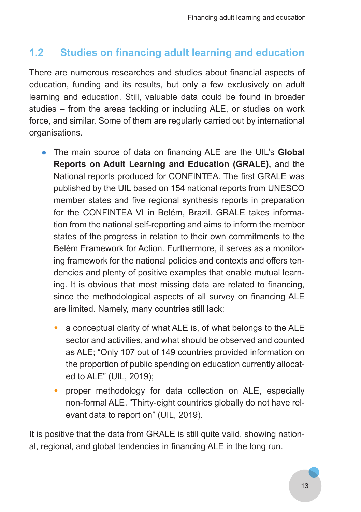## **1.2 Studies on financing adult learning and education**

There are numerous researches and studies about financial aspects of education, funding and its results, but only a few exclusively on adult learning and education. Still, valuable data could be found in broader studies – from the areas tackling or including ALE, or studies on work force, and similar. Some of them are regularly carried out by international organisations.

- The main source of data on financing ALE are the UIL's **Global Reports on Adult Learning and Education (GRALE),** and the National reports produced for CONFINTEA. The first GRALE was published by the UIL based on 154 national reports from UNESCO member states and five regional synthesis reports in preparation for the CONFINTEA VI in Belém, Brazil. GRALE takes information from the national self-reporting and aims to inform the member states of the progress in relation to their own commitments to the Belém Framework for Action. Furthermore, it serves as a monitoring framework for the national policies and contexts and offers tendencies and plenty of positive examples that enable mutual learning. It is obvious that most missing data are related to financing, since the methodological aspects of all survey on financing ALE are limited. Namely, many countries still lack:
	- a conceptual clarity of what ALE is, of what belongs to the ALE sector and activities, and what should be observed and counted as ALE; "Only 107 out of 149 countries provided information on the proportion of public spending on education currently allocated to ALE" (UIL, 2019);
	- proper methodology for data collection on ALE, especially non-formal ALE. "Thirty-eight countries globally do not have relevant data to report on" (UIL, 2019).

It is positive that the data from GRALE is still quite valid, showing national, regional, and global tendencies in financing ALE in the long run.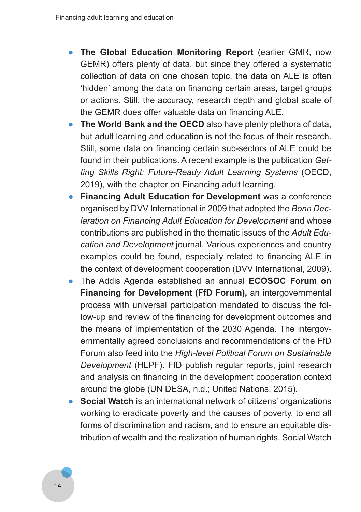- **The Global Education Monitoring Report** (earlier GMR, now GEMR) offers plenty of data, but since they offered a systematic collection of data on one chosen topic, the data on ALE is often 'hidden' among the data on financing certain areas, target groups or actions. Still, the accuracy, research depth and global scale of the GEMR does offer valuable data on financing ALE.
- **The World Bank and the OECD** also have plenty plethora of data, but adult learning and education is not the focus of their research. Still, some data on financing certain sub-sectors of ALE could be found in their publications. A recent example is the publication *Get‑ ting Skills Right: Future‑Ready Adult Learning Systems* (OECD, 2019), with the chapter on Financing adult learning.
- **Financing Adult Education for Development** was a conference organised by DVV International in 2009 that adopted the *Bonn Dec‑ laration on Financing Adult Education for Development* and whose contributions are published in the thematic issues of the *Adult Edu‑ cation and Development* journal. Various experiences and country examples could be found, especially related to financing ALE in the context of development cooperation (DVV International, 2009).
- The Addis Agenda established an annual **ECOSOC Forum on Financing for Development (FfD Forum),** an intergovernmental process with universal participation mandated to discuss the follow-up and review of the financing for development outcomes and the means of implementation of the 2030 Agenda. The intergovernmentally agreed conclusions and recommendations of the FfD Forum also feed into the *High-level Political Forum on Sustainable Development* (HLPF). FfD publish regular reports, joint research and analysis on financing in the development cooperation context around the globe (UN DESA, n.d.; United Nations, 2015).
- **Social Watch** is an international network of citizens' organizations working to eradicate poverty and the causes of poverty, to end all forms of discrimination and racism, and to ensure an equitable distribution of wealth and the realization of human rights. Social Watch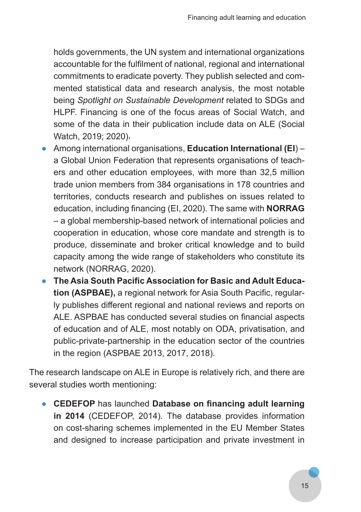holds governments, the UN system and international organizations accountable for the fulfilment of national, regional and international commitments to eradicate poverty. They publish selected and commented statistical data and research analysis, the most notable being *Spotlight on Sustainable Development* related to SDGs and HLPF. Financing is one of the focus areas of Social Watch, and some of the data in their publication include data on ALE (Social Watch, 2019; 2020) .

- Among international organisations, **Education International (EI**) a Global Union Federation that represents organisations of teachers and other education employees, with more than 32,5 million trade union members from 384 organisations in 178 countries and territories, conducts research and publishes on issues related to education, including financing (EI, 2020). The same with **NORRAG** – a global membership-based network of international policies and cooperation in education, whose core mandate and strength is to produce, disseminate and broker critical knowledge and to build capacity among the wide range of stakeholders who constitute its network (NORRAG, 2020).
- **The Asia South Pacific Association for Basic and Adult Education (ASPBAE),** a regional network for Asia South Pacific, regularly publishes different regional and national reviews and reports on ALE. ASPBAE has conducted several studies on financial aspects of education and of ALE, most notably on ODA, privatisation, and public-private-partnership in the education sector of the countries in the region (ASPBAE 2013, 2017, 2018).

The research landscape on ALE in Europe is relatively rich, and there are several studies worth mentioning:

● **CEDEFOP** has launched **Database on financing adult learning in 2014** (CEDEFOP, 2014)*.* The database provides information on cost-sharing schemes implemented in the EU Member States and designed to increase participation and private investment in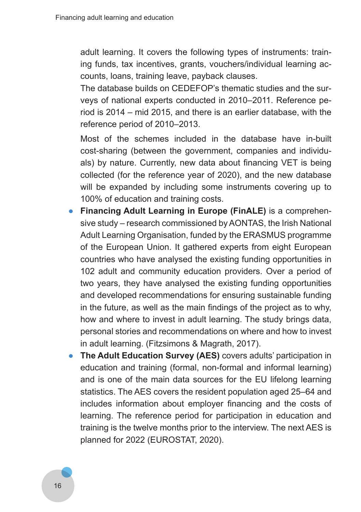adult learning. It covers the following types of instruments: training funds, tax incentives, grants, vouchers/individual learning accounts, loans, training leave, payback clauses.

The database builds on CEDEFOP's thematic studies and the surveys of national experts conducted in 2010–2011. Reference period is 2014 – mid 2015, and there is an earlier database, with the reference period of 2010–2013.

Most of the schemes included in the database have in-built cost-sharing (between the government, companies and individuals) by nature. Currently, new data about financing VET is being collected (for the reference year of 2020), and the new database will be expanded by including some instruments covering up to 100% of education and training costs.

- **Financing Adult Learning in Europe (FinALE)** is a comprehensive study – research commissioned by AONTAS, the Irish National Adult Learning Organisation, funded by the ERASMUS programme of the European Union. It gathered experts from eight European countries who have analysed the existing funding opportunities in 102 adult and community education providers. Over a period of two years, they have analysed the existing funding opportunities and developed recommendations for ensuring sustainable funding in the future, as well as the main findings of the project as to why, how and where to invest in adult learning. The study brings data, personal stories and recommendations on where and how to invest in adult learning. (Fitzsimons & Magrath, 2017).
- **The Adult Education Survey (AES)** covers adults' participation in education and training (formal, non-formal and informal learning) and is one of the main data sources for the EU lifelong learning statistics. The AES covers the resident population aged 25–64 and includes information about employer financing and the costs of learning. The reference period for participation in education and training is the twelve months prior to the interview. The next AES is planned for 2022 (EUROSTAT, 2020).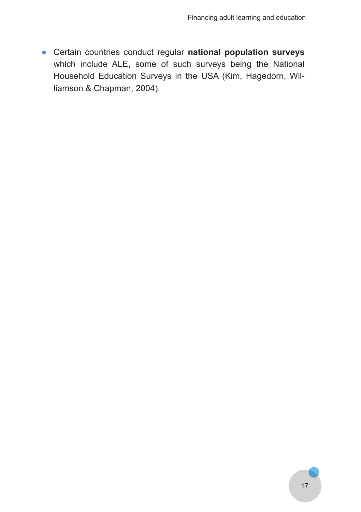● Certain countries conduct regular **national population surveys** which include ALE, some of such surveys being the National Household Education Surveys in the USA (Kim, Hagedorn, Williamson & Chapman, 2004).

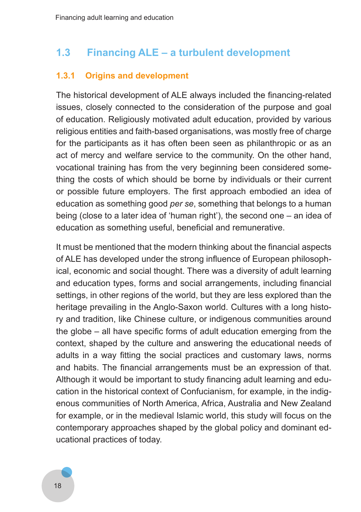## **1.3 Financing ALE – a turbulent development**

#### **1.3.1 Origins and development**

The historical development of ALE always included the financing-related issues, closely connected to the consideration of the purpose and goal of education. Religiously motivated adult education, provided by various religious entities and faith-based organisations, was mostly free of charge for the participants as it has often been seen as philanthropic or as an act of mercy and welfare service to the community. On the other hand, vocational training has from the very beginning been considered something the costs of which should be borne by individuals or their current or possible future employers. The first approach embodied an idea of education as something good *per se*, something that belongs to a human being (close to a later idea of 'human right'), the second one – an idea of education as something useful, beneficial and remunerative.

It must be mentioned that the modern thinking about the financial aspects of ALE has developed under the strong influence of European philosophical, economic and social thought. There was a diversity of adult learning and education types, forms and social arrangements, including financial settings, in other regions of the world, but they are less explored than the heritage prevailing in the Anglo-Saxon world. Cultures with a long history and tradition, like Chinese culture, or indigenous communities around the globe – all have specific forms of adult education emerging from the context, shaped by the culture and answering the educational needs of adults in a way fitting the social practices and customary laws, norms and habits. The financial arrangements must be an expression of that. Although it would be important to study financing adult learning and education in the historical context of Confucianism, for example, in the indigenous communities of North America, Africa, Australia and New Zealand for example, or in the medieval Islamic world, this study will focus on the contemporary approaches shaped by the global policy and dominant educational practices of today.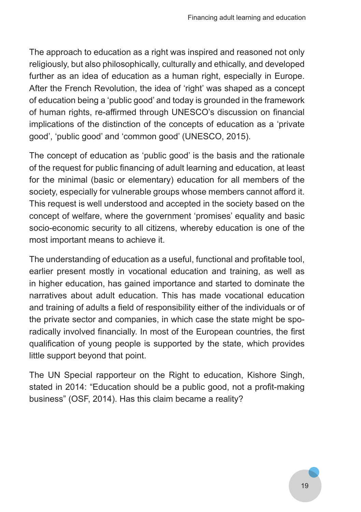The approach to education as a right was inspired and reasoned not only religiously, but also philosophically, culturally and ethically, and developed further as an idea of education as a human right, especially in Europe. After the French Revolution, the idea of 'right' was shaped as a concept of education being a 'public good' and today is grounded in the framework of human rights, re-affirmed through UNESCO's discussion on financial implications of the distinction of the concepts of education as a 'private good', 'public good' and 'common good' (UNESCO, 2015).

The concept of education as 'public good' is the basis and the rationale of the request for public financing of adult learning and education, at least for the minimal (basic or elementary) education for all members of the society, especially for vulnerable groups whose members cannot afford it. This request is well understood and accepted in the society based on the concept of welfare, where the government 'promises' equality and basic socio-economic security to all citizens, whereby education is one of the most important means to achieve it.

The understanding of education as a useful, functional and profitable tool, earlier present mostly in vocational education and training, as well as in higher education, has gained importance and started to dominate the narratives about adult education. This has made vocational education and training of adults a field of responsibility either of the individuals or of the private sector and companies, in which case the state might be sporadically involved financially. In most of the European countries, the first qualification of young people is supported by the state, which provides little support beyond that point.

The UN Special rapporteur on the Right to education, Kishore Singh, stated in 2014: "Education should be a public good, not a profit-making business" (OSF, 2014). Has this claim became a reality?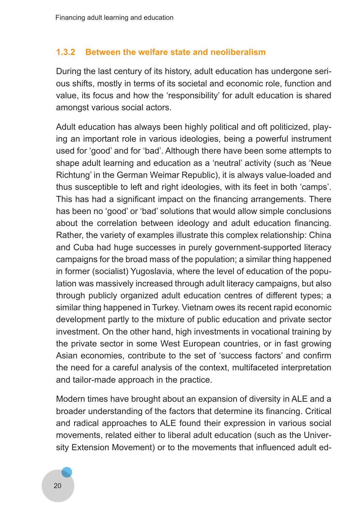#### **1.3.2 Between the welfare state and neoliberalism**

During the last century of its history, adult education has undergone serious shifts, mostly in terms of its societal and economic role, function and value, its focus and how the 'responsibility' for adult education is shared amongst various social actors.

Adult education has always been highly political and oft politicized, playing an important role in various ideologies, being a powerful instrument used for 'good' and for 'bad'. Although there have been some attempts to shape adult learning and education as a 'neutral' activity (such as 'Neue Richtung' in the German Weimar Republic), it is always value-loaded and thus susceptible to left and right ideologies, with its feet in both 'camps'. This has had a significant impact on the financing arrangements. There has been no 'good' or 'bad' solutions that would allow simple conclusions about the correlation between ideology and adult education financing. Rather, the variety of examples illustrate this complex relationship: China and Cuba had huge successes in purely government-supported literacy campaigns for the broad mass of the population; a similar thing happened in former (socialist) Yugoslavia, where the level of education of the population was massively increased through adult literacy campaigns, but also through publicly organized adult education centres of different types; a similar thing happened in Turkey. Vietnam owes its recent rapid economic development partly to the mixture of public education and private sector investment. On the other hand, high investments in vocational training by the private sector in some West European countries, or in fast growing Asian economies, contribute to the set of 'success factors' and confirm the need for a careful analysis of the context, multifaceted interpretation and tailor-made approach in the practice.

Modern times have brought about an expansion of diversity in ALE and a broader understanding of the factors that determine its financing. Critical and radical approaches to ALE found their expression in various social movements, related either to liberal adult education (such as the University Extension Movement) or to the movements that influenced adult ed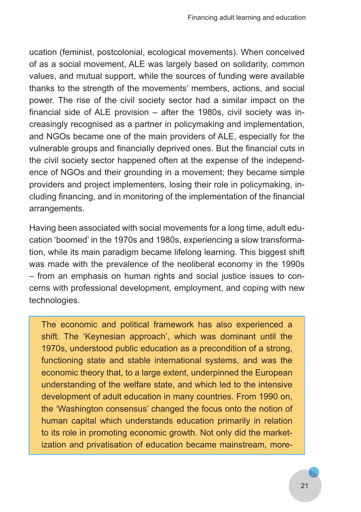ucation (feminist, postcolonial, ecological movements). When conceived of as a social movement, ALE was largely based on solidarity, common values, and mutual support, while the sources of funding were available thanks to the strength of the movements' members, actions, and social power. The rise of the civil society sector had a similar impact on the financial side of ALE provision – after the 1980s, civil society was increasingly recognised as a partner in policymaking and implementation, and NGOs became one of the main providers of ALE, especially for the vulnerable groups and financially deprived ones. But the financial cuts in the civil society sector happened often at the expense of the independence of NGOs and their grounding in a movement; they became simple providers and project implementers, losing their role in policymaking, including financing, and in monitoring of the implementation of the financial arrangements.

Having been associated with social movements for a long time, adult education 'boomed' in the 1970s and 1980s, experiencing a slow transformation, while its main paradigm became lifelong learning. This biggest shift was made with the prevalence of the neoliberal economy in the 1990s – from an emphasis on human rights and social justice issues to concerns with professional development, employment, and coping with new technologies.

The economic and political framework has also experienced a shift. The 'Keynesian approach', which was dominant until the 1970s, understood public education as a precondition of a strong, functioning state and stable international systems, and was the economic theory that, to a large extent, underpinned the European understanding of the welfare state, and which led to the intensive development of adult education in many countries. From 1990 on, the 'Washington consensus' changed the focus onto the notion of human capital which understands education primarily in relation to its role in promoting economic growth. Not only did the marketization and privatisation of education became mainstream, more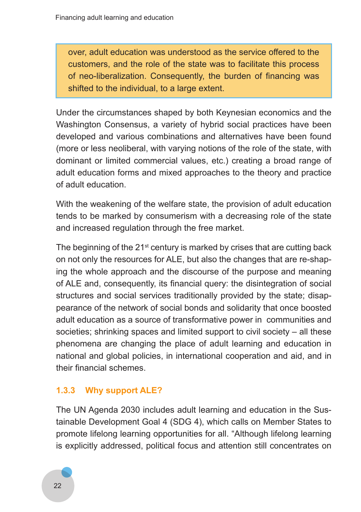over, adult education was understood as the service offered to the customers, and the role of the state was to facilitate this process of neo-liberalization. Consequently, the burden of financing was shifted to the individual, to a large extent.

Under the circumstances shaped by both Keynesian economics and the Washington Consensus, a variety of hybrid social practices have been developed and various combinations and alternatives have been found (more or less neoliberal, with varying notions of the role of the state, with dominant or limited commercial values, etc.) creating a broad range of adult education forms and mixed approaches to the theory and practice of adult education.

With the weakening of the welfare state, the provision of adult education tends to be marked by consumerism with a decreasing role of the state and increased regulation through the free market.

The beginning of the  $21<sup>st</sup>$  century is marked by crises that are cutting back on not only the resources for ALE, but also the changes that are re-shaping the whole approach and the discourse of the purpose and meaning of ALE and, consequently, its financial query: the disintegration of social structures and social services traditionally provided by the state; disappearance of the network of social bonds and solidarity that once boosted adult education as a source of transformative power in communities and societies; shrinking spaces and limited support to civil society – all these phenomena are changing the place of adult learning and education in national and global policies, in international cooperation and aid, and in their financial schemes.

### **1.3.3 Why support ALE?**

The UN Agenda 2030 includes adult learning and education in the Sustainable Development Goal 4 (SDG 4), which calls on Member States to promote lifelong learning opportunities for all. "Although lifelong learning is explicitly addressed, political focus and attention still concentrates on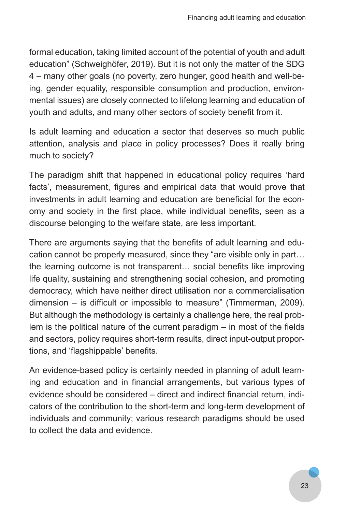formal education, taking limited account of the potential of youth and adult education" (Schweighöfer, 2019). But it is not only the matter of the SDG 4 – many other goals (no poverty, zero hunger, good health and well-being, gender equality, responsible consumption and production, environmental issues) are closely connected to lifelong learning and education of youth and adults, and many other sectors of society benefit from it.

Is adult learning and education a sector that deserves so much public attention, analysis and place in policy processes? Does it really bring much to society?

The paradigm shift that happened in educational policy requires 'hard facts', measurement, figures and empirical data that would prove that investments in adult learning and education are beneficial for the economy and society in the first place, while individual benefits, seen as a discourse belonging to the welfare state, are less important.

There are arguments saying that the benefits of adult learning and education cannot be properly measured, since they "are visible only in part… the learning outcome is not transparent… social benefits like improving life quality, sustaining and strengthening social cohesion, and promoting democracy, which have neither direct utilisation nor a commercialisation dimension – is difficult or impossible to measure" (Timmerman, 2009). But although the methodology is certainly a challenge here, the real problem is the political nature of the current paradigm  $-$  in most of the fields and sectors, policy requires short-term results, direct input-output proportions, and 'flagshippable' benefits.

An evidence-based policy is certainly needed in planning of adult learning and education and in financial arrangements, but various types of evidence should be considered – direct and indirect financial return, indicators of the contribution to the short-term and long-term development of individuals and community; various research paradigms should be used to collect the data and evidence.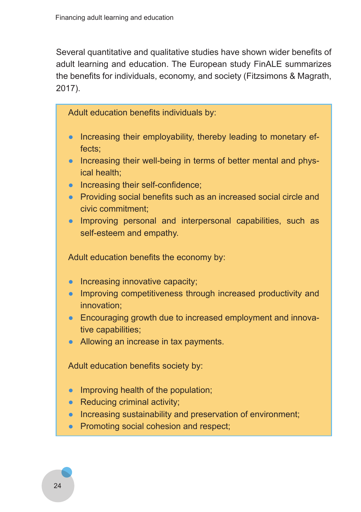Several quantitative and qualitative studies have shown wider benefits of adult learning and education. The European study FinALE summarizes the benefits for individuals, economy, and society (Fitzsimons & Magrath, 2017).

Adult education benefits individuals by:

- Increasing their employability, thereby leading to monetary effects;
- Increasing their well-being in terms of better mental and physical health;
- Increasing their self-confidence;
- Providing social benefits such as an increased social circle and civic commitment;
- Improving personal and interpersonal capabilities, such as self-esteem and empathy.

Adult education benefits the economy by:

- Increasing innovative capacity;
- Improving competitiveness through increased productivity and innovation;
- Encouraging growth due to increased employment and innovative capabilities;
- Allowing an increase in tax payments.

Adult education benefits society by:

- Improving health of the population;
- $\bullet$  Reducing criminal activity;
- Increasing sustainability and preservation of environment;
- Promoting social cohesion and respect;

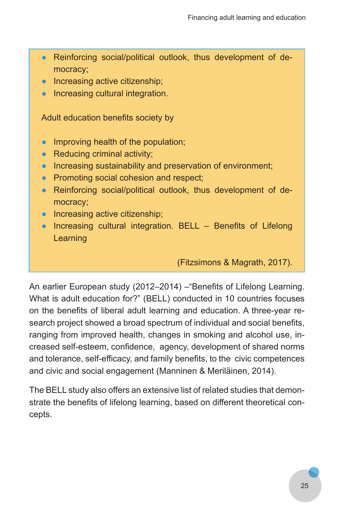- Reinforcing social/political outlook, thus development of democracy;
- Increasing active citizenship;
- Increasing cultural integration.

Adult education benefits society by

- Improving health of the population;
- $\bullet$  Reducing criminal activity;
- Increasing sustainability and preservation of environment;
- Promoting social cohesion and respect;
- Reinforcing social/political outlook, thus development of democracy;
- Increasing active citizenship;
- Increasing cultural integration. BELL Benefits of Lifelong **Learning**

(Fitzsimons & Magrath, 2017).

An earlier European study (2012–2014) –"Benefits of Lifelong Learning. What is adult education for?" (BELL) conducted in 10 countries focuses on the benefits of liberal adult learning and education. A three-year research project showed a broad spectrum of individual and social benefits, ranging from improved health, changes in smoking and alcohol use, increased self-esteem, confidence, agency, development of shared norms and tolerance, self-efficacy, and family benefits, to the civic competences and civic and social engagement (Manninen & Meriläinen, 2014).

The BELL study also offers an extensive list of related studies that demonstrate the benefits of lifelong learning, based on different theoretical concepts.

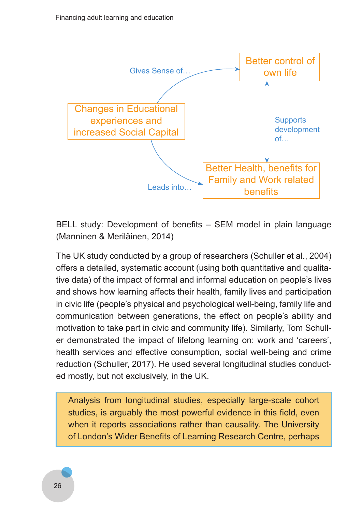

BELL study: Development of benefits – SEM model in plain language (Manninen & Meriläinen, 2014)

The UK study conducted by a group of researchers (Schuller et al., 2004) offers a detailed, systematic account (using both quantitative and qualitative data) of the impact of formal and informal education on people's lives and shows how learning affects their health, family lives and participation in civic life (people's physical and psychological well-being, family life and communication between generations, the effect on people's ability and motivation to take part in civic and community life). Similarly, Tom Schuller demonstrated the impact of lifelong learning on: work and 'careers', health services and effective consumption, social well-being and crime reduction (Schuller, 2017). He used several longitudinal studies conducted mostly, but not exclusively, in the UK.

Analysis from longitudinal studies, especially large-scale cohort studies, is arguably the most powerful evidence in this field, even when it reports associations rather than causality. The University of London's Wider Benefits of Learning Research Centre, perhaps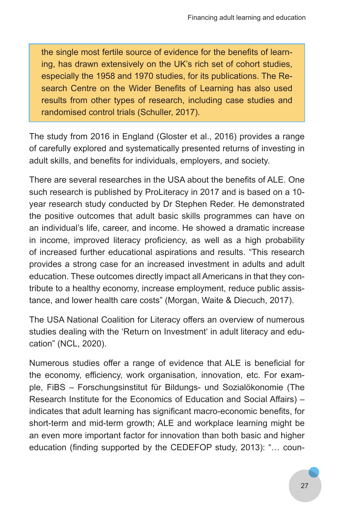the single most fertile source of evidence for the benefits of learning, has drawn extensively on the UK's rich set of cohort studies, especially the 1958 and 1970 studies, for its publications. The Research Centre on the Wider Benefits of Learning has also used results from other types of research, including case studies and randomised control trials (Schuller, 2017).

The study from 2016 in England (Gloster et al., 2016) provides a range of carefully explored and systematically presented returns of investing in adult skills, and benefits for individuals, employers, and society.

There are several researches in the USA about the benefits of ALE. One such research is published by ProLiteracy in 2017 and is based on a 10 year research study conducted by Dr Stephen Reder. He demonstrated the positive outcomes that adult basic skills programmes can have on an individual's life, career, and income. He showed a dramatic increase in income, improved literacy proficiency, as well as a high probability of increased further educational aspirations and results. "This research provides a strong case for an increased investment in adults and adult education. These outcomes directly impact all Americans in that they contribute to a healthy economy, increase employment, reduce public assistance, and lower health care costs" (Morgan, Waite & Diecuch, 2017).

The USA National Coalition for Literacy offers an overview of numerous studies dealing with the 'Return on Investment' in adult literacy and education" (NCL, 2020).

Numerous studies offer a range of evidence that ALE is beneficial for the economy, efficiency, work organisation, innovation, etc. For example, FiBS – Forschungsinstitut für Bildungs- und Sozialökonomie (The Research Institute for the Economics of Education and Social Affairs) – indicates that adult learning has significant macro-economic benefits, for short-term and mid-term growth; ALE and workplace learning might be an even more important factor for innovation than both basic and higher education (finding supported by the CEDEFOP study, 2013): "… coun-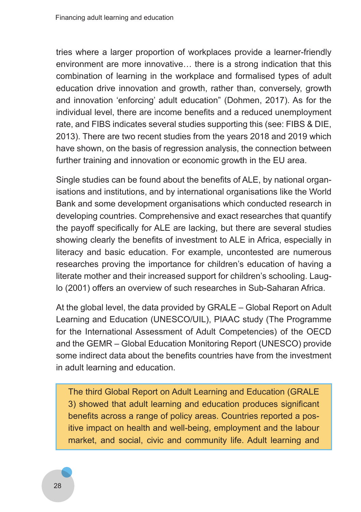tries where a larger proportion of workplaces provide a learner-friendly environment are more innovative… there is a strong indication that this combination of learning in the workplace and formalised types of adult education drive innovation and growth, rather than, conversely, growth and innovation 'enforcing' adult education" (Dohmen, 2017). As for the individual level, there are income benefits and a reduced unemployment rate, and FIBS indicates several studies supporting this (see: FIBS & DIE, 2013). There are two recent studies from the years 2018 and 2019 which have shown, on the basis of regression analysis, the connection between further training and innovation or economic growth in the EU area.

Single studies can be found about the benefits of ALE, by national organisations and institutions, and by international organisations like the World Bank and some development organisations which conducted research in developing countries. Comprehensive and exact researches that quantify the payoff specifically for ALE are lacking, but there are several studies showing clearly the benefits of investment to ALE in Africa, especially in literacy and basic education. For example, uncontested are numerous researches proving the importance for children's education of having a literate mother and their increased support for children's schooling. Lauglo (2001) offers an overview of such researches in Sub-Saharan Africa.

At the global level, the data provided by GRALE – Global Report on Adult Learning and Education (UNESCO/UIL), PIAAC study (The Programme for the International Assessment of Adult Competencies) of the OECD and the GEMR – Global Education Monitoring Report (UNESCO) provide some indirect data about the benefits countries have from the investment in adult learning and education.

The third Global Report on Adult Learning and Education (GRALE 3) showed that adult learning and education produces significant benefits across a range of policy areas. Countries reported a positive impact on health and well-being, employment and the labour market, and social, civic and community life. Adult learning and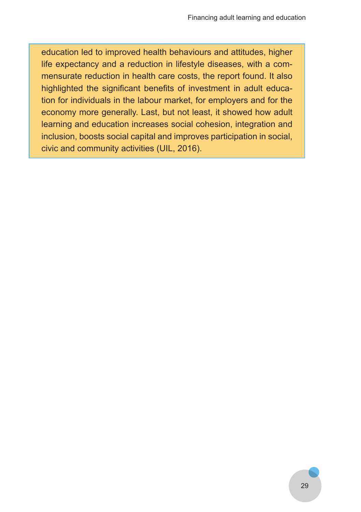education led to improved health behaviours and attitudes, higher life expectancy and a reduction in lifestyle diseases, with a commensurate reduction in health care costs, the report found. It also highlighted the significant benefits of investment in adult education for individuals in the labour market, for employers and for the economy more generally. Last, but not least, it showed how adult learning and education increases social cohesion, integration and inclusion, boosts social capital and improves participation in social, civic and community activities (UIL, 2016).

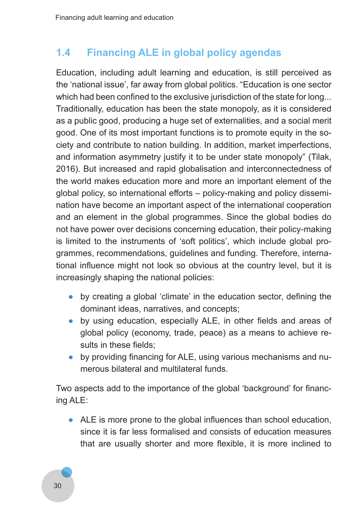# **1.4 Financing ALE in global policy agendas**

Education, including adult learning and education, is still perceived as the 'national issue', far away from global politics. "Education is one sector which had been confined to the exclusive jurisdiction of the state for long... Traditionally, education has been the state monopoly, as it is considered as a public good, producing a huge set of externalities, and a social merit good. One of its most important functions is to promote equity in the society and contribute to nation building. In addition, market imperfections, and information asymmetry justify it to be under state monopoly" (Tilak, 2016). But increased and rapid globalisation and interconnectedness of the world makes education more and more an important element of the global policy, so international efforts – policy-making and policy dissemination have become an important aspect of the international cooperation and an element in the global programmes. Since the global bodies do not have power over decisions concerning education, their policy-making is limited to the instruments of 'soft politics', which include global programmes, recommendations, guidelines and funding. Therefore, international influence might not look so obvious at the country level, but it is increasingly shaping the national policies:

- by creating a global 'climate' in the education sector, defining the dominant ideas, narratives, and concepts;
- by using education, especially ALE, in other fields and areas of global policy (economy, trade, peace) as a means to achieve results in these fields;
- by providing financing for ALE, using various mechanisms and numerous bilateral and multilateral funds.

Two aspects add to the importance of the global 'background' for financing ALE:

● ALE is more prone to the global influences than school education, since it is far less formalised and consists of education measures that are usually shorter and more flexible, it is more inclined to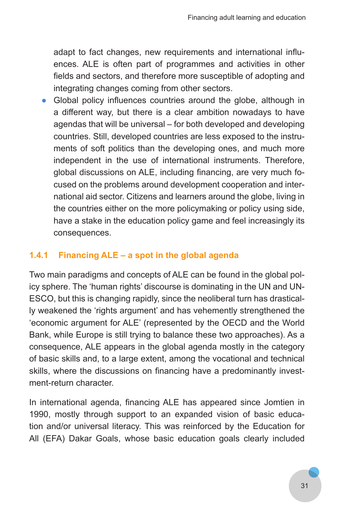adapt to fact changes, new requirements and international influences. ALE is often part of programmes and activities in other fields and sectors, and therefore more susceptible of adopting and integrating changes coming from other sectors.

• Global policy influences countries around the globe, although in a different way, but there is a clear ambition nowadays to have agendas that will be universal – for both developed and developing countries. Still, developed countries are less exposed to the instruments of soft politics than the developing ones, and much more independent in the use of international instruments. Therefore, global discussions on ALE, including financing, are very much focused on the problems around development cooperation and international aid sector. Citizens and learners around the globe, living in the countries either on the more policymaking or policy using side, have a stake in the education policy game and feel increasingly its consequences.

#### **1.4.1 Financing ALE – a spot in the global agenda**

Two main paradigms and concepts of ALE can be found in the global policy sphere. The 'human rights' discourse is dominating in the UN and UN-ESCO, but this is changing rapidly, since the neoliberal turn has drastically weakened the 'rights argument' and has vehemently strengthened the 'economic argument for ALE' (represented by the OECD and the World Bank, while Europe is still trying to balance these two approaches). As a consequence, ALE appears in the global agenda mostly in the category of basic skills and, to a large extent, among the vocational and technical skills, where the discussions on financing have a predominantly investment-return character.

In international agenda, financing ALE has appeared since Jomtien in 1990, mostly through support to an expanded vision of basic education and/or universal literacy. This was reinforced by the Education for All (EFA) Dakar Goals, whose basic education goals clearly included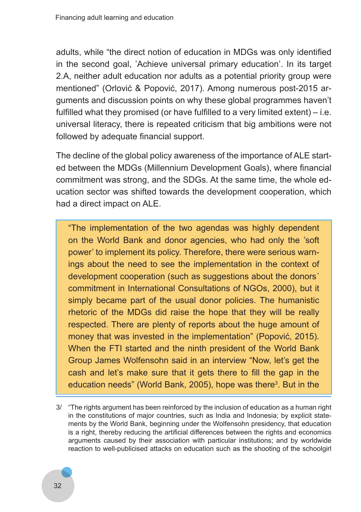adults, while "the direct notion of education in MDGs was only identified in the second goal, 'Achieve universal primary education'. In its target 2.A, neither adult education nor adults as a potential priority group were mentioned" (Orlović & Popović, 2017). Among numerous post-2015 arguments and discussion points on why these global programmes haven't fulfilled what they promised (or have fulfilled to a very limited extent) – i.e. universal literacy, there is repeated criticism that big ambitions were not followed by adequate financial support.

The decline of the global policy awareness of the importance of ALE started between the MDGs (Millennium Development Goals), where financial commitment was strong, and the SDGs. At the same time, the whole education sector was shifted towards the development cooperation, which had a direct impact on ALE.

"The implementation of the two agendas was highly dependent on the World Bank and donor agencies, who had only the 'soft power' to implement its policy. Therefore, there were serious warnings about the need to see the implementation in the context of development cooperation (such as suggestions about the donors´ commitment in International Consultations of NGOs, 2000), but it simply became part of the usual donor policies. The humanistic rhetoric of the MDGs did raise the hope that they will be really respected. There are plenty of reports about the huge amount of money that was invested in the implementation" (Popović, 2015). When the FTI started and the ninth president of the World Bank Group James Wolfensohn said in an interview "Now, let's get the cash and let's make sure that it gets there to fill the gap in the education needs" (World Bank, 2005), hope was there<sup>3</sup>. But in the

<sup>3/</sup> "The rights argument has been reinforced by the inclusion of education as a human right in the constitutions of major countries, such as India and Indonesia; by explicit statements by the World Bank, beginning under the Wolfensohn presidency, that education is a right, thereby reducing the artificial differences between the rights and economics arguments caused by their association with particular institutions; and by worldwide reaction to well-publicised attacks on education such as the shooting of the schoolgirl

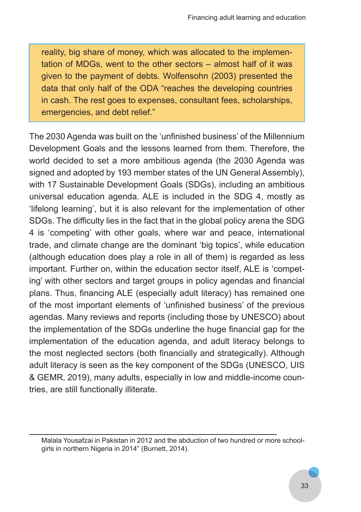reality, big share of money, which was allocated to the implementation of MDGs, went to the other sectors – almost half of it was given to the payment of debts. Wolfensohn (2003) presented the data that only half of the ODA "reaches the developing countries in cash. The rest goes to expenses, consultant fees, scholarships, emergencies, and debt relief."

The 2030 Agenda was built on the 'unfinished business' of the Millennium Development Goals and the lessons learned from them. Therefore, the world decided to set a more ambitious agenda (the 2030 Agenda was signed and adopted by 193 member states of the UN General Assembly), with 17 Sustainable Development Goals (SDGs), including an ambitious universal education agenda. ALE is included in the SDG 4, mostly as 'lifelong learning', but it is also relevant for the implementation of other SDGs. The difficulty lies in the fact that in the global policy arena the SDG 4 is 'competing' with other goals, where war and peace, international trade, and climate change are the dominant 'big topics', while education (although education does play a role in all of them) is regarded as less important. Further on, within the education sector itself, ALE is 'competing' with other sectors and target groups in policy agendas and financial plans. Thus, financing ALE (especially adult literacy) has remained one of the most important elements of 'unfinished business' of the previous agendas. Many reviews and reports (including those by UNESCO) about the implementation of the SDGs underline the huge financial gap for the implementation of the education agenda, and adult literacy belongs to the most neglected sectors (both financially and strategically). Although adult literacy is seen as the key component of the SDGs (UNESCO, UIS & GEMR, 2019), many adults, especially in low and middle-income countries, are still functionally illiterate.

Malala Yousafzai in Pakistan in 2012 and the abduction of two hundred or more schoolgirls in northern Nigeria in 2014" (Burnett, 2014).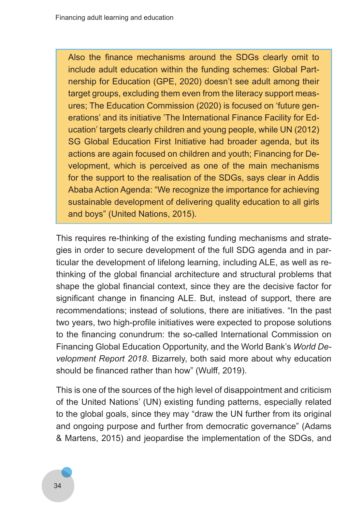Also the finance mechanisms around the SDGs clearly omit to include adult education within the funding schemes: Global Partnership for Education (GPE, 2020) doesn't see adult among their target groups, excluding them even from the literacy support measures; The Education Commission (2020) is focused on 'future generations' and its initiative 'The International Finance Facility for Education' targets clearly children and young people, while UN (2012) SG Global Education First Initiative had broader agenda, but its actions are again focused on children and youth; Financing for Development, which is perceived as one of the main mechanisms for the support to the realisation of the SDGs, says clear in Addis Ababa Action Agenda: "We recognize the importance for achieving sustainable development of delivering quality education to all girls and boys" (United Nations, 2015).

This requires re-thinking of the existing funding mechanisms and strategies in order to secure development of the full SDG agenda and in particular the development of lifelong learning, including ALE, as well as rethinking of the global financial architecture and structural problems that shape the global financial context, since they are the decisive factor for significant change in financing ALE. But, instead of support, there are recommendations; instead of solutions, there are initiatives. "In the past two years, two high-profile initiatives were expected to propose solutions to the financing conundrum: the so-called International Commission on Financing Global Education Opportunity, and the World Bank's *World De‑ velopment Report 2018*. Bizarrely, both said more about why education should be financed rather than how" (Wulff, 2019).

This is one of the sources of the high level of disappointment and criticism of the United Nations' (UN) existing funding patterns, especially related to the global goals, since they may "draw the UN further from its original and ongoing purpose and further from democratic governance" (Adams & Martens, 2015) and jeopardise the implementation of the SDGs, and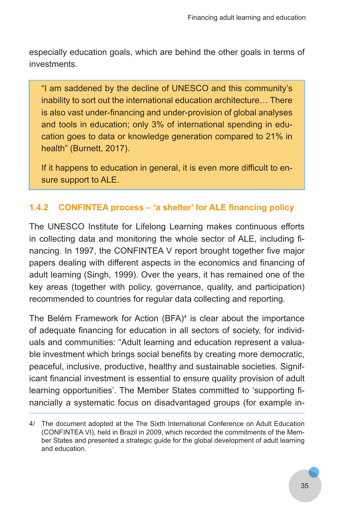especially education goals, which are behind the other goals in terms of investments.

"I am saddened by the decline of UNESCO and this community's inability to sort out the international education architecture… There is also vast under-financing and under-provision of global analyses and tools in education; only 3% of international spending in education goes to data or knowledge generation compared to 21% in health" (Burnett, 2017).

If it happens to education in general, it is even more difficult to ensure support to ALE.

# **1.4.2 CONFINTEA process – 'a shelter' for ALE financing policy**

The UNESCO Institute for Lifelong Learning makes continuous efforts in collecting data and monitoring the whole sector of ALE, including financing. In 1997, the CONFINTEA V report brought together five major papers dealing with different aspects in the economics and financing of adult learning (Singh, 1999). Over the years, it has remained one of the key areas (together with policy, governance, quality, and participation) recommended to countries for regular data collecting and reporting.

The Belém Framework for Action  $(BFA)^4$  is clear about the importance of adequate financing for education in all sectors of society, for individuals and communities: "Adult learning and education represent a valuable investment which brings social benefits by creating more democratic, peaceful, inclusive, productive, healthy and sustainable societies. Significant financial investment is essential to ensure quality provision of adult learning opportunities'. The Member States committed to 'supporting financially a systematic focus on disadvantaged groups (for example in-

<sup>4/</sup> The document adopted at the The Sixth International Conference on Adult Education (CONFINTEA VI), held in Brazil in 2009, which recorded the commitments of the Member States and presented a strategic guide for the global development of adult learning and education.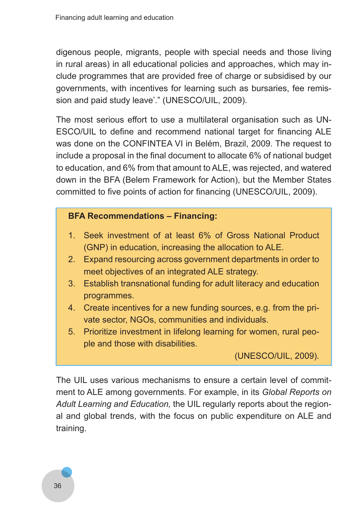digenous people, migrants, people with special needs and those living in rural areas) in all educational policies and approaches, which may include programmes that are provided free of charge or subsidised by our governments, with incentives for learning such as bursaries, fee remission and paid study leave'." (UNESCO/UIL, 2009).

The most serious effort to use a multilateral organisation such as UN-ESCO/UIL to define and recommend national target for financing ALE was done on the CONFINTEA VI in Belém, Brazil, 2009. The request to include a proposal in the final document to allocate 6% of national budget to education, and 6% from that amount to ALE, was rejected, and watered down in the BFA (Belem Framework for Action), but the Member States committed to five points of action for financing (UNESCO/UIL, 2009).

# **BFA Recommendations – Financing:**

- 1. Seek investment of at least 6% of Gross National Product (GNP) in education, increasing the allocation to ALE.
- 2. Expand resourcing across government departments in order to meet objectives of an integrated ALE strategy.
- 3. Establish transnational funding for adult literacy and education programmes.
- 4. Create incentives for a new funding sources, e.g. from the private sector, NGOs, communities and individuals.
- 5. Prioritize investment in lifelong learning for women, rural people and those with disabilities.

(UNESCO/UIL, 2009).

The UIL uses various mechanisms to ensure a certain level of commitment to ALE among governments. For example, in its *Global Reports on Adult Learning and Education,* the UIL regularly reports about the regional and global trends, with the focus on public expenditure on ALE and training.

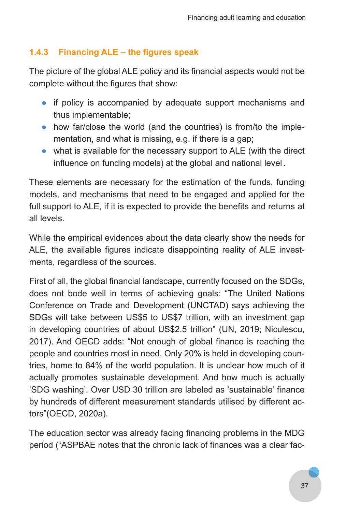# **1.4.3 Financing ALE – the figures speak**

The picture of the global ALE policy and its financial aspects would not be complete without the figures that show:

- if policy is accompanied by adequate support mechanisms and thus implementable;
- how far/close the world (and the countries) is from/to the implementation, and what is missing, e.g. if there is a gap;
- what is available for the necessary support to ALE (with the direct influence on funding models) at the global and national level .

These elements are necessary for the estimation of the funds, funding models, and mechanisms that need to be engaged and applied for the full support to ALE, if it is expected to provide the benefits and returns at all levels.

While the empirical evidences about the data clearly show the needs for ALE, the available figures indicate disappointing reality of ALE investments, regardless of the sources.

First of all, the global financial landscape, currently focused on the SDGs, does not bode well in terms of achieving goals: "The United Nations Conference on Trade and Development (UNCTAD) says achieving the SDGs will take between US\$5 to US\$7 trillion, with an investment gap in developing countries of about US\$2.5 trillion" (UN, 2019; Niculescu, 2017). And OECD adds: "Not enough of global finance is reaching the people and countries most in need. Only 20% is held in developing countries, home to 84% of the world population. It is unclear how much of it actually promotes sustainable development. And how much is actually 'SDG washing'. Over USD 30 trillion are labeled as 'sustainable' finance by hundreds of different measurement standards utilised by different actors"(OECD, 2020a).

The education sector was already facing financing problems in the MDG period ("ASPBAE notes that the chronic lack of finances was a clear fac-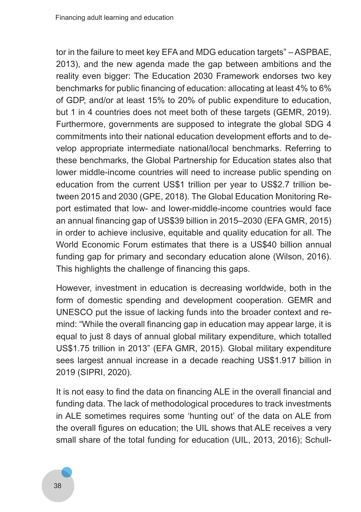tor in the failure to meet key EFA and MDG education targets" – ASPBAE, 2013), and the new agenda made the gap between ambitions and the reality even bigger: The Education 2030 Framework endorses two key benchmarks for public financing of education: allocating at least 4% to 6% of GDP, and/or at least 15% to 20% of public expenditure to education, but 1 in 4 countries does not meet both of these targets (GEMR, 2019). Furthermore, governments are supposed to integrate the global SDG 4 commitments into their national education development efforts and to develop appropriate intermediate national/local benchmarks. Referring to these benchmarks, the Global Partnership for Education states also that lower middle-income countries will need to increase public spending on education from the current US\$1 trillion per year to US\$2.7 trillion between 2015 and 2030 (GPE, 2018). The Global Education Monitoring Report estimated that low- and lower-middle-income countries would face an annual financing gap of US\$39 billion in 2015–2030 (EFA GMR, 2015) in order to achieve inclusive, equitable and quality education for all. The World Economic Forum estimates that there is a US\$40 billion annual funding gap for primary and secondary education alone (Wilson, 2016). This highlights the challenge of financing this gaps.

However, investment in education is decreasing worldwide, both in the form of domestic spending and development cooperation. GEMR and UNESCO put the issue of lacking funds into the broader context and remind: "While the overall financing gap in education may appear large, it is equal to just 8 days of annual global military expenditure, which totalled US\$1.75 trillion in 2013" (EFA GMR, 2015). Global military expenditure sees largest annual increase in a decade reaching US\$1.917 billion in 2019 (SIPRI, 2020).

It is not easy to find the data on financing ALE in the overall financial and funding data. The lack of methodological procedures to track investments in ALE sometimes requires some 'hunting out' of the data on ALE from the overall figures on education; the UIL shows that ALE receives a very small share of the total funding for education (UIL, 2013, 2016); Schull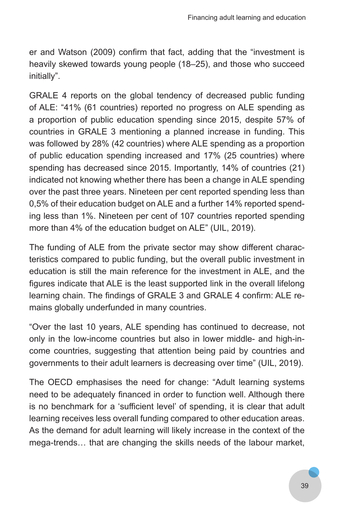er and Watson (2009) confirm that fact, adding that the "investment is heavily skewed towards young people (18–25), and those who succeed initially".

GRALE 4 reports on the global tendency of decreased public funding of ALE: "41% (61 countries) reported no progress on ALE spending as a proportion of public education spending since 2015, despite 57% of countries in GRALE 3 mentioning a planned increase in funding. This was followed by 28% (42 countries) where ALE spending as a proportion of public education spending increased and 17% (25 countries) where spending has decreased since 2015. Importantly, 14% of countries (21) indicated not knowing whether there has been a change in ALE spending over the past three years. Nineteen per cent reported spending less than 0,5% of their education budget on ALE and a further 14% reported spending less than 1%. Nineteen per cent of 107 countries reported spending more than 4% of the education budget on ALE" (UIL, 2019).

The funding of ALE from the private sector may show different characteristics compared to public funding, but the overall public investment in education is still the main reference for the investment in ALE, and the figures indicate that ALE is the least supported link in the overall lifelong learning chain. The findings of GRALE 3 and GRALE 4 confirm: ALE remains globally underfunded in many countries.

"Over the last 10 years, ALE spending has continued to decrease, not only in the low-income countries but also in lower middle- and high-income countries, suggesting that attention being paid by countries and governments to their adult learners is decreasing over time" (UIL, 2019).

The OECD emphasises the need for change: "Adult learning systems need to be adequately financed in order to function well. Although there is no benchmark for a 'sufficient level' of spending, it is clear that adult learning receives less overall funding compared to other education areas. As the demand for adult learning will likely increase in the context of the mega-trends… that are changing the skills needs of the labour market,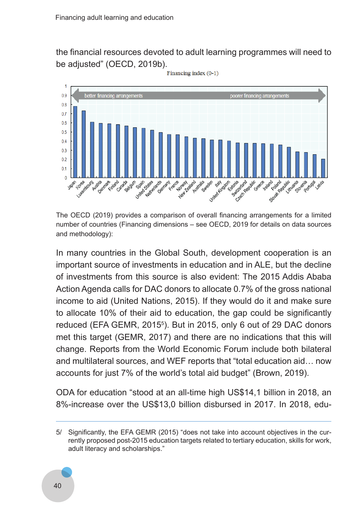the financial resources devoted to adult learning programmes will need to be adjusted" (OECD, 2019b).<br>Financing index (0-1)



The OECD (2019) provides a comparison of overall financing arrangements for a limited number of countries (Financing dimensions – see OECD, 2019 for details on data sources and methodology):

In many countries in the Global South, development cooperation is an important source of investments in education and in ALE, but the decline of investments from this source is also evident: The 2015 Addis Ababa Action Agenda calls for DAC donors to allocate 0.7% of the gross national income to aid (United Nations, 2015). If they would do it and make sure to allocate 10% of their aid to education, the gap could be significantly reduced (EFA GEMR, 2015<sup>5</sup>). But in 2015, only 6 out of 29 DAC donors met this target (GEMR, 2017) and there are no indications that this will change. Reports from the World Economic Forum include both bilateral and multilateral sources, and WEF reports that "total education aid… now accounts for just 7% of the world's total aid budget" (Brown, 2019).

ODA for education "stood at an all-time high US\$14,1 billion in 2018, an 8%-increase over the US\$13,0 billion disbursed in 2017. In 2018, edu-

<sup>5/</sup> Significantly, the EFA GEMR (2015) "does not take into account objectives in the currently proposed post-2015 education targets related to tertiary education, skills for work, adult literacy and scholarships."

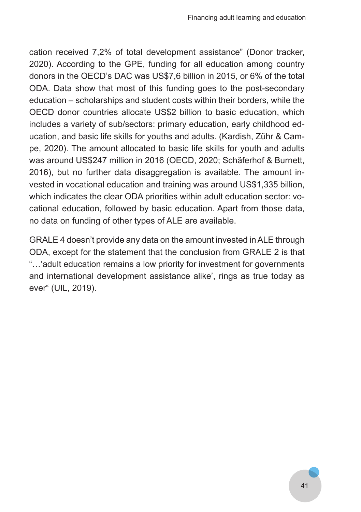cation received 7,2% of total development assistance" (Donor tracker, 2020). According to the GPE, funding for all education among country donors in the OECD's DAC was US\$7,6 billion in 2015, or 6% of the total ODA. Data show that most of this funding goes to the post-secondary education – scholarships and student costs within their borders, while the OECD donor countries allocate US\$2 billion to basic education, which includes a variety of sub/sectors: primary education, early childhood education, and basic life skills for youths and adults. (Kardish, Zühr & Campe, 2020). The amount allocated to basic life skills for youth and adults was around US\$247 million in 2016 (OECD, 2020; Schäferhof & Burnett, 2016), but no further data disaggregation is available. The amount invested in vocational education and training was around US\$1,335 billion, which indicates the clear ODA priorities within adult education sector: vocational education, followed by basic education. Apart from those data, no data on funding of other types of ALE are available.

GRALE 4 doesn't provide any data on the amount invested in ALE through ODA, except for the statement that the conclusion from GRALE 2 is that "…'adult education remains a low priority for investment for governments and international development assistance alike', rings as true today as ever" (UIL, 2019).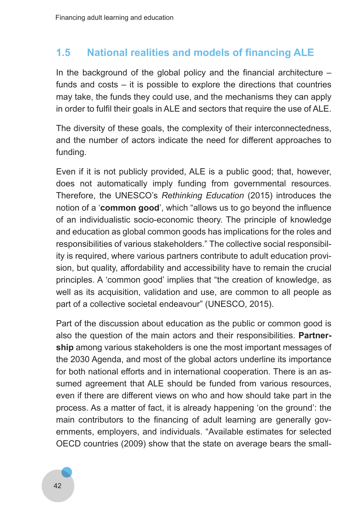# **1.5 National realities and models of financing ALE**

In the background of the global policy and the financial architecture  $$ funds and costs – it is possible to explore the directions that countries may take, the funds they could use, and the mechanisms they can apply in order to fulfil their goals in ALE and sectors that require the use of ALE.

The diversity of these goals, the complexity of their interconnectedness, and the number of actors indicate the need for different approaches to funding.

Even if it is not publicly provided, ALE is a public good; that, however, does not automatically imply funding from governmental resources. Therefore, the UNESCO's *Rethinking Education* (2015) introduces the notion of a '**common good**', which "allows us to go beyond the influence of an individualistic socio-economic theory. The principle of knowledge and education as global common goods has implications for the roles and responsibilities of various stakeholders." The collective social responsibility is required, where various partners contribute to adult education provision, but quality, affordability and accessibility have to remain the crucial principles. A 'common good' implies that "the creation of knowledge, as well as its acquisition, validation and use, are common to all people as part of a collective societal endeavour" (UNESCO, 2015).

Part of the discussion about education as the public or common good is also the question of the main actors and their responsibilities. **Partnership** among various stakeholders is one the most important messages of the 2030 Agenda, and most of the global actors underline its importance for both national efforts and in international cooperation. There is an assumed agreement that ALE should be funded from various resources, even if there are different views on who and how should take part in the process. As a matter of fact, it is already happening 'on the ground': the main contributors to the financing of adult learning are generally governments, employers, and individuals. "Available estimates for selected OECD countries (2009) show that the state on average bears the small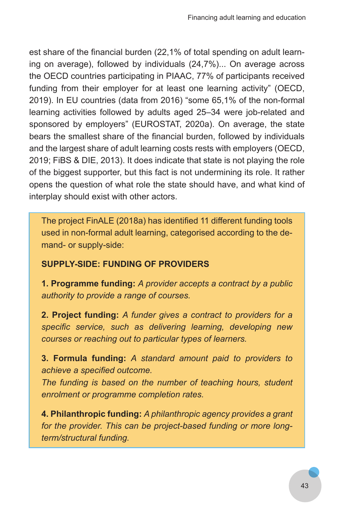est share of the financial burden (22,1% of total spending on adult learning on average), followed by individuals (24,7%)... On average across the OECD countries participating in PIAAC, 77% of participants received funding from their employer for at least one learning activity" (OECD, 2019). In EU countries (data from 2016) "some 65,1% of the non-formal learning activities followed by adults aged 25–34 were job-related and sponsored by employers" (EUROSTAT, 2020a). On average, the state bears the smallest share of the financial burden, followed by individuals and the largest share of adult learning costs rests with employers (OECD, 2019; FiBS & DIE, 2013). It does indicate that state is not playing the role of the biggest supporter, but this fact is not undermining its role. It rather opens the question of what role the state should have, and what kind of interplay should exist with other actors.

The project FinALE (2018a) has identified 11 different funding tools used in non-formal adult learning, categorised according to the demand- or supply-side:

#### **SUPPLY-SIDE: FUNDING OF PROVIDERS**

**1. Programme funding:** *A provider accepts a contract by a public authority to provide a range of courses.*

**2. Project funding:** *A funder gives a contract to providers for a specific service, such as delivering learning, developing new courses or reaching out to particular types of learners.*

**3. Formula funding:** *A standard amount paid to providers to achieve a specified outcome.*

*The funding is based on the number of teaching hours, student enrolment or programme completion rates.*

**4. Philanthropic funding:** *A philanthropic agency provides a grant for the provider. This can be project-based funding or more longterm/structural funding.*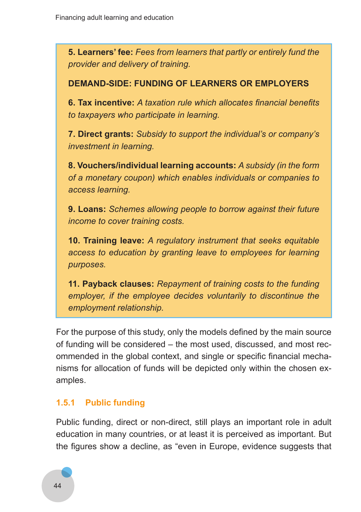**5. Learners' fee:** *Fees from learners that partly or entirely fund the provider and delivery of training.*

#### **DEMAND-SIDE: FUNDING OF LEARNERS OR EMPLOYERS**

**6. Tax incentive:** *A taxation rule which allocates financial benefits to taxpayers who participate in learning.*

**7. Direct grants:** *Subsidy to support the individual's or company's investment in learning.*

**8. Vouchers/individual learning accounts:** *A subsidy (in the form of a monetary coupon) which enables individuals or companies to access learning.*

**9. Loans:** *Schemes allowing people to borrow against their future income to cover training costs.*

**10. Training leave:** *A regulatory instrument that seeks equitable access to education by granting leave to employees for learning purposes.*

**11. Payback clauses:** *Repayment of training costs to the funding employer, if the employee decides voluntarily to discontinue the employment relationship.*

For the purpose of this study, only the models defined by the main source of funding will be considered – the most used, discussed, and most recommended in the global context, and single or specific financial mechanisms for allocation of funds will be depicted only within the chosen examples.

#### **1.5.1 Public funding**

Public funding, direct or non-direct, still plays an important role in adult education in many countries, or at least it is perceived as important. But the figures show a decline, as "even in Europe, evidence suggests that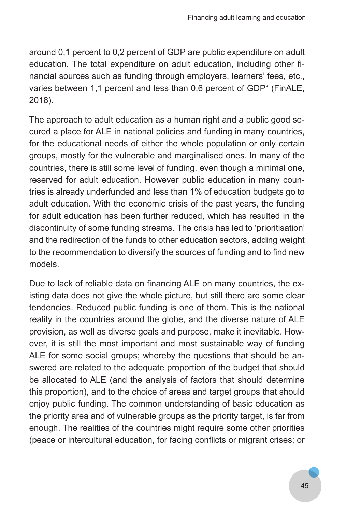around 0,1 percent to 0,2 percent of GDP are public expenditure on adult education. The total expenditure on adult education, including other financial sources such as funding through employers, learners' fees, etc., varies between 1,1 percent and less than 0,6 percent of GDP" (FinALE, 2018).

The approach to adult education as a human right and a public good secured a place for ALE in national policies and funding in many countries, for the educational needs of either the whole population or only certain groups, mostly for the vulnerable and marginalised ones. In many of the countries, there is still some level of funding, even though a minimal one, reserved for adult education. However public education in many countries is already underfunded and less than 1% of education budgets go to adult education. With the economic crisis of the past years, the funding for adult education has been further reduced, which has resulted in the discontinuity of some funding streams. The crisis has led to 'prioritisation' and the redirection of the funds to other education sectors, adding weight to the recommendation to diversify the sources of funding and to find new models.

Due to lack of reliable data on financing ALE on many countries, the existing data does not give the whole picture, but still there are some clear tendencies. Reduced public funding is one of them. This is the national reality in the countries around the globe, and the diverse nature of ALE provision, as well as diverse goals and purpose, make it inevitable. However, it is still the most important and most sustainable way of funding ALE for some social groups; whereby the questions that should be answered are related to the adequate proportion of the budget that should be allocated to ALE (and the analysis of factors that should determine this proportion), and to the choice of areas and target groups that should enjoy public funding. The common understanding of basic education as the priority area and of vulnerable groups as the priority target, is far from enough. The realities of the countries might require some other priorities (peace or intercultural education, for facing conflicts or migrant crises; or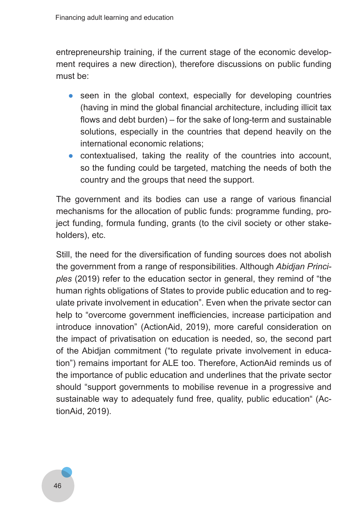entrepreneurship training, if the current stage of the economic development requires a new direction), therefore discussions on public funding must be:

- seen in the global context, especially for developing countries (having in mind the global financial architecture, including illicit tax flows and debt burden) – for the sake of long-term and sustainable solutions, especially in the countries that depend heavily on the international economic relations;
- contextualised, taking the reality of the countries into account, so the funding could be targeted, matching the needs of both the country and the groups that need the support.

The government and its bodies can use a range of various financial mechanisms for the allocation of public funds: programme funding, project funding, formula funding, grants (to the civil society or other stakeholders), etc.

Still, the need for the diversification of funding sources does not abolish the government from a range of responsibilities. Although *Abidjan Princi‑ ples* (2019) refer to the education sector in general, they remind of "the human rights obligations of States to provide public education and to regulate private involvement in education". Even when the private sector can help to "overcome government inefficiencies, increase participation and introduce innovation" (ActionAid, 2019), more careful consideration on the impact of privatisation on education is needed, so, the second part of the Abidjan commitment ("to regulate private involvement in education") remains important for ALE too. Therefore, ActionAid reminds us of the importance of public education and underlines that the private sector should "support governments to mobilise revenue in a progressive and sustainable way to adequately fund free, quality, public education" (ActionAid, 2019).

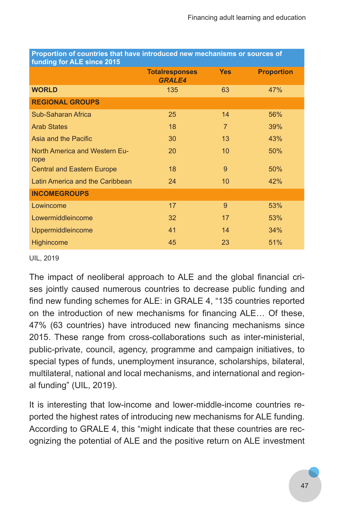| <u>I TOPOHNON OF COUNTINGS MIGHTIGHE INTROGRACIO NEW INCONSISIONS OF SOGNOGS OF</u><br>funding for ALE since 2015 |                                        |                |                   |
|-------------------------------------------------------------------------------------------------------------------|----------------------------------------|----------------|-------------------|
|                                                                                                                   | <b>Totalresponses</b><br><b>GRALE4</b> | <b>Yes</b>     | <b>Proportion</b> |
| <b>WORLD</b>                                                                                                      | 135                                    | 63             | 47%               |
| <b>REGIONAL GROUPS</b>                                                                                            |                                        |                |                   |
| Sub-Saharan Africa                                                                                                | 25                                     | 14             | 56%               |
| <b>Arab States</b>                                                                                                | 18                                     | $\overline{7}$ | 39%               |
| Asia and the Pacific                                                                                              | 30                                     | 13             | 43%               |
| <b>North America and Western Eu-</b><br>rope                                                                      | 20                                     | 10             | 50%               |
| <b>Central and Eastern Europe</b>                                                                                 | 18                                     | 9              | 50%               |
| Latin America and the Caribbean                                                                                   | 24                                     | 10             | 42%               |
| <b>INCOMEGROUPS</b>                                                                                               |                                        |                |                   |
| Lowincome                                                                                                         | 17                                     | 9              | 53%               |
| Lowermiddleincome                                                                                                 | 32                                     | 17             | 53%               |
| Uppermiddleincome                                                                                                 | 41                                     | 14             | 34%               |
| Highincome                                                                                                        | 45                                     | 23             | 51%               |

**Proportion of countries that have introduced new mechanisms or sources of** 

#### UIL, 2019

The impact of neoliberal approach to ALE and the global financial crises jointly caused numerous countries to decrease public funding and find new funding schemes for ALE: in GRALE 4, "135 countries reported on the introduction of new mechanisms for financing ALE… Of these, 47% (63 countries) have introduced new financing mechanisms since 2015. These range from cross-collaborations such as inter-ministerial, public-private, council, agency, programme and campaign initiatives, to special types of funds, unemployment insurance, scholarships, bilateral, multilateral, national and local mechanisms, and international and regional funding" (UIL, 2019).

It is interesting that low-income and lower-middle-income countries reported the highest rates of introducing new mechanisms for ALE funding. According to GRALE 4, this "might indicate that these countries are recognizing the potential of ALE and the positive return on ALE investment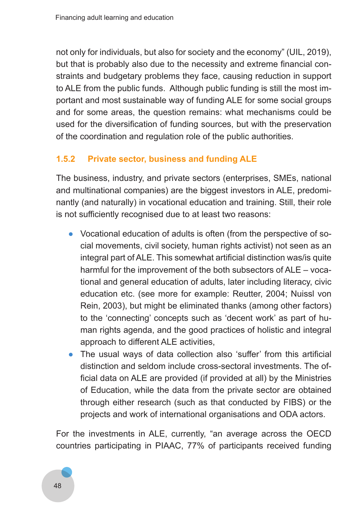not only for individuals, but also for society and the economy" (UIL, 2019), but that is probably also due to the necessity and extreme financial constraints and budgetary problems they face, causing reduction in support to ALE from the public funds. Although public funding is still the most important and most sustainable way of funding ALE for some social groups and for some areas, the question remains: what mechanisms could be used for the diversification of funding sources, but with the preservation of the coordination and regulation role of the public authorities.

# **1.5.2 Private sector, business and funding ALE**

The business, industry, and private sectors (enterprises, SMEs, national and multinational companies) are the biggest investors in ALE, predominantly (and naturally) in vocational education and training. Still, their role is not sufficiently recognised due to at least two reasons:

- Vocational education of adults is often (from the perspective of social movements, civil society, human rights activist) not seen as an integral part of ALE. This somewhat artificial distinction was/is quite harmful for the improvement of the both subsectors of ALE – vocational and general education of adults, later including literacy, civic education etc. (see more for example: Reutter, 2004; Nuissl von Rein, 2003), but might be eliminated thanks (among other factors) to the 'connecting' concepts such as 'decent work' as part of human rights agenda, and the good practices of holistic and integral approach to different ALE activities,
- The usual ways of data collection also 'suffer' from this artificial distinction and seldom include cross-sectoral investments. The official data on ALE are provided (if provided at all) by the Ministries of Education, while the data from the private sector are obtained through either research (such as that conducted by FIBS) or the projects and work of international organisations and ODA actors.

For the investments in ALE, currently, "an average across the OECD countries participating in PIAAC, 77% of participants received funding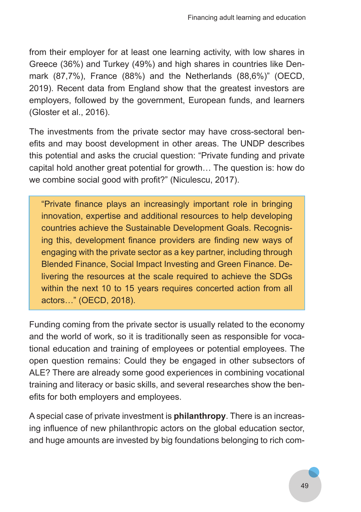from their employer for at least one learning activity, with low shares in Greece (36%) and Turkey (49%) and high shares in countries like Denmark (87,7%), France (88%) and the Netherlands (88,6%)" (OECD, 2019). Recent data from England show that the greatest investors are employers, followed by the government, European funds, and learners (Gloster et al., 2016).

The investments from the private sector may have cross-sectoral benefits and may boost development in other areas. The UNDP describes this potential and asks the crucial question: "Private funding and private capital hold another great potential for growth… The question is: how do we combine social good with profit?" (Niculescu, 2017).

"Private finance plays an increasingly important role in bringing innovation, expertise and additional resources to help developing countries achieve the Sustainable Development Goals. Recognising this, development finance providers are finding new ways of engaging with the private sector as a key partner, including through Blended Finance, Social Impact Investing and Green Finance. Delivering the resources at the scale required to achieve the SDGs within the next 10 to 15 years requires concerted action from all actors…" (OECD, 2018).

Funding coming from the private sector is usually related to the economy and the world of work, so it is traditionally seen as responsible for vocational education and training of employees or potential employees. The open question remains: Could they be engaged in other subsectors of ALE? There are already some good experiences in combining vocational training and literacy or basic skills, and several researches show the benefits for both employers and employees.

A special case of private investment is **philanthropy**. There is an increasing influence of new philanthropic actors on the global education sector, and huge amounts are invested by big foundations belonging to rich com-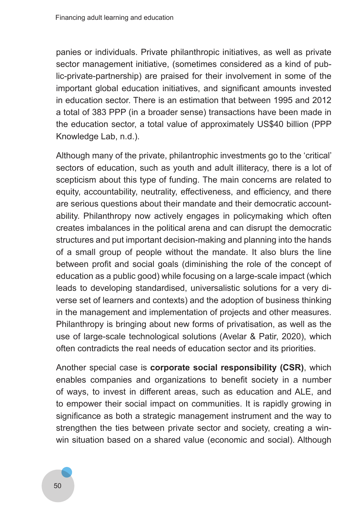panies or individuals. Private philanthropic initiatives, as well as private sector management initiative, (sometimes considered as a kind of public-private-partnership) are praised for their involvement in some of the important global education initiatives, and significant amounts invested in education sector. There is an estimation that between 1995 and 2012 a total of 383 PPP (in a broader sense) transactions have been made in the education sector, a total value of approximately US\$40 billion (PPP Knowledge Lab, n.d.).

Although many of the private, philantrophic investments go to the 'critical' sectors of education, such as youth and adult illiteracy, there is a lot of scepticism about this type of funding. The main concerns are related to equity, accountability, neutrality, effectiveness, and efficiency, and there are serious questions about their mandate and their democratic accountability. Philanthropy now actively engages in policymaking which often creates imbalances in the political arena and can disrupt the democratic structures and put important decision-making and planning into the hands of a small group of people without the mandate. It also blurs the line between profit and social goals (diminishing the role of the concept of education as a public good) while focusing on a large-scale impact (which leads to developing standardised, universalistic solutions for a very diverse set of learners and contexts) and the adoption of business thinking in the management and implementation of projects and other measures. Philanthropy is bringing about new forms of privatisation, as well as the use of large-scale technological solutions (Avelar & Patir, 2020), which often contradicts the real needs of education sector and its priorities.

Another special case is **corporate social responsibility (CSR)**, which enables companies and organizations to benefit society in a number of ways, to invest in different areas, such as education and ALE, and to empower their social impact on communities. It is rapidly growing in significance as both a strategic management instrument and the way to strengthen the ties between private sector and society, creating a winwin situation based on a shared value (economic and social). Although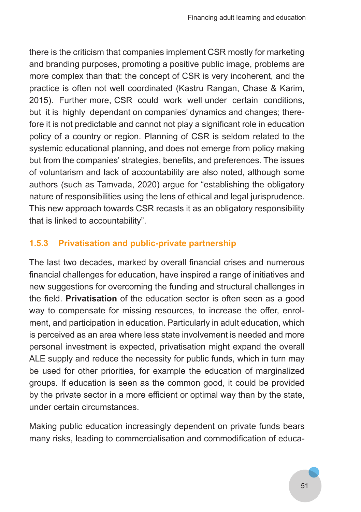there is the criticism that companies implement CSR mostly for marketing and branding purposes, promoting a positive public image, problems are more complex than that: the concept of CSR is very incoherent, and the practice is often not well coordinated (Kastru Rangan, Chase & Karim, 2015). Further more, CSR could work well under certain conditions, but it is highly dependant on companies' dynamics and changes; therefore it is not predictable and cannot not play a significant role in education policy of a country or region. Planning of CSR is seldom related to the systemic educational planning, and does not emerge from policy making but from the companies' strategies, benefits, and preferences. The issues of voluntarism and lack of accountability are also noted, although some authors (such as Tamvada, 2020) argue for "establishing the obligatory nature of responsibilities using the lens of ethical and legal jurisprudence. This new approach towards CSR recasts it as an obligatory responsibility that is linked to accountability".

#### **1.5.3 Privatisation and public-private partnership**

The last two decades, marked by overall financial crises and numerous financial challenges for education, have inspired a range of initiatives and new suggestions for overcoming the funding and structural challenges in the field. **Privatisation** of the education sector is often seen as a good way to compensate for missing resources, to increase the offer, enrolment, and participation in education. Particularly in adult education, which is perceived as an area where less state involvement is needed and more personal investment is expected, privatisation might expand the overall ALE supply and reduce the necessity for public funds, which in turn may be used for other priorities, for example the education of marginalized groups. If education is seen as the common good, it could be provided by the private sector in a more efficient or optimal way than by the state, under certain circumstances.

Making public education increasingly dependent on private funds bears many risks, leading to commercialisation and commodification of educa-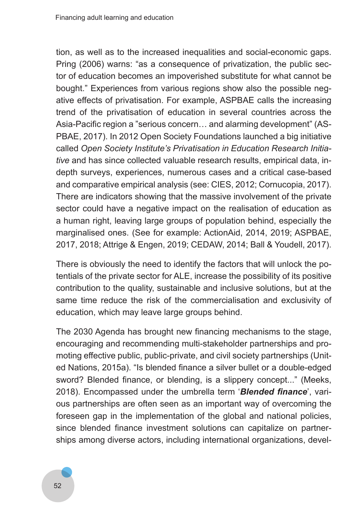tion, as well as to the increased inequalities and social-economic gaps. Pring (2006) warns: "as a consequence of privatization, the public sector of education becomes an impoverished substitute for what cannot be bought." Experiences from various regions show also the possible negative effects of privatisation. For example, ASPBAE calls the increasing trend of the privatisation of education in several countries across the Asia-Pacific region a "serious concern… and alarming development" (AS-PBAE, 2017). In 2012 Open Society Foundations launched a big initiative called *Open Society Institute's Privatisation in Education Research Initia‑ tive* and has since collected valuable research results, empirical data, indepth surveys, experiences, numerous cases and a critical case-based and comparative empirical analysis (see: CIES, 2012; Cornucopia, 2017). There are indicators showing that the massive involvement of the private sector could have a negative impact on the realisation of education as a human right, leaving large groups of population behind, especially the marginalised ones. (See for example: ActionAid, 2014, 2019; ASPBAE, 2017, 2018; Attrige & Engen, 2019; CEDAW, 2014; Ball & Youdell, 2017).

There is obviously the need to identify the factors that will unlock the potentials of the private sector for ALE, increase the possibility of its positive contribution to the quality, sustainable and inclusive solutions, but at the same time reduce the risk of the commercialisation and exclusivity of education, which may leave large groups behind.

The 2030 Agenda has brought new financing mechanisms to the stage, encouraging and recommending multi-stakeholder partnerships and promoting effective public, public-private, and civil society partnerships (United Nations, 2015a). "Is blended finance a silver bullet or a double-edged sword? Blended finance, or blending, is a slippery concept..." (Meeks, 2018). Encompassed under the umbrella term '*Blended finance*', various partnerships are often seen as an important way of overcoming the foreseen gap in the implementation of the global and national policies, since blended finance investment solutions can capitalize on partnerships among diverse actors, including international organizations, devel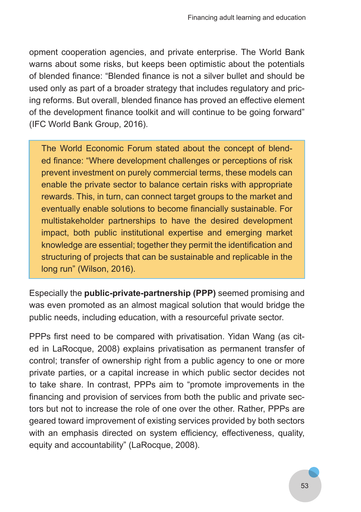opment cooperation agencies, and private enterprise. The World Bank warns about some risks, but keeps been optimistic about the potentials of blended finance: "Blended finance is not a silver bullet and should be used only as part of a broader strategy that includes regulatory and pricing reforms. But overall, blended finance has proved an effective element of the development finance toolkit and will continue to be going forward" (IFC World Bank Group, 2016).

The World Economic Forum stated about the concept of blended finance: "Where development challenges or perceptions of risk prevent investment on purely commercial terms, these models can enable the private sector to balance certain risks with appropriate rewards. This, in turn, can connect target groups to the market and eventually enable solutions to become financially sustainable. For multistakeholder partnerships to have the desired development impact, both public institutional expertise and emerging market knowledge are essential; together they permit the identification and structuring of projects that can be sustainable and replicable in the long run" (Wilson, 2016).

Especially the **public-private-partnership (PPP)** seemed promising and was even promoted as an almost magical solution that would bridge the public needs, including education, with a resourceful private sector.

PPPs first need to be compared with privatisation. Yidan Wang (as cited in LaRocque, 2008) explains privatisation as permanent transfer of control; transfer of ownership right from a public agency to one or more private parties, or a capital increase in which public sector decides not to take share. In contrast, PPPs aim to "promote improvements in the financing and provision of services from both the public and private sectors but not to increase the role of one over the other. Rather, PPPs are geared toward improvement of existing services provided by both sectors with an emphasis directed on system efficiency, effectiveness, quality, equity and accountability" (LaRocque, 2008).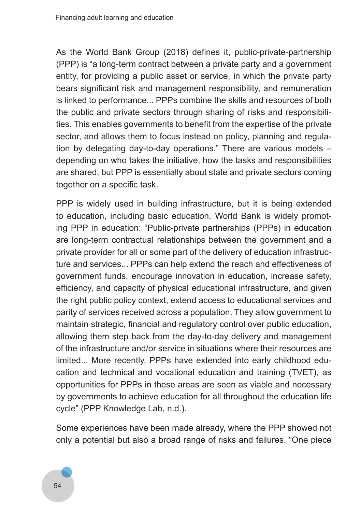As the World Bank Group (2018) defines it, public-private-partnership (PPP) is "a long-term contract between a private party and a government entity, for providing a public asset or service, in which the private party bears significant risk and management responsibility, and remuneration is linked to performance... PPPs combine the skills and resources of both the public and private sectors through sharing of risks and responsibilities. This enables governments to benefit from the expertise of the private sector, and allows them to focus instead on policy, planning and regulation by delegating day-to-day operations." There are various models – depending on who takes the initiative, how the tasks and responsibilities are shared, but PPP is essentially about state and private sectors coming together on a specific task.

PPP is widely used in building infrastructure, but it is being extended to education, including basic education. World Bank is widely promoting PPP in education: "Public-private partnerships (PPPs) in education are long-term contractual relationships between the government and a private provider for all or some part of the delivery of education infrastructure and services... PPPs can help extend the reach and effectiveness of government funds, encourage innovation in education, increase safety, efficiency, and capacity of physical educational infrastructure, and given the right public policy context, extend access to educational services and parity of services received across a population. They allow government to maintain strategic, financial and regulatory control over public education, allowing them step back from the day-to-day delivery and management of the infrastructure and/or service in situations where their resources are limited... More recently, PPPs have extended into early childhood education and technical and vocational education and training (TVET), as opportunities for PPPs in these areas are seen as viable and necessary by governments to achieve education for all throughout the education life cycle" (PPP Knowledge Lab, n.d.).

Some experiences have been made already, where the PPP showed not only a potential but also a broad range of risks and failures. "One piece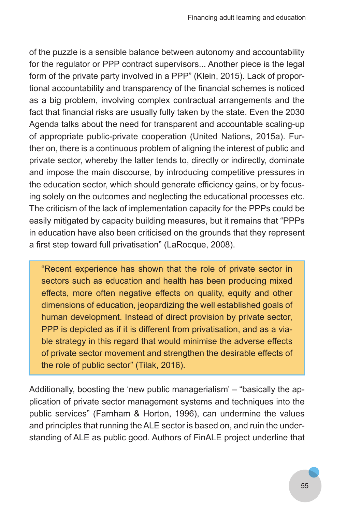of the puzzle is a sensible balance between autonomy and accountability for the regulator or PPP contract supervisors... Another piece is the legal form of the private party involved in a PPP" (Klein, 2015). Lack of proportional accountability and transparency of the financial schemes is noticed as a big problem, involving complex contractual arrangements and the fact that financial risks are usually fully taken by the state. Even the 2030 Agenda talks about the need for transparent and accountable scaling-up of appropriate public-private cooperation (United Nations, 2015a). Further on, there is a continuous problem of aligning the interest of public and private sector, whereby the latter tends to, directly or indirectly, dominate and impose the main discourse, by introducing competitive pressures in the education sector, which should generate efficiency gains, or by focusing solely on the outcomes and neglecting the educational processes etc. The criticism of the lack of implementation capacity for the PPPs could be easily mitigated by capacity building measures, but it remains that "PPPs in education have also been criticised on the grounds that they represent a first step toward full privatisation" (LaRocque, 2008).

"Recent experience has shown that the role of private sector in sectors such as education and health has been producing mixed effects, more often negative effects on quality, equity and other dimensions of education, jeopardizing the well established goals of human development. Instead of direct provision by private sector, PPP is depicted as if it is different from privatisation, and as a viable strategy in this regard that would minimise the adverse effects of private sector movement and strengthen the desirable effects of the role of public sector" (Tilak, 2016).

Additionally, boosting the 'new public managerialism' – "basically the application of private sector management systems and techniques into the public services" (Farnham & Horton, 1996), can undermine the values and principles that running the ALE sector is based on, and ruin the understanding of ALE as public good. Authors of FinALE project underline that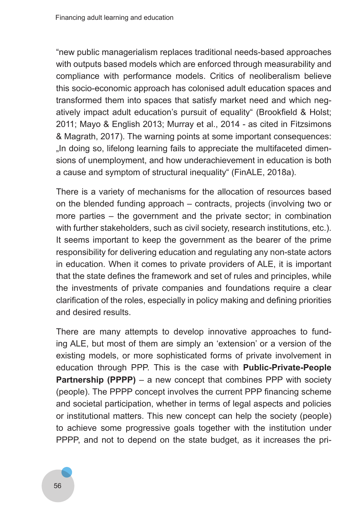"new public managerialism replaces traditional needs-based approaches with outputs based models which are enforced through measurability and compliance with performance models. Critics of neoliberalism believe this socio-economic approach has colonised adult education spaces and transformed them into spaces that satisfy market need and which negatively impact adult education's pursuit of equality" (Brookfield & Holst; 2011; Mayo & English 2013; Murray et al., 2014 - as cited in Fitzsimons & Magrath, 2017). The warning points at some important consequences: .In doing so, lifelong learning fails to appreciate the multifaceted dimensions of unemployment, and how underachievement in education is both a cause and symptom of structural inequality" (FinALE, 2018a).

There is a variety of mechanisms for the allocation of resources based on the blended funding approach – contracts, projects (involving two or more parties – the government and the private sector; in combination with further stakeholders, such as civil society, research institutions, etc.). It seems important to keep the government as the bearer of the prime responsibility for delivering education and regulating any non-state actors in education. When it comes to private providers of ALE, it is important that the state defines the framework and set of rules and principles, while the investments of private companies and foundations require a clear clarification of the roles, especially in policy making and defining priorities and desired results.

There are many attempts to develop innovative approaches to funding ALE, but most of them are simply an 'extension' or a version of the existing models, or more sophisticated forms of private involvement in education through PPP. This is the case with **Public-Private-People Partnership (PPPP)** – a new concept that combines PPP with society (people). The PPPP concept involves the current PPP financing scheme and societal participation, whether in terms of legal aspects and policies or institutional matters. This new concept can help the society (people) to achieve some progressive goals together with the institution under PPPP, and not to depend on the state budget, as it increases the pri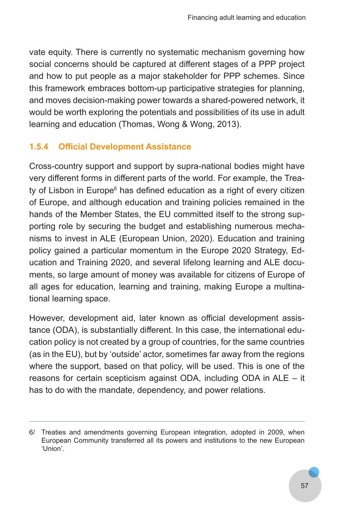vate equity. There is currently no systematic mechanism governing how social concerns should be captured at different stages of a PPP project and how to put people as a major stakeholder for PPP schemes. Since this framework embraces bottom-up participative strategies for planning, and moves decision-making power towards a shared-powered network, it would be worth exploring the potentials and possibilities of its use in adult learning and education (Thomas, Wong & Wong, 2013).

# **1.5.4 Official Development Assistance**

Cross-country support and support by supra-national bodies might have very different forms in different parts of the world. For example, the Treaty of Lisbon in Europe<sup>6</sup> has defined education as a right of every citizen of Europe, and although education and training policies remained in the hands of the Member States, the EU committed itself to the strong supporting role by securing the budget and establishing numerous mechanisms to invest in ALE (European Union, 2020). Education and training policy gained a particular momentum in the Europe 2020 Strategy, Education and Training 2020, and several lifelong learning and ALE documents, so large amount of money was available for citizens of Europe of all ages for education, learning and training, making Europe a multinational learning space.

However, development aid, later known as official development assistance (ODA), is substantially different. In this case, the international education policy is not created by a group of countries, for the same countries (as in the EU), but by 'outside' actor, sometimes far away from the regions where the support, based on that policy, will be used. This is one of the reasons for certain scepticism against ODA, including ODA in ALE – it has to do with the mandate, dependency, and power relations.

<sup>6/</sup> Treaties and amendments governing European integration, adopted in 2009, when European Community transferred all its powers and institutions to the new European 'Union'.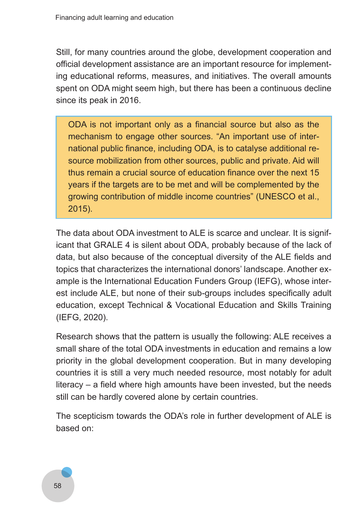Still, for many countries around the globe, development cooperation and official development assistance are an important resource for implementing educational reforms, measures, and initiatives. The overall amounts spent on ODA might seem high, but there has been a continuous decline since its peak in 2016.

ODA is not important only as a financial source but also as the mechanism to engage other sources. "An important use of international public finance, including ODA, is to catalyse additional resource mobilization from other sources, public and private. Aid will thus remain a crucial source of education finance over the next 15 years if the targets are to be met and will be complemented by the growing contribution of middle income countries" (UNESCO et al., 2015).

The data about ODA investment to ALE is scarce and unclear. It is significant that GRALE 4 is silent about ODA, probably because of the lack of data, but also because of the conceptual diversity of the ALE fields and topics that characterizes the international donors' landscape. Another example is the International Education Funders Group (IEFG), whose interest include ALE, but none of their sub-groups includes specifically adult education, except Technical & Vocational Education and Skills Training (IEFG, 2020).

Research shows that the pattern is usually the following: ALE receives a small share of the total ODA investments in education and remains a low priority in the global development cooperation. But in many developing countries it is still a very much needed resource, most notably for adult literacy – a field where high amounts have been invested, but the needs still can be hardly covered alone by certain countries.

The scepticism towards the ODA's role in further development of ALE is based on:

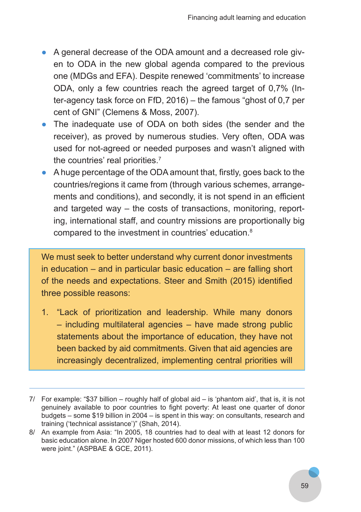- A general decrease of the ODA amount and a decreased role given to ODA in the new global agenda compared to the previous one (MDGs and EFA). Despite renewed 'commitments' to increase ODA, only a few countries reach the agreed target of 0,7% (Inter-agency task force on FfD, 2016) – the famous "ghost of 0,7 per cent of GNI" (Clemens & Moss, 2007).
- The inadequate use of ODA on both sides (the sender and the receiver), as proved by numerous studies. Very often, ODA was used for not-agreed or needed purposes and wasn't aligned with the countries' real priorities.7
- A huge percentage of the ODA amount that, firstly, goes back to the countries/regions it came from (through various schemes, arrangements and conditions), and secondly, it is not spend in an efficient and targeted way – the costs of transactions, monitoring, reporting, international staff, and country missions are proportionally big compared to the investment in countries' education.8

We must seek to better understand why current donor investments in education – and in particular basic education – are falling short of the needs and expectations. Steer and Smith (2015) identified three possible reasons:

1. "Lack of prioritization and leadership. While many donors – including multilateral agencies – have made strong public statements about the importance of education, they have not been backed by aid commitments. Given that aid agencies are increasingly decentralized, implementing central priorities will

<sup>7/</sup> For example: "\$37 billion – roughly half of global aid – is 'phantom aid', that is, it is not genuinely available to poor countries to fight poverty: At least one quarter of donor budgets – some \$19 billion in 2004 – is spent in this way: on consultants, research and training ('technical assistance')" (Shah, 2014).

<sup>8/</sup> An example from Asia: "In 2005, 18 countries had to deal with at least 12 donors for basic education alone. In 2007 Niger hosted 600 donor missions, of which less than 100 were joint." (ASPBAE & GCE, 2011).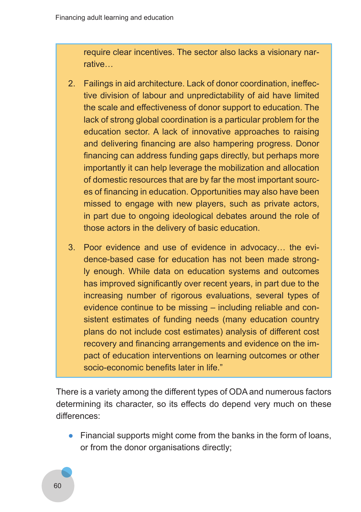require clear incentives. The sector also lacks a visionary narrative…

- 2. Failings in aid architecture. Lack of donor coordination, ineffective division of labour and unpredictability of aid have limited the scale and effectiveness of donor support to education. The lack of strong global coordination is a particular problem for the education sector. A lack of innovative approaches to raising and delivering financing are also hampering progress. Donor financing can address funding gaps directly, but perhaps more importantly it can help leverage the mobilization and allocation of domestic resources that are by far the most important sources of financing in education. Opportunities may also have been missed to engage with new players, such as private actors, in part due to ongoing ideological debates around the role of those actors in the delivery of basic education.
- 3. Poor evidence and use of evidence in advocacy… the evidence-based case for education has not been made strongly enough. While data on education systems and outcomes has improved significantly over recent years, in part due to the increasing number of rigorous evaluations, several types of evidence continue to be missing – including reliable and consistent estimates of funding needs (many education country plans do not include cost estimates) analysis of different cost recovery and financing arrangements and evidence on the impact of education interventions on learning outcomes or other socio-economic benefits later in life."

There is a variety among the different types of ODA and numerous factors determining its character, so its effects do depend very much on these differences:

● Financial supports might come from the banks in the form of loans, or from the donor organisations directly;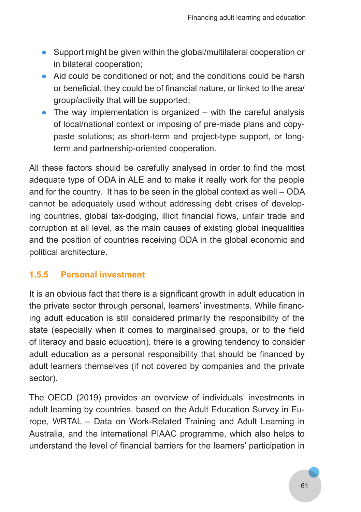- Support might be given within the global/multilateral cooperation or in bilateral cooperation;
- Aid could be conditioned or not; and the conditions could be harsh or beneficial, they could be of financial nature, or linked to the area/ group/activity that will be supported;
- $\bullet$  The way implementation is organized with the careful analysis of local/national context or imposing of pre-made plans and copypaste solutions; as short-term and project-type support, or longterm and partnership-oriented cooperation.

All these factors should be carefully analysed in order to find the most adequate type of ODA in ALE and to make it really work for the people and for the country. It has to be seen in the global context as well – ODA cannot be adequately used without addressing debt crises of developing countries, global tax-dodging, illicit financial flows, unfair trade and corruption at all level, as the main causes of existing global inequalities and the position of countries receiving ODA in the global economic and political architecture.

# **1.5.5 Personal investment**

It is an obvious fact that there is a significant growth in adult education in the private sector through personal, learners' investments. While financing adult education is still considered primarily the responsibility of the state (especially when it comes to marginalised groups, or to the field of literacy and basic education), there is a growing tendency to consider adult education as a personal responsibility that should be financed by adult learners themselves (if not covered by companies and the private sector).

The OECD (2019) provides an overview of individuals' investments in adult learning by countries, based on the Adult Education Survey in Europe, WRTAL – Data on Work-Related Training and Adult Learning in Australia, and the international PIAAC programme, which also helps to understand the level of financial barriers for the learners' participation in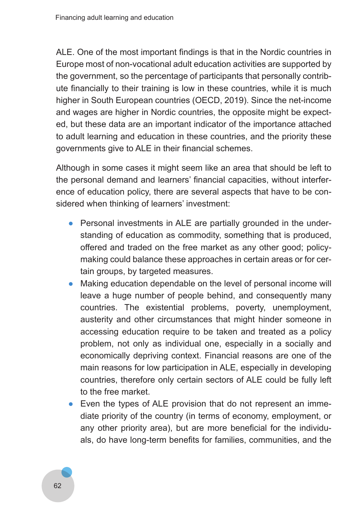ALE. One of the most important findings is that in the Nordic countries in Europe most of non-vocational adult education activities are supported by the government, so the percentage of participants that personally contribute financially to their training is low in these countries, while it is much higher in South European countries (OECD, 2019). Since the net-income and wages are higher in Nordic countries, the opposite might be expected, but these data are an important indicator of the importance attached to adult learning and education in these countries, and the priority these governments give to ALE in their financial schemes.

Although in some cases it might seem like an area that should be left to the personal demand and learners' financial capacities, without interference of education policy, there are several aspects that have to be considered when thinking of learners' investment:

- Personal investments in ALE are partially grounded in the understanding of education as commodity, something that is produced, offered and traded on the free market as any other good; policymaking could balance these approaches in certain areas or for certain groups, by targeted measures.
- Making education dependable on the level of personal income will leave a huge number of people behind, and consequently many countries. The existential problems, poverty, unemployment, austerity and other circumstances that might hinder someone in accessing education require to be taken and treated as a policy problem, not only as individual one, especially in a socially and economically depriving context. Financial reasons are one of the main reasons for low participation in ALE, especially in developing countries, therefore only certain sectors of ALE could be fully left to the free market.
- Even the types of ALE provision that do not represent an immediate priority of the country (in terms of economy, employment, or any other priority area), but are more beneficial for the individuals, do have long-term benefits for families, communities, and the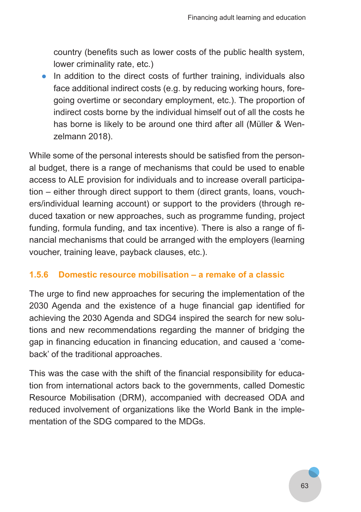country (benefits such as lower costs of the public health system, lower criminality rate, etc.)

• In addition to the direct costs of further training, individuals also face additional indirect costs (e.g. by reducing working hours, foregoing overtime or secondary employment, etc.). The proportion of indirect costs borne by the individual himself out of all the costs he has borne is likely to be around one third after all (Müller & Wenzelmann 2018).

While some of the personal interests should be satisfied from the personal budget, there is a range of mechanisms that could be used to enable access to ALE provision for individuals and to increase overall participation – either through direct support to them (direct grants, loans, vouchers/individual learning account) or support to the providers (through reduced taxation or new approaches, such as programme funding, project funding, formula funding, and tax incentive). There is also a range of financial mechanisms that could be arranged with the employers (learning voucher, training leave, payback clauses, etc.).

#### **1.5.6 Domestic resource mobilisation – a remake of a classic**

The urge to find new approaches for securing the implementation of the 2030 Agenda and the existence of a huge financial gap identified for achieving the 2030 Agenda and SDG4 inspired the search for new solutions and new recommendations regarding the manner of bridging the gap in financing education in financing education, and caused a 'comeback' of the traditional approaches.

This was the case with the shift of the financial responsibility for education from international actors back to the governments, called Domestic Resource Mobilisation (DRM), accompanied with decreased ODA and reduced involvement of organizations like the World Bank in the implementation of the SDG compared to the MDGs.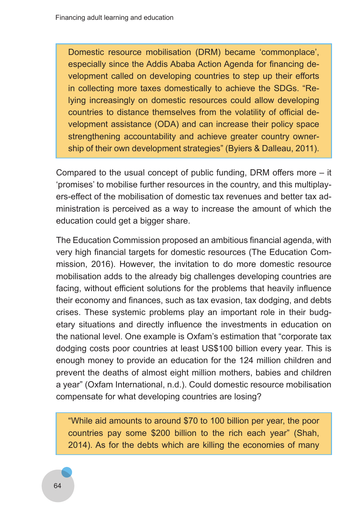Domestic resource mobilisation (DRM) became 'commonplace', especially since the Addis Ababa Action Agenda for financing development called on developing countries to step up their efforts in collecting more taxes domestically to achieve the SDGs. "Relying increasingly on domestic resources could allow developing countries to distance themselves from the volatility of official development assistance (ODA) and can increase their policy space strengthening accountability and achieve greater country ownership of their own development strategies" (Byiers & Dalleau, 2011).

Compared to the usual concept of public funding, DRM offers more – it 'promises' to mobilise further resources in the country, and this multiplayers-effect of the mobilisation of domestic tax revenues and better tax administration is perceived as a way to increase the amount of which the education could get a bigger share.

The Education Commission proposed an ambitious financial agenda, with very high financial targets for domestic resources (The Education Commission, 2016). However, the invitation to do more domestic resource mobilisation adds to the already big challenges developing countries are facing, without efficient solutions for the problems that heavily influence their economy and finances, such as tax evasion, tax dodging, and debts crises. These systemic problems play an important role in their budgetary situations and directly influence the investments in education on the national level. One example is Oxfam's estimation that "corporate tax dodging costs poor countries at least US\$100 billion every year. This is enough money to provide an education for the 124 million children and prevent the deaths of almost eight million mothers, babies and children a year" (Oxfam International, n.d.). Could domestic resource mobilisation compensate for what developing countries are losing?

"While aid amounts to around \$70 to 100 billion per year, the poor countries pay some \$200 billion to the rich each year" (Shah, 2014). As for the debts which are killing the economies of many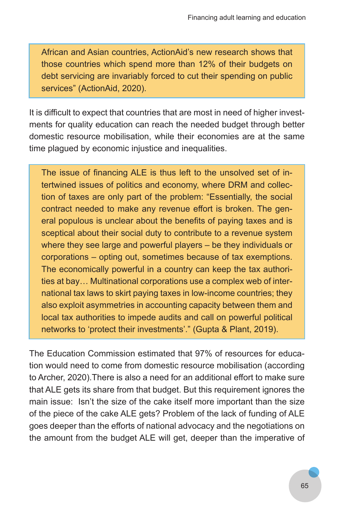African and Asian countries, ActionAid's new research shows that those countries which spend more than 12% of their budgets on debt servicing are invariably forced to cut their spending on public services" (ActionAid, 2020).

It is difficult to expect that countries that are most in need of higher investments for quality education can reach the needed budget through better domestic resource mobilisation, while their economies are at the same time plagued by economic injustice and inequalities.

The issue of financing ALE is thus left to the unsolved set of intertwined issues of politics and economy, where DRM and collection of taxes are only part of the problem: "Essentially, the social contract needed to make any revenue effort is broken. The general populous is unclear about the benefits of paying taxes and is sceptical about their social duty to contribute to a revenue system where they see large and powerful players – be they individuals or corporations – opting out, sometimes because of tax exemptions. The economically powerful in a country can keep the tax authorities at bay… Multinational corporations use a complex web of international tax laws to skirt paying taxes in low-income countries; they also exploit asymmetries in accounting capacity between them and local tax authorities to impede audits and call on powerful political networks to 'protect their investments'." (Gupta & Plant, 2019).

The Education Commission estimated that 97% of resources for education would need to come from domestic resource mobilisation (according to Archer, 2020).There is also a need for an additional effort to make sure that ALE gets its share from that budget. But this requirement ignores the main issue: Isn't the size of the cake itself more important than the size of the piece of the cake ALE gets? Problem of the lack of funding of ALE goes deeper than the efforts of national advocacy and the negotiations on the amount from the budget ALE will get, deeper than the imperative of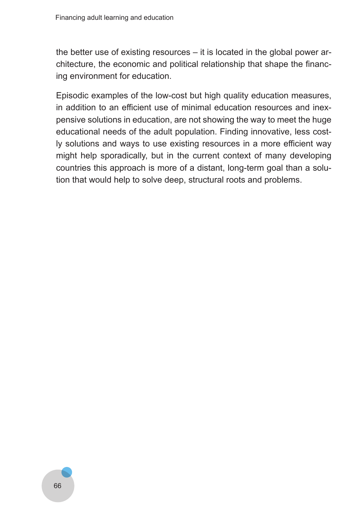the better use of existing resources – it is located in the global power architecture, the economic and political relationship that shape the financing environment for education.

Episodic examples of the low-cost but high quality education measures, in addition to an efficient use of minimal education resources and inexpensive solutions in education, are not showing the way to meet the huge educational needs of the adult population. Finding innovative, less costly solutions and ways to use existing resources in a more efficient way might help sporadically, but in the current context of many developing countries this approach is more of a distant, long-term goal than a solution that would help to solve deep, structural roots and problems.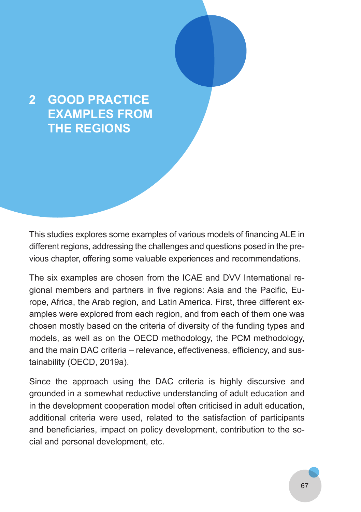# **2 GOOD PRACTICE EXAMPLES FROM THE REGIONS**

This studies explores some examples of various models of financing ALE in different regions, addressing the challenges and questions posed in the previous chapter, offering some valuable experiences and recommendations.

The six examples are chosen from the ICAE and DVV International regional members and partners in five regions: Asia and the Pacific, Europe, Africa, the Arab region, and Latin America. First, three different examples were explored from each region, and from each of them one was chosen mostly based on the criteria of diversity of the funding types and models, as well as on the OECD methodology, the PCM methodology, and the main DAC criteria – relevance, effectiveness, efficiency, and sustainability (OECD, 2019a).

Since the approach using the DAC criteria is highly discursive and grounded in a somewhat reductive understanding of adult education and in the development cooperation model often criticised in adult education, additional criteria were used, related to the satisfaction of participants and beneficiaries, impact on policy development, contribution to the social and personal development, etc.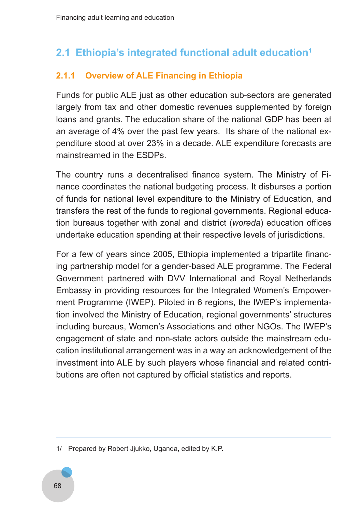# **2.1 Ethiopia's integrated functional adult education<sup>1</sup>**

# **2.1.1 Overview of ALE Financing in Ethiopia**

Funds for public ALE just as other education sub-sectors are generated largely from tax and other domestic revenues supplemented by foreign loans and grants. The education share of the national GDP has been at an average of 4% over the past few years. Its share of the national expenditure stood at over 23% in a decade. ALE expenditure forecasts are mainstreamed in the ESDPs.

The country runs a decentralised finance system. The Ministry of Finance coordinates the national budgeting process. It disburses a portion of funds for national level expenditure to the Ministry of Education, and transfers the rest of the funds to regional governments. Regional education bureaus together with zonal and district (*woreda*) education offices undertake education spending at their respective levels of jurisdictions.

For a few of years since 2005, Ethiopia implemented a tripartite financing partnership model for a gender-based ALE programme. The Federal Government partnered with DVV International and Royal Netherlands Embassy in providing resources for the Integrated Women's Empowerment Programme (IWEP). Piloted in 6 regions, the IWEP's implementation involved the Ministry of Education, regional governments' structures including bureaus, Women's Associations and other NGOs. The IWEP's engagement of state and non-state actors outside the mainstream education institutional arrangement was in a way an acknowledgement of the investment into ALE by such players whose financial and related contributions are often not captured by official statistics and reports.

<sup>1/</sup> Prepared by Robert Jjukko, Uganda, edited by K.P.

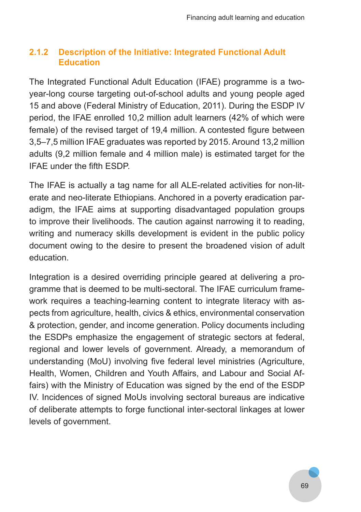# **2.1.2 Description of the Initiative: Integrated Functional Adult Education**

The Integrated Functional Adult Education (IFAE) programme is a twoyear-long course targeting out-of-school adults and young people aged 15 and above (Federal Ministry of Education, 2011). During the ESDP IV period, the IFAE enrolled 10,2 million adult learners (42% of which were female) of the revised target of 19,4 million. A contested figure between 3,5–7,5 million IFAE graduates was reported by 2015. Around 13,2 million adults (9,2 million female and 4 million male) is estimated target for the IFAE under the fifth ESDP.

The IFAE is actually a tag name for all ALE-related activities for non-literate and neo-literate Ethiopians. Anchored in a poverty eradication paradigm, the IFAE aims at supporting disadvantaged population groups to improve their livelihoods. The caution against narrowing it to reading, writing and numeracy skills development is evident in the public policy document owing to the desire to present the broadened vision of adult education.

Integration is a desired overriding principle geared at delivering a programme that is deemed to be multi-sectoral. The IFAE curriculum framework requires a teaching-learning content to integrate literacy with aspects from agriculture, health, civics & ethics, environmental conservation & protection, gender, and income generation. Policy documents including the ESDPs emphasize the engagement of strategic sectors at federal, regional and lower levels of government. Already, a memorandum of understanding (MoU) involving five federal level ministries (Agriculture, Health, Women, Children and Youth Affairs, and Labour and Social Affairs) with the Ministry of Education was signed by the end of the ESDP IV. Incidences of signed MoUs involving sectoral bureaus are indicative of deliberate attempts to forge functional inter-sectoral linkages at lower levels of government.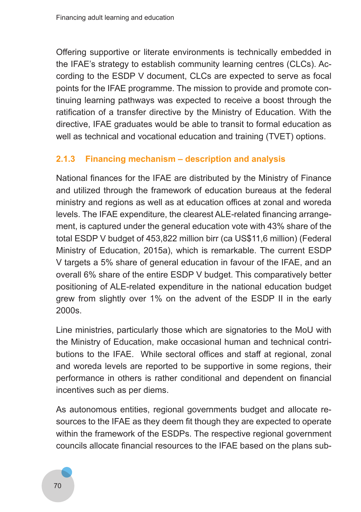Offering supportive or literate environments is technically embedded in the IFAE's strategy to establish community learning centres (CLCs). According to the ESDP V document, CLCs are expected to serve as focal points for the IFAE programme. The mission to provide and promote continuing learning pathways was expected to receive a boost through the ratification of a transfer directive by the Ministry of Education. With the directive, IFAE graduates would be able to transit to formal education as well as technical and vocational education and training (TVET) options.

### **2.1.3 Financing mechanism – description and analysis**

National finances for the IFAE are distributed by the Ministry of Finance and utilized through the framework of education bureaus at the federal ministry and regions as well as at education offices at zonal and woreda levels. The IFAE expenditure, the clearest ALE-related financing arrangement, is captured under the general education vote with 43% share of the total ESDP V budget of 453,822 million birr (ca US\$11,6 million) (Federal Ministry of Education, 2015a), which is remarkable. The current ESDP V targets a 5% share of general education in favour of the IFAE, and an overall 6% share of the entire ESDP V budget. This comparatively better positioning of ALE-related expenditure in the national education budget grew from slightly over 1% on the advent of the ESDP II in the early 2000s.

Line ministries, particularly those which are signatories to the MoU with the Ministry of Education, make occasional human and technical contributions to the IFAE. While sectoral offices and staff at regional, zonal and woreda levels are reported to be supportive in some regions, their performance in others is rather conditional and dependent on financial incentives such as per diems.

As autonomous entities, regional governments budget and allocate resources to the IFAE as they deem fit though they are expected to operate within the framework of the ESDPs. The respective regional government councils allocate financial resources to the IFAE based on the plans sub-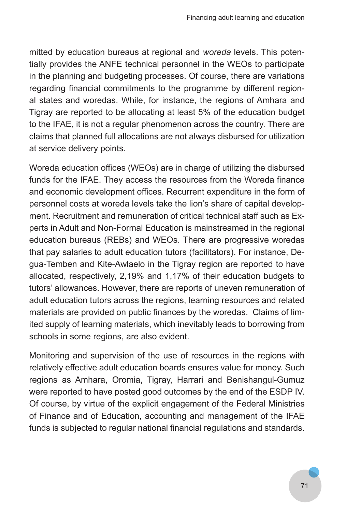mitted by education bureaus at regional and *woreda* levels. This potentially provides the ANFE technical personnel in the WEOs to participate in the planning and budgeting processes. Of course, there are variations regarding financial commitments to the programme by different regional states and woredas. While, for instance, the regions of Amhara and Tigray are reported to be allocating at least 5% of the education budget to the IFAE, it is not a regular phenomenon across the country. There are claims that planned full allocations are not always disbursed for utilization at service delivery points.

Woreda education offices (WEOs) are in charge of utilizing the disbursed funds for the IFAE. They access the resources from the Woreda finance and economic development offices. Recurrent expenditure in the form of personnel costs at woreda levels take the lion's share of capital development. Recruitment and remuneration of critical technical staff such as Experts in Adult and Non-Formal Education is mainstreamed in the regional education bureaus (REBs) and WEOs. There are progressive woredas that pay salaries to adult education tutors (facilitators). For instance, Degua-Temben and Kite-Awlaelo in the Tigray region are reported to have allocated, respectively, 2,19% and 1,17% of their education budgets to tutors' allowances. However, there are reports of uneven remuneration of adult education tutors across the regions, learning resources and related materials are provided on public finances by the woredas. Claims of limited supply of learning materials, which inevitably leads to borrowing from schools in some regions, are also evident.

Monitoring and supervision of the use of resources in the regions with relatively effective adult education boards ensures value for money. Such regions as Amhara, Oromia, Tigray, Harrari and Benishangul-Gumuz were reported to have posted good outcomes by the end of the ESDP IV. Of course, by virtue of the explicit engagement of the Federal Ministries of Finance and of Education, accounting and management of the IFAE funds is subjected to regular national financial regulations and standards.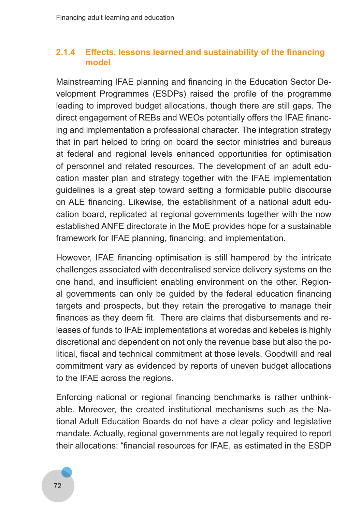### **2.1.4 Effects, lessons learned and sustainability of the financing model**

Mainstreaming IFAE planning and financing in the Education Sector Development Programmes (ESDPs) raised the profile of the programme leading to improved budget allocations, though there are still gaps. The direct engagement of REBs and WEOs potentially offers the IFAE financing and implementation a professional character. The integration strategy that in part helped to bring on board the sector ministries and bureaus at federal and regional levels enhanced opportunities for optimisation of personnel and related resources. The development of an adult education master plan and strategy together with the IFAE implementation guidelines is a great step toward setting a formidable public discourse on ALE financing. Likewise, the establishment of a national adult education board, replicated at regional governments together with the now established ANFE directorate in the MoE provides hope for a sustainable framework for IFAE planning, financing, and implementation.

However, IFAE financing optimisation is still hampered by the intricate challenges associated with decentralised service delivery systems on the one hand, and insufficient enabling environment on the other. Regional governments can only be guided by the federal education financing targets and prospects, but they retain the prerogative to manage their finances as they deem fit. There are claims that disbursements and releases of funds to IFAE implementations at woredas and kebeles is highly discretional and dependent on not only the revenue base but also the political, fiscal and technical commitment at those levels. Goodwill and real commitment vary as evidenced by reports of uneven budget allocations to the IFAE across the regions.

Enforcing national or regional financing benchmarks is rather unthinkable. Moreover, the created institutional mechanisms such as the National Adult Education Boards do not have a clear policy and legislative mandate. Actually, regional governments are not legally required to report their allocations: "financial resources for IFAE, as estimated in the ESDP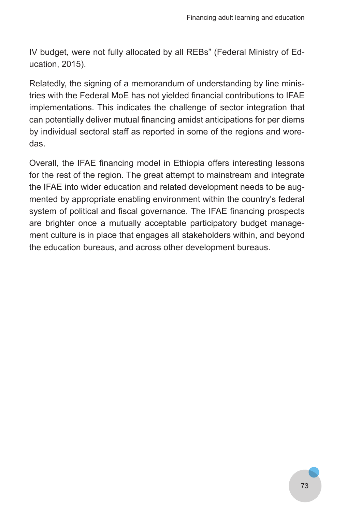IV budget, were not fully allocated by all REBs" (Federal Ministry of Education, 2015).

Relatedly, the signing of a memorandum of understanding by line ministries with the Federal MoE has not yielded financial contributions to IFAE implementations. This indicates the challenge of sector integration that can potentially deliver mutual financing amidst anticipations for per diems by individual sectoral staff as reported in some of the regions and woredas.

Overall, the IFAE financing model in Ethiopia offers interesting lessons for the rest of the region. The great attempt to mainstream and integrate the IFAE into wider education and related development needs to be augmented by appropriate enabling environment within the country's federal system of political and fiscal governance. The IFAE financing prospects are brighter once a mutually acceptable participatory budget management culture is in place that engages all stakeholders within, and beyond the education bureaus, and across other development bureaus.

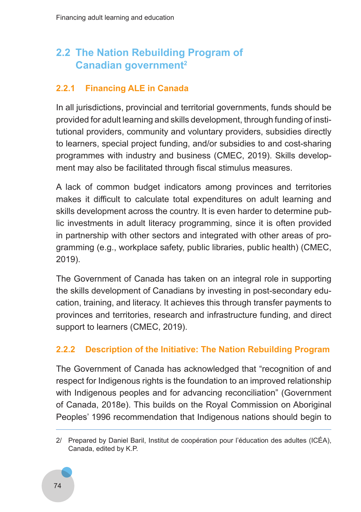# **2.2 The Nation Rebuilding Program of Canadian government<sup>2</sup>**

# **2.2.1 Financing ALE in Canada**

In all jurisdictions, provincial and territorial governments, funds should be provided for adult learning and skills development, through funding of institutional providers, community and voluntary providers, subsidies directly to learners, special project funding, and/or subsidies to and cost-sharing programmes with industry and business (CMEC, 2019). Skills development may also be facilitated through fiscal stimulus measures.

A lack of common budget indicators among provinces and territories makes it difficult to calculate total expenditures on adult learning and skills development across the country. It is even harder to determine public investments in adult literacy programming, since it is often provided in partnership with other sectors and integrated with other areas of programming (e.g., workplace safety, public libraries, public health) (CMEC, 2019).

The Government of Canada has taken on an integral role in supporting the skills development of Canadians by investing in post-secondary education, training, and literacy. It achieves this through transfer payments to provinces and territories, research and infrastructure funding, and direct support to learners (CMEC, 2019).

# **2.2.2 Description of the Initiative: The Nation Rebuilding Program**

The Government of Canada has acknowledged that "recognition of and respect for Indigenous rights is the foundation to an improved relationship with Indigenous peoples and for advancing reconciliation" (Government of Canada, 2018e). This builds on the Royal Commission on Aboriginal Peoples' 1996 recommendation that Indigenous nations should begin to

<sup>2/</sup> Prepared by Daniel Baril, Institut de coopération pour l'éducation des adultes (ICÉA), Canada, edited by K.P.

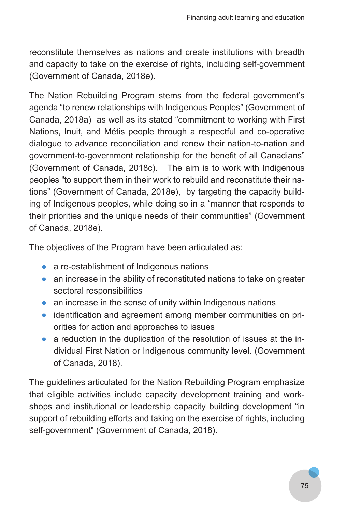reconstitute themselves as nations and create institutions with breadth and capacity to take on the exercise of rights, including self-government (Government of Canada, 2018e).

The Nation Rebuilding Program stems from the federal government's agenda "to renew relationships with Indigenous Peoples" (Government of Canada, 2018a) as well as its stated "commitment to working with First Nations, Inuit, and Métis people through a respectful and co-operative dialogue to advance reconciliation and renew their nation-to-nation and government-to-government relationship for the benefit of all Canadians" (Government of Canada, 2018c). The aim is to work with Indigenous peoples "to support them in their work to rebuild and reconstitute their nations" (Government of Canada, 2018e), by targeting the capacity building of Indigenous peoples, while doing so in a "manner that responds to their priorities and the unique needs of their communities" (Government of Canada, 2018e).

The objectives of the Program have been articulated as:

- a re-establishment of Indigenous nations
- an increase in the ability of reconstituted nations to take on greater sectoral responsibilities
- an increase in the sense of unity within Indigenous nations
- identification and agreement among member communities on priorities for action and approaches to issues
- a reduction in the duplication of the resolution of issues at the individual First Nation or Indigenous community level. (Government of Canada, 2018).

The guidelines articulated for the Nation Rebuilding Program emphasize that eligible activities include capacity development training and workshops and institutional or leadership capacity building development "in support of rebuilding efforts and taking on the exercise of rights, including self-government" (Government of Canada, 2018).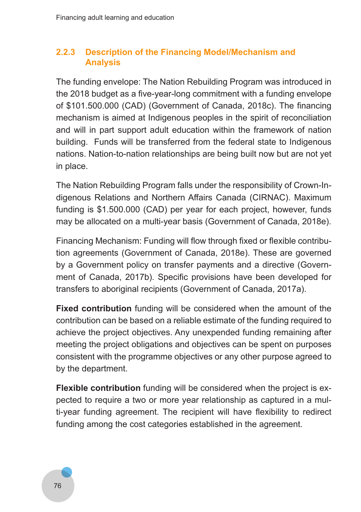# **2.2.3 Description of the Financing Model/Mechanism and Analysis**

The funding envelope: The Nation Rebuilding Program was introduced in the 2018 budget as a five-year-long commitment with a funding envelope of \$101.500.000 (CAD) (Government of Canada, 2018c). The financing mechanism is aimed at Indigenous peoples in the spirit of reconciliation and will in part support adult education within the framework of nation building. Funds will be transferred from the federal state to Indigenous nations. Nation-to-nation relationships are being built now but are not yet in place.

The Nation Rebuilding Program falls under the responsibility of Crown-Indigenous Relations and Northern Affairs Canada (CIRNAC). Maximum funding is \$1.500.000 (CAD) per year for each project, however, funds may be allocated on a multi-year basis (Government of Canada, 2018e).

Financing Mechanism: Funding will flow through fixed or flexible contribution agreements (Government of Canada, 2018e). These are governed by a Government policy on transfer payments and a directive (Government of Canada, 2017b). Specific provisions have been developed for transfers to aboriginal recipients (Government of Canada, 2017a).

**Fixed contribution** funding will be considered when the amount of the contribution can be based on a reliable estimate of the funding required to achieve the project objectives. Any unexpended funding remaining after meeting the project obligations and objectives can be spent on purposes consistent with the programme objectives or any other purpose agreed to by the department.

**Flexible contribution** funding will be considered when the project is expected to require a two or more year relationship as captured in a multi-year funding agreement. The recipient will have flexibility to redirect funding among the cost categories established in the agreement.

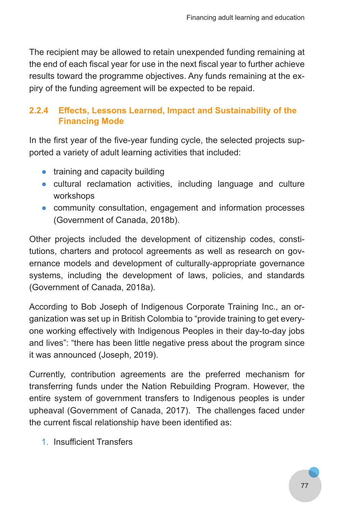The recipient may be allowed to retain unexpended funding remaining at the end of each fiscal year for use in the next fiscal year to further achieve results toward the programme objectives. Any funds remaining at the expiry of the funding agreement will be expected to be repaid.

# **2.2.4 Effects, Lessons Learned, Impact and Sustainability of the Financing Mode**

In the first year of the five-year funding cycle, the selected projects supported a variety of adult learning activities that included:

- training and capacity building
- cultural reclamation activities, including language and culture workshops
- community consultation, engagement and information processes (Government of Canada, 2018b).

Other projects included the development of citizenship codes, constitutions, charters and protocol agreements as well as research on governance models and development of culturally-appropriate governance systems, including the development of laws, policies, and standards (Government of Canada, 2018a).

According to Bob Joseph of Indigenous Corporate Training Inc., an organization was set up in British Colombia to "provide training to get everyone working effectively with Indigenous Peoples in their day-to-day jobs and lives": "there has been little negative press about the program since it was announced (Joseph, 2019).

Currently, contribution agreements are the preferred mechanism for transferring funds under the Nation Rebuilding Program. However, the entire system of government transfers to Indigenous peoples is under upheaval (Government of Canada, 2017). The challenges faced under the current fiscal relationship have been identified as:

1. Insufficient Transfers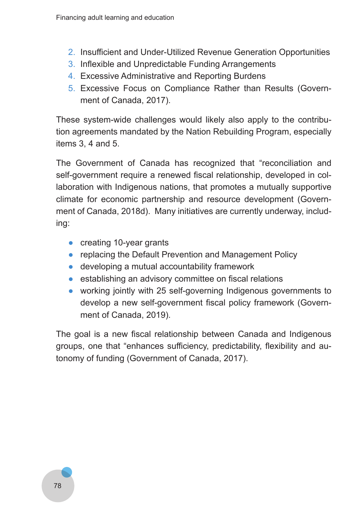- 2. Insufficient and Under-Utilized Revenue Generation Opportunities
- 3. Inflexible and Unpredictable Funding Arrangements
- 4. Excessive Administrative and Reporting Burdens
- 5. Excessive Focus on Compliance Rather than Results (Government of Canada, 2017).

These system-wide challenges would likely also apply to the contribution agreements mandated by the Nation Rebuilding Program, especially items 3, 4 and 5.

The Government of Canada has recognized that "reconciliation and self-government require a renewed fiscal relationship, developed in collaboration with Indigenous nations, that promotes a mutually supportive climate for economic partnership and resource development (Government of Canada, 2018d). Many initiatives are currently underway, including:

- creating 10-year grants
- replacing the Default Prevention and Management Policy
- developing a mutual accountability framework
- establishing an advisory committee on fiscal relations
- working jointly with 25 self-governing Indigenous governments to develop a new self-government fiscal policy framework (Government of Canada, 2019).

The goal is a new fiscal relationship between Canada and Indigenous groups, one that "enhances sufficiency, predictability, flexibility and autonomy of funding (Government of Canada, 2017).

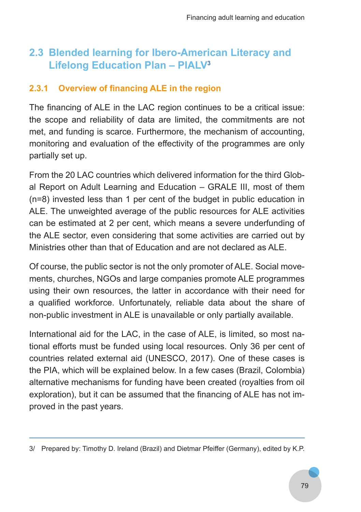# **2.3 Blended learning for Ibero-American Literacy and Lifelong Education Plan – PIALV<sup>3</sup>**

# **2.3.1 Overview of financing ALE in the region**

The financing of ALE in the LAC region continues to be a critical issue: the scope and reliability of data are limited, the commitments are not met, and funding is scarce. Furthermore, the mechanism of accounting, monitoring and evaluation of the effectivity of the programmes are only partially set up.

From the 20 LAC countries which delivered information for the third Global Report on Adult Learning and Education – GRALE III, most of them (n=8) invested less than 1 per cent of the budget in public education in ALE. The unweighted average of the public resources for ALE activities can be estimated at 2 per cent, which means a severe underfunding of the ALE sector, even considering that some activities are carried out by Ministries other than that of Education and are not declared as ALE.

Of course, the public sector is not the only promoter of ALE. Social movements, churches, NGOs and large companies promote ALE programmes using their own resources, the latter in accordance with their need for a qualified workforce. Unfortunately, reliable data about the share of non-public investment in ALE is unavailable or only partially available.

International aid for the LAC, in the case of ALE, is limited, so most national efforts must be funded using local resources. Only 36 per cent of countries related external aid (UNESCO, 2017). One of these cases is the PIA, which will be explained below. In a few cases (Brazil, Colombia) alternative mechanisms for funding have been created (royalties from oil exploration), but it can be assumed that the financing of ALE has not improved in the past years.

<sup>3/</sup> Prepared by: Timothy D. Ireland (Brazil) and Dietmar Pfeiffer (Germany), edited by K.P.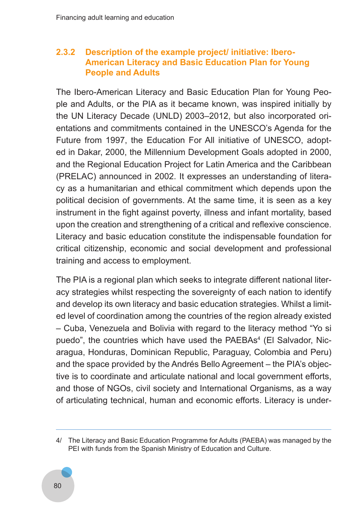#### **2.3.2 Description of the example project/ initiative: Ibero-American Literacy and Basic Education Plan for Young People and Adults**

The Ibero-American Literacy and Basic Education Plan for Young People and Adults, or the PIA as it became known, was inspired initially by the UN Literacy Decade (UNLD) 2003–2012, but also incorporated orientations and commitments contained in the UNESCO's Agenda for the Future from 1997, the Education For All initiative of UNESCO, adopted in Dakar, 2000, the Millennium Development Goals adopted in 2000, and the Regional Education Project for Latin America and the Caribbean (PRELAC) announced in 2002. It expresses an understanding of literacy as a humanitarian and ethical commitment which depends upon the political decision of governments. At the same time, it is seen as a key instrument in the fight against poverty, illness and infant mortality, based upon the creation and strengthening of a critical and reflexive conscience. Literacy and basic education constitute the indispensable foundation for critical citizenship, economic and social development and professional training and access to employment.

The PIA is a regional plan which seeks to integrate different national literacy strategies whilst respecting the sovereignty of each nation to identify and develop its own literacy and basic education strategies. Whilst a limited level of coordination among the countries of the region already existed – Cuba, Venezuela and Bolivia with regard to the literacy method "Yo si puedo", the countries which have used the PAEBAs<sup>4</sup> (El Salvador, Nicaragua, Honduras, Dominican Republic, Paraguay, Colombia and Peru) and the space provided by the Andrés Bello Agreement – the PIA's objective is to coordinate and articulate national and local government efforts, and those of NGOs, civil society and International Organisms, as a way of articulating technical, human and economic efforts. Literacy is under-

<sup>4/</sup> The Literacy and Basic Education Programme for Adults (PAEBA) was managed by the PEI with funds from the Spanish Ministry of Education and Culture.

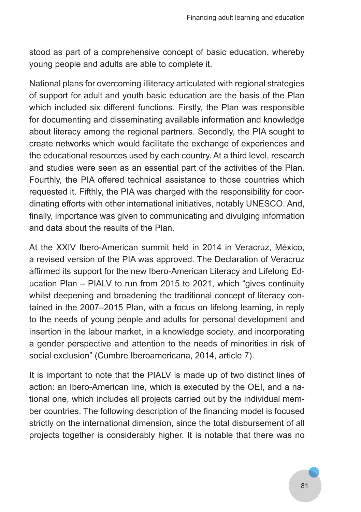stood as part of a comprehensive concept of basic education, whereby young people and adults are able to complete it.

National plans for overcoming illiteracy articulated with regional strategies of support for adult and youth basic education are the basis of the Plan which included six different functions. Firstly, the Plan was responsible for documenting and disseminating available information and knowledge about literacy among the regional partners. Secondly, the PIA sought to create networks which would facilitate the exchange of experiences and the educational resources used by each country. At a third level, research and studies were seen as an essential part of the activities of the Plan. Fourthly, the PIA offered technical assistance to those countries which requested it. Fifthly, the PIA was charged with the responsibility for coordinating efforts with other international initiatives, notably UNESCO. And, finally, importance was given to communicating and divulging information and data about the results of the Plan.

At the XXIV Ibero-American summit held in 2014 in Veracruz, México, a revised version of the PIA was approved. The Declaration of Veracruz affirmed its support for the new Ibero-American Literacy and Lifelong Education Plan – PIALV to run from 2015 to 2021, which "gives continuity whilst deepening and broadening the traditional concept of literacy contained in the 2007–2015 Plan, with a focus on lifelong learning, in reply to the needs of young people and adults for personal development and insertion in the labour market, in a knowledge society, and incorporating a gender perspective and attention to the needs of minorities in risk of social exclusion" (Cumbre Iberoamericana, 2014, article 7).

It is important to note that the PIALV is made up of two distinct lines of action: an Ibero-American line, which is executed by the OEI, and a national one, which includes all projects carried out by the individual member countries. The following description of the financing model is focused strictly on the international dimension, since the total disbursement of all projects together is considerably higher. It is notable that there was no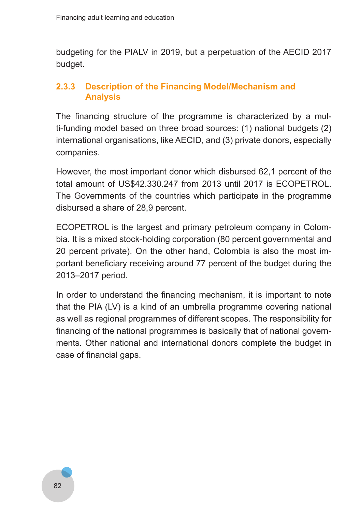budgeting for the PIALV in 2019, but a perpetuation of the AECID 2017 budget.

### **2.3.3 Description of the Financing Model/Mechanism and Analysis**

The financing structure of the programme is characterized by a multi-funding model based on three broad sources: (1) national budgets (2) international organisations, like AECID, and (3) private donors, especially companies.

However, the most important donor which disbursed 62,1 percent of the total amount of US\$42.330.247 from 2013 until 2017 is ECOPETROL. The Governments of the countries which participate in the programme disbursed a share of 28,9 percent.

ECOPETROL is the largest and primary petroleum company in Colombia. It is a mixed stock-holding corporation (80 percent governmental and 20 percent private). On the other hand, Colombia is also the most important beneficiary receiving around 77 percent of the budget during the 2013–2017 period.

In order to understand the financing mechanism, it is important to note that the PIA (LV) is a kind of an umbrella programme covering national as well as regional programmes of different scopes. The responsibility for financing of the national programmes is basically that of national governments. Other national and international donors complete the budget in case of financial gaps.

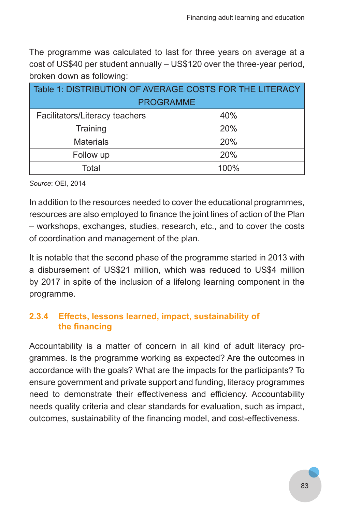The programme was calculated to last for three years on average at a cost of US\$40 per student annually – US\$120 over the three-year period, broken down as following:

| Table 1: DISTRIBUTION OF AVERAGE COSTS FOR THE LITERACY |      |
|---------------------------------------------------------|------|
| <b>PROGRAMME</b>                                        |      |
| Facilitators/Literacy teachers                          | 40%  |
| Training                                                | 20%  |
| <b>Materials</b>                                        | 20%  |
| Follow up                                               | 20%  |
| Total                                                   | 100% |

*Source*: OEI, 2014

In addition to the resources needed to cover the educational programmes, resources are also employed to finance the joint lines of action of the Plan – workshops, exchanges, studies, research, etc., and to cover the costs of coordination and management of the plan.

It is notable that the second phase of the programme started in 2013 with a disbursement of US\$21 million, which was reduced to US\$4 million by 2017 in spite of the inclusion of a lifelong learning component in the programme.

# **2.3.4 Effects, lessons learned, impact, sustainability of the financing**

Accountability is a matter of concern in all kind of adult literacy programmes. Is the programme working as expected? Are the outcomes in accordance with the goals? What are the impacts for the participants? To ensure government and private support and funding, literacy programmes need to demonstrate their effectiveness and efficiency. Accountability needs quality criteria and clear standards for evaluation, such as impact, outcomes, sustainability of the financing model, and cost-effectiveness.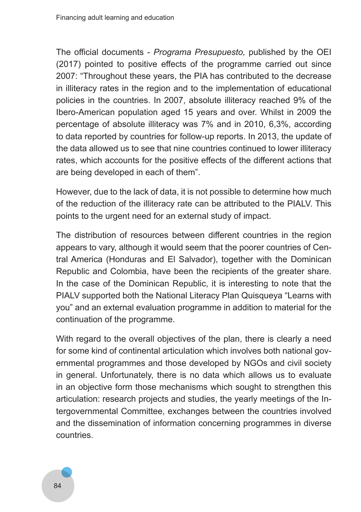The official documents - *Programa Presupuesto,* published by the OEI (2017) pointed to positive effects of the programme carried out since 2007: "Throughout these years, the PIA has contributed to the decrease in illiteracy rates in the region and to the implementation of educational policies in the countries. In 2007, absolute illiteracy reached 9% of the Ibero-American population aged 15 years and over. Whilst in 2009 the percentage of absolute illiteracy was 7% and in 2010, 6,3%, according to data reported by countries for follow-up reports. In 2013, the update of the data allowed us to see that nine countries continued to lower illiteracy rates, which accounts for the positive effects of the different actions that are being developed in each of them".

However, due to the lack of data, it is not possible to determine how much of the reduction of the illiteracy rate can be attributed to the PIALV. This points to the urgent need for an external study of impact.

The distribution of resources between different countries in the region appears to vary, although it would seem that the poorer countries of Central America (Honduras and El Salvador), together with the Dominican Republic and Colombia, have been the recipients of the greater share. In the case of the Dominican Republic, it is interesting to note that the PIALV supported both the National Literacy Plan Quisqueya "Learns with you" and an external evaluation programme in addition to material for the continuation of the programme.

With regard to the overall objectives of the plan, there is clearly a need for some kind of continental articulation which involves both national governmental programmes and those developed by NGOs and civil society in general. Unfortunately, there is no data which allows us to evaluate in an objective form those mechanisms which sought to strengthen this articulation: research projects and studies, the yearly meetings of the Intergovernmental Committee, exchanges between the countries involved and the dissemination of information concerning programmes in diverse countries.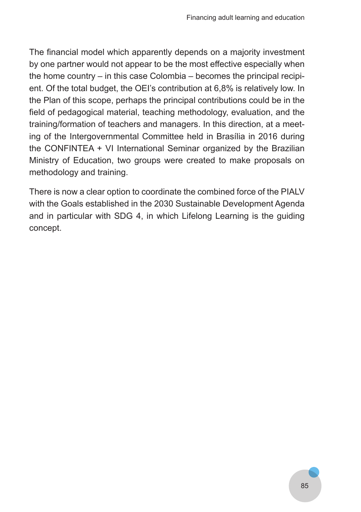The financial model which apparently depends on a majority investment by one partner would not appear to be the most effective especially when the home country – in this case Colombia – becomes the principal recipient. Of the total budget, the OEI's contribution at 6,8% is relatively low. In the Plan of this scope, perhaps the principal contributions could be in the field of pedagogical material, teaching methodology, evaluation, and the training/formation of teachers and managers. In this direction, at a meeting of the Intergovernmental Committee held in Brasília in 2016 during the CONFINTEA + VI International Seminar organized by the Brazilian Ministry of Education, two groups were created to make proposals on methodology and training.

There is now a clear option to coordinate the combined force of the PIALV with the Goals established in the 2030 Sustainable Development Agenda and in particular with SDG 4, in which Lifelong Learning is the guiding concept.

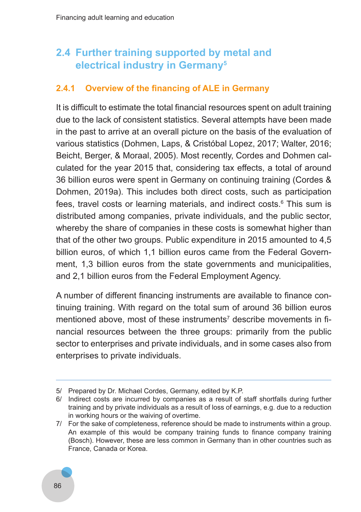# **2.4 Further training supported by metal and electrical industry in Germany5**

### **2.4.1 Overview of the financing of ALE in Germany**

It is difficult to estimate the total financial resources spent on adult training due to the lack of consistent statistics. Several attempts have been made in the past to arrive at an overall picture on the basis of the evaluation of various statistics (Dohmen, Laps, & Cristóbal Lopez, 2017; Walter, 2016; Beicht, Berger, & Moraal, 2005). Most recently, Cordes and Dohmen calculated for the year 2015 that, considering tax effects, a total of around 36 billion euros were spent in Germany on continuing training (Cordes & Dohmen, 2019a). This includes both direct costs, such as participation fees, travel costs or learning materials, and indirect costs.6 This sum is distributed among companies, private individuals, and the public sector, whereby the share of companies in these costs is somewhat higher than that of the other two groups. Public expenditure in 2015 amounted to 4,5 billion euros, of which 1,1 billion euros came from the Federal Government, 1,3 billion euros from the state governments and municipalities, and 2,1 billion euros from the Federal Employment Agency.

A number of different financing instruments are available to finance continuing training. With regard on the total sum of around 36 billion euros mentioned above, most of these instruments<sup>7</sup> describe movements in financial resources between the three groups: primarily from the public sector to enterprises and private individuals, and in some cases also from enterprises to private individuals.

<sup>7/</sup> For the sake of completeness, reference should be made to instruments within a group. An example of this would be company training funds to finance company training (Bosch). However, these are less common in Germany than in other countries such as France, Canada or Korea.



<sup>5/</sup> Prepared by Dr. Michael Cordes, Germany, edited by K.P.

<sup>6/</sup> Indirect costs are incurred by companies as a result of staff shortfalls during further training and by private individuals as a result of loss of earnings, e.g. due to a reduction in working hours or the waiving of overtime.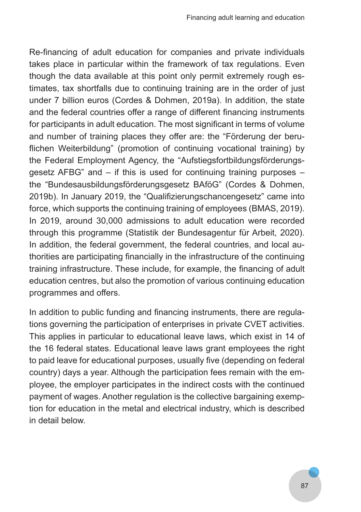Re-financing of adult education for companies and private individuals takes place in particular within the framework of tax regulations. Even though the data available at this point only permit extremely rough estimates, tax shortfalls due to continuing training are in the order of just under 7 billion euros (Cordes & Dohmen, 2019a). In addition, the state and the federal countries offer a range of different financing instruments for participants in adult education. The most significant in terms of volume and number of training places they offer are: the "Förderung der beruflichen Weiterbildung" (promotion of continuing vocational training) by the Federal Employment Agency, the "Aufstiegsfortbildungsförderungsgesetz AFBG" and – if this is used for continuing training purposes – the "Bundesausbildungsförderungsgesetz BAföG" (Cordes & Dohmen, 2019b). In January 2019, the "Qualifizierungschancengesetz" came into force, which supports the continuing training of employees (BMAS, 2019). In 2019, around 30,000 admissions to adult education were recorded through this programme (Statistik der Bundesagentur für Arbeit, 2020). In addition, the federal government, the federal countries, and local authorities are participating financially in the infrastructure of the continuing training infrastructure. These include, for example, the financing of adult education centres, but also the promotion of various continuing education programmes and offers.

In addition to public funding and financing instruments, there are regulations governing the participation of enterprises in private CVET activities. This applies in particular to educational leave laws, which exist in 14 of the 16 federal states. Educational leave laws grant employees the right to paid leave for educational purposes, usually five (depending on federal country) days a year. Although the participation fees remain with the employee, the employer participates in the indirect costs with the continued payment of wages. Another regulation is the collective bargaining exemption for education in the metal and electrical industry, which is described in detail below.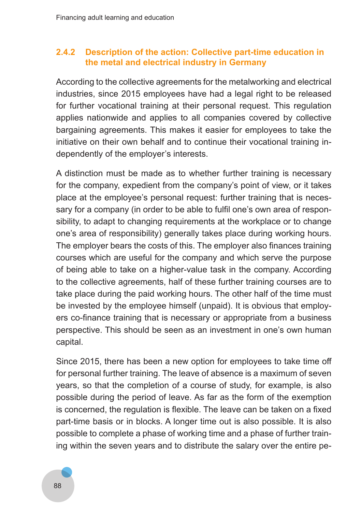#### **2.4.2 Description of the action: Collective part-time education in the metal and electrical industry in Germany**

According to the collective agreements for the metalworking and electrical industries, since 2015 employees have had a legal right to be released for further vocational training at their personal request. This regulation applies nationwide and applies to all companies covered by collective bargaining agreements. This makes it easier for employees to take the initiative on their own behalf and to continue their vocational training independently of the employer's interests.

A distinction must be made as to whether further training is necessary for the company, expedient from the company's point of view, or it takes place at the employee's personal request: further training that is necessary for a company (in order to be able to fulfil one's own area of responsibility, to adapt to changing requirements at the workplace or to change one's area of responsibility) generally takes place during working hours. The employer bears the costs of this. The employer also finances training courses which are useful for the company and which serve the purpose of being able to take on a higher-value task in the company. According to the collective agreements, half of these further training courses are to take place during the paid working hours. The other half of the time must be invested by the employee himself (unpaid). It is obvious that employers co-finance training that is necessary or appropriate from a business perspective. This should be seen as an investment in one's own human capital.

Since 2015, there has been a new option for employees to take time off for personal further training. The leave of absence is a maximum of seven years, so that the completion of a course of study, for example, is also possible during the period of leave. As far as the form of the exemption is concerned, the regulation is flexible. The leave can be taken on a fixed part-time basis or in blocks. A longer time out is also possible. It is also possible to complete a phase of working time and a phase of further training within the seven years and to distribute the salary over the entire pe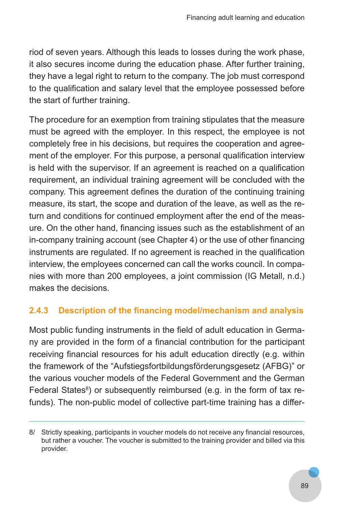riod of seven years. Although this leads to losses during the work phase, it also secures income during the education phase. After further training, they have a legal right to return to the company. The job must correspond to the qualification and salary level that the employee possessed before the start of further training.

The procedure for an exemption from training stipulates that the measure must be agreed with the employer. In this respect, the employee is not completely free in his decisions, but requires the cooperation and agreement of the employer. For this purpose, a personal qualification interview is held with the supervisor. If an agreement is reached on a qualification requirement, an individual training agreement will be concluded with the company. This agreement defines the duration of the continuing training measure, its start, the scope and duration of the leave, as well as the return and conditions for continued employment after the end of the measure. On the other hand, financing issues such as the establishment of an in-company training account (see Chapter 4) or the use of other financing instruments are regulated. If no agreement is reached in the qualification interview, the employees concerned can call the works council. In companies with more than 200 employees, a joint commission (IG Metall, n.d.) makes the decisions.

# **2.4.3 Description of the financing model/mechanism and analysis**

Most public funding instruments in the field of adult education in Germany are provided in the form of a financial contribution for the participant receiving financial resources for his adult education directly (e.g. within the framework of the "Aufstiegsfortbildungsförderungsgesetz (AFBG)" or the various voucher models of the Federal Government and the German Federal States<sup>8</sup>) or subsequently reimbursed (e.g. in the form of tax refunds). The non-public model of collective part-time training has a differ-

<sup>8/</sup> Strictly speaking, participants in voucher models do not receive any financial resources, but rather a voucher. The voucher is submitted to the training provider and billed via this provider.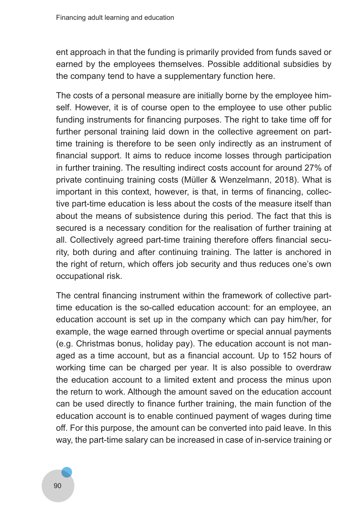ent approach in that the funding is primarily provided from funds saved or earned by the employees themselves. Possible additional subsidies by the company tend to have a supplementary function here.

The costs of a personal measure are initially borne by the employee himself. However, it is of course open to the employee to use other public funding instruments for financing purposes. The right to take time off for further personal training laid down in the collective agreement on parttime training is therefore to be seen only indirectly as an instrument of financial support. It aims to reduce income losses through participation in further training. The resulting indirect costs account for around 27% of private continuing training costs (Müller & Wenzelmann, 2018). What is important in this context, however, is that, in terms of financing, collective part-time education is less about the costs of the measure itself than about the means of subsistence during this period. The fact that this is secured is a necessary condition for the realisation of further training at all. Collectively agreed part-time training therefore offers financial security, both during and after continuing training. The latter is anchored in the right of return, which offers job security and thus reduces one's own occupational risk.

The central financing instrument within the framework of collective parttime education is the so-called education account: for an employee, an education account is set up in the company which can pay him/her, for example, the wage earned through overtime or special annual payments (e.g. Christmas bonus, holiday pay). The education account is not managed as a time account, but as a financial account. Up to 152 hours of working time can be charged per year. It is also possible to overdraw the education account to a limited extent and process the minus upon the return to work. Although the amount saved on the education account can be used directly to finance further training, the main function of the education account is to enable continued payment of wages during time off. For this purpose, the amount can be converted into paid leave. In this way, the part-time salary can be increased in case of in-service training or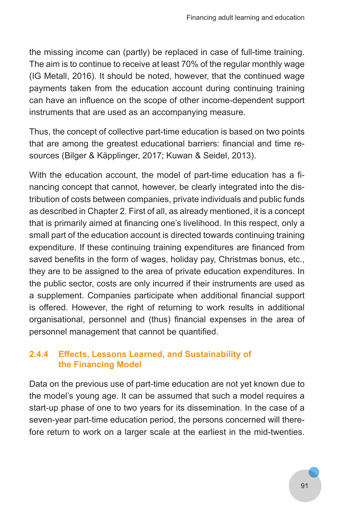the missing income can (partly) be replaced in case of full-time training. The aim is to continue to receive at least 70% of the regular monthly wage (IG Metall, 2016). It should be noted, however, that the continued wage payments taken from the education account during continuing training can have an influence on the scope of other income-dependent support instruments that are used as an accompanying measure.

Thus, the concept of collective part-time education is based on two points that are among the greatest educational barriers: financial and time resources (Bilger & Käpplinger, 2017; Kuwan & Seidel, 2013).

With the education account, the model of part-time education has a financing concept that cannot, however, be clearly integrated into the distribution of costs between companies, private individuals and public funds as described in Chapter 2. First of all, as already mentioned, it is a concept that is primarily aimed at financing one's livelihood. In this respect, only a small part of the education account is directed towards continuing training expenditure. If these continuing training expenditures are financed from saved benefits in the form of wages, holiday pay, Christmas bonus, etc., they are to be assigned to the area of private education expenditures. In the public sector, costs are only incurred if their instruments are used as a supplement. Companies participate when additional financial support is offered. However, the right of returning to work results in additional organisational, personnel and (thus) financial expenses in the area of personnel management that cannot be quantified.

## **2.4.4 Effects, Lessons Learned, and Sustainability of the Financing Model**

Data on the previous use of part-time education are not yet known due to the model's young age. It can be assumed that such a model requires a start-up phase of one to two years for its dissemination. In the case of a seven-year part-time education period, the persons concerned will therefore return to work on a larger scale at the earliest in the mid-twenties.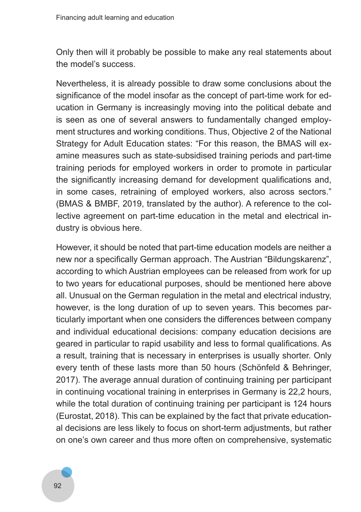Only then will it probably be possible to make any real statements about the model's success.

Nevertheless, it is already possible to draw some conclusions about the significance of the model insofar as the concept of part-time work for education in Germany is increasingly moving into the political debate and is seen as one of several answers to fundamentally changed employment structures and working conditions. Thus, Objective 2 of the National Strategy for Adult Education states: "For this reason, the BMAS will examine measures such as state-subsidised training periods and part-time training periods for employed workers in order to promote in particular the significantly increasing demand for development qualifications and, in some cases, retraining of employed workers, also across sectors." (BMAS & BMBF, 2019, translated by the author). A reference to the collective agreement on part-time education in the metal and electrical industry is obvious here.

However, it should be noted that part-time education models are neither a new nor a specifically German approach. The Austrian "Bildungskarenz", according to which Austrian employees can be released from work for up to two years for educational purposes, should be mentioned here above all. Unusual on the German regulation in the metal and electrical industry, however, is the long duration of up to seven years. This becomes particularly important when one considers the differences between company and individual educational decisions: company education decisions are geared in particular to rapid usability and less to formal qualifications. As a result, training that is necessary in enterprises is usually shorter. Only every tenth of these lasts more than 50 hours (Schönfeld & Behringer, 2017). The average annual duration of continuing training per participant in continuing vocational training in enterprises in Germany is 22,2 hours, while the total duration of continuing training per participant is 124 hours (Eurostat, 2018). This can be explained by the fact that private educational decisions are less likely to focus on short-term adjustments, but rather on one's own career and thus more often on comprehensive, systematic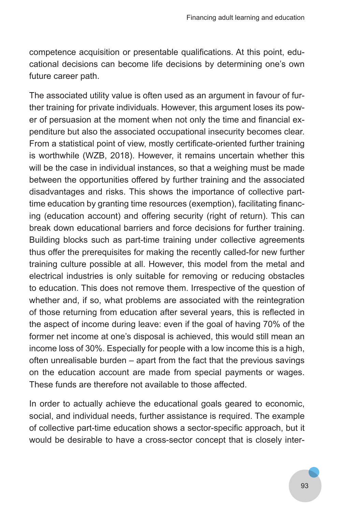competence acquisition or presentable qualifications. At this point, educational decisions can become life decisions by determining one's own future career path.

The associated utility value is often used as an argument in favour of further training for private individuals. However, this argument loses its power of persuasion at the moment when not only the time and financial expenditure but also the associated occupational insecurity becomes clear. From a statistical point of view, mostly certificate-oriented further training is worthwhile (WZB, 2018). However, it remains uncertain whether this will be the case in individual instances, so that a weighing must be made between the opportunities offered by further training and the associated disadvantages and risks. This shows the importance of collective parttime education by granting time resources (exemption), facilitating financing (education account) and offering security (right of return). This can break down educational barriers and force decisions for further training. Building blocks such as part-time training under collective agreements thus offer the prerequisites for making the recently called-for new further training culture possible at all. However, this model from the metal and electrical industries is only suitable for removing or reducing obstacles to education. This does not remove them. Irrespective of the question of whether and, if so, what problems are associated with the reintegration of those returning from education after several years, this is reflected in the aspect of income during leave: even if the goal of having 70% of the former net income at one's disposal is achieved, this would still mean an income loss of 30%. Especially for people with a low income this is a high, often unrealisable burden – apart from the fact that the previous savings on the education account are made from special payments or wages. These funds are therefore not available to those affected.

In order to actually achieve the educational goals geared to economic, social, and individual needs, further assistance is required. The example of collective part-time education shows a sector-specific approach, but it would be desirable to have a cross-sector concept that is closely inter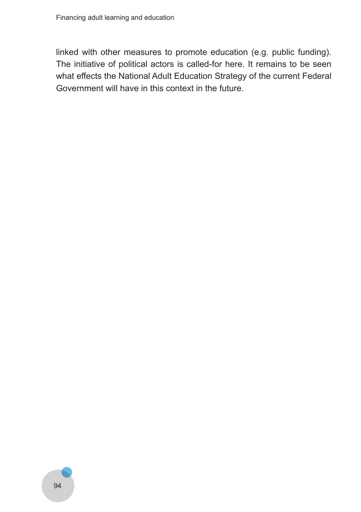linked with other measures to promote education (e.g. public funding). The initiative of political actors is called-for here. It remains to be seen what effects the National Adult Education Strategy of the current Federal Government will have in this context in the future.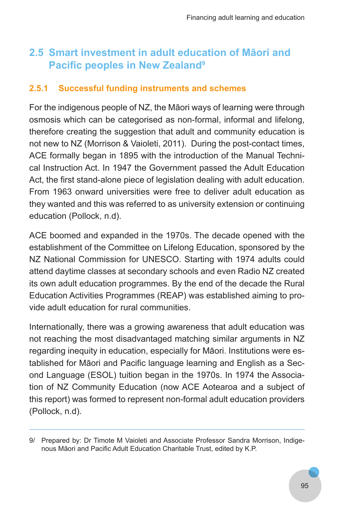# **2.5 Smart investment in adult education of Māori and Pacific peoples in New Zealand<sup>9</sup>**

## **2.5.1 Successful funding instruments and schemes**

For the indigenous people of NZ, the Māori ways of learning were through osmosis which can be categorised as non-formal, informal and lifelong, therefore creating the suggestion that adult and community education is not new to NZ (Morrison & Vaioleti, 2011). During the post-contact times, ACE formally began in 1895 with the introduction of the Manual Technical Instruction Act. In 1947 the Government passed the Adult Education Act, the first stand-alone piece of legislation dealing with adult education. From 1963 onward universities were free to deliver adult education as they wanted and this was referred to as university extension or continuing education (Pollock, n.d).

ACE boomed and expanded in the 1970s. The decade opened with the establishment of the Committee on Lifelong Education, sponsored by the NZ National Commission for UNESCO. Starting with 1974 adults could attend daytime classes at secondary schools and even Radio NZ created its own adult education programmes. By the end of the decade the Rural Education Activities Programmes (REAP) was established aiming to provide adult education for rural communities.

Internationally, there was a growing awareness that adult education was not reaching the most disadvantaged matching similar arguments in NZ regarding inequity in education, especially for Māori. Institutions were established for Māori and Pacific language learning and English as a Second Language (ESOL) tuition began in the 1970s. In 1974 the Association of NZ Community Education (now ACE Aotearoa and a subject of this report) was formed to represent non-formal adult education providers (Pollock, n.d).

<sup>9/</sup> Prepared by: Dr Timote M Vaioleti and Associate Professor Sandra Morrison, Indigenous Māori and Pacific Adult Education Charitable Trust, edited by K.P.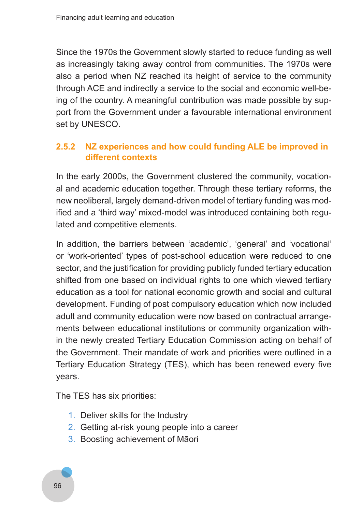Since the 1970s the Government slowly started to reduce funding as well as increasingly taking away control from communities. The 1970s were also a period when NZ reached its height of service to the community through ACE and indirectly a service to the social and economic well-being of the country. A meaningful contribution was made possible by support from the Government under a favourable international environment set by UNESCO.

## **2.5.2 NZ experiences and how could funding ALE be improved in different contexts**

In the early 2000s, the Government clustered the community, vocational and academic education together. Through these tertiary reforms, the new neoliberal, largely demand-driven model of tertiary funding was modified and a 'third way' mixed-model was introduced containing both regulated and competitive elements.

In addition, the barriers between 'academic', 'general' and 'vocational' or 'work-oriented' types of post-school education were reduced to one sector, and the justification for providing publicly funded tertiary education shifted from one based on individual rights to one which viewed tertiary education as a tool for national economic growth and social and cultural development. Funding of post compulsory education which now included adult and community education were now based on contractual arrangements between educational institutions or community organization within the newly created Tertiary Education Commission acting on behalf of the Government. Their mandate of work and priorities were outlined in a Tertiary Education Strategy (TES), which has been renewed every five years.

The TES has six priorities:

- 1. Deliver skills for the Industry
- 2. Getting at-risk young people into a career
- 3. Boosting achievement of Māori

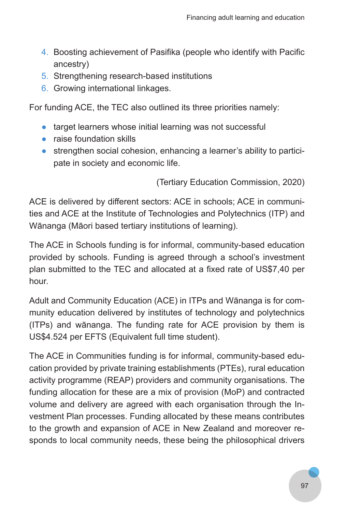- 4. Boosting achievement of Pasifika (people who identify with Pacific ancestry)
- 5. Strengthening research-based institutions
- 6. Growing international linkages.

For funding ACE, the TEC also outlined its three priorities namely:

- target learners whose initial learning was not successful
- raise foundation skills
- strengthen social cohesion, enhancing a learner's ability to participate in society and economic life.

(Tertiary Education Commission, 2020)

ACE is delivered by different sectors: ACE in schools; ACE in communities and ACE at the Institute of Technologies and Polytechnics (ITP) and Wānanga (Māori based tertiary institutions of learning).

The ACE in Schools funding is for informal, community-based education provided by schools. Funding is agreed through a school's investment plan submitted to the TEC and allocated at a fixed rate of US\$7,40 per hour.

Adult and Community Education (ACE) in ITPs and Wānanga is for community education delivered by institutes of technology and polytechnics (ITPs) and wānanga. The funding rate for ACE provision by them is US\$4.524 per EFTS (Equivalent full time student).

The ACE in Communities funding is for informal, community-based education provided by private training establishments (PTEs), rural education activity programme (REAP) providers and community organisations. The funding allocation for these are a mix of provision (MoP) and contracted volume and delivery are agreed with each organisation through the Investment Plan processes. Funding allocated by these means contributes to the growth and expansion of ACE in New Zealand and moreover responds to local community needs, these being the philosophical drivers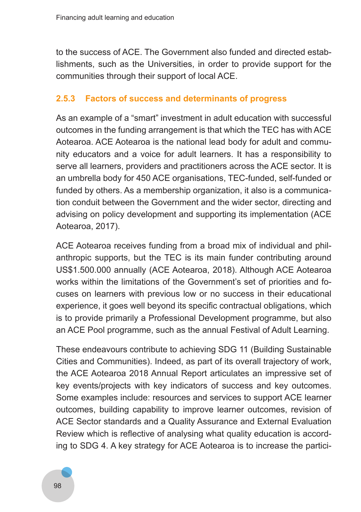to the success of ACE. The Government also funded and directed establishments, such as the Universities, in order to provide support for the communities through their support of local ACE.

## **2.5.3 Factors of success and determinants of progress**

As an example of a "smart" investment in adult education with successful outcomes in the funding arrangement is that which the TEC has with ACE Aotearoa. ACE Aotearoa is the national lead body for adult and community educators and a voice for adult learners. It has a responsibility to serve all learners, providers and practitioners across the ACE sector. It is an umbrella body for 450 ACE organisations, TEC-funded, self-funded or funded by others. As a membership organization, it also is a communication conduit between the Government and the wider sector, directing and advising on policy development and supporting its implementation (ACE Aotearoa, 2017).

ACE Aotearoa receives funding from a broad mix of individual and philanthropic supports, but the TEC is its main funder contributing around US\$1.500.000 annually (ACE Aotearoa, 2018). Although ACE Aotearoa works within the limitations of the Government's set of priorities and focuses on learners with previous low or no success in their educational experience, it goes well beyond its specific contractual obligations, which is to provide primarily a Professional Development programme, but also an ACE Pool programme, such as the annual Festival of Adult Learning.

These endeavours contribute to achieving SDG 11 (Building Sustainable Cities and Communities). Indeed, as part of its overall trajectory of work, the ACE Aotearoa 2018 Annual Report articulates an impressive set of key events/projects with key indicators of success and key outcomes. Some examples include: resources and services to support ACE learner outcomes, building capability to improve learner outcomes, revision of ACE Sector standards and a Quality Assurance and External Evaluation Review which is reflective of analysing what quality education is according to SDG 4. A key strategy for ACE Aotearoa is to increase the partici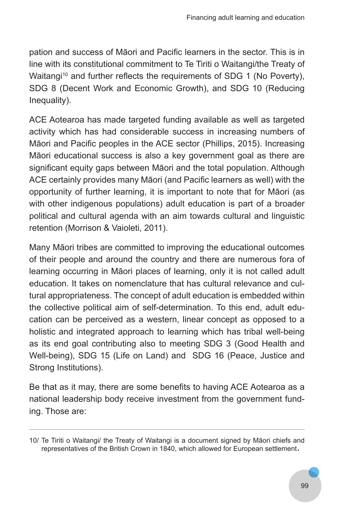pation and success of Māori and Pacific learners in the sector. This is in line with its constitutional commitment to Te Tiriti o Waitangi/the Treaty of Waitangi<sup>10</sup> and further reflects the requirements of SDG 1 (No Poverty), SDG 8 (Decent Work and Economic Growth), and SDG 10 (Reducing Inequality).

ACE Aotearoa has made targeted funding available as well as targeted activity which has had considerable success in increasing numbers of Māori and Pacific peoples in the ACE sector (Phillips, 2015). Increasing Māori educational success is also a key government goal as there are significant equity gaps between Māori and the total population. Although ACE certainly provides many Māori (and Pacific learners as well) with the opportunity of further learning, it is important to note that for Māori (as with other indigenous populations) adult education is part of a broader political and cultural agenda with an aim towards cultural and linguistic retention (Morrison & Vaioleti, 2011).

Many Māori tribes are committed to improving the educational outcomes of their people and around the country and there are numerous fora of learning occurring in Māori places of learning, only it is not called adult education. It takes on nomenclature that has cultural relevance and cultural appropriateness. The concept of adult education is embedded within the collective political aim of self-determination. To this end, adult education can be perceived as a western, linear concept as opposed to a holistic and integrated approach to learning which has tribal well-being as its end goal contributing also to meeting SDG 3 (Good Health and Well-being), SDG 15 (Life on Land) and SDG 16 (Peace, Justice and Strong Institutions).

Be that as it may, there are some benefits to having ACE Aotearoa as a national leadership body receive investment from the government funding. Those are:

<sup>10/</sup> Te Tiriti o Waitangi/ the Treaty of Waitangi is a document signed by Māori chiefs and representatives of the British Crown in 1840, which allowed for European settlement.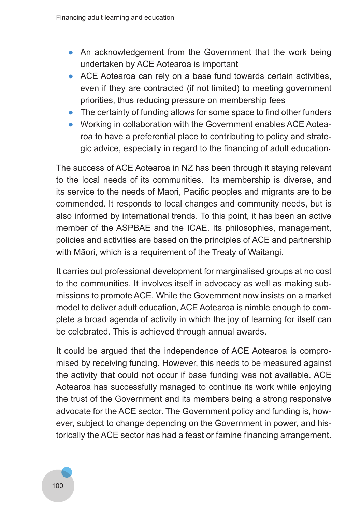- An acknowledgement from the Government that the work being undertaken by ACE Aotearoa is important
- ACE Aotearoa can rely on a base fund towards certain activities, even if they are contracted (if not limited) to meeting government priorities, thus reducing pressure on membership fees
- The certainty of funding allows for some space to find other funders
- Working in collaboration with the Government enables ACE Aotearoa to have a preferential place to contributing to policy and strategic advice, especially in regard to the financing of adult education .

The success of ACE Aotearoa in NZ has been through it staying relevant to the local needs of its communities. Its membership is diverse, and its service to the needs of Māori, Pacific peoples and migrants are to be commended. It responds to local changes and community needs, but is also informed by international trends. To this point, it has been an active member of the ASPBAE and the ICAE. Its philosophies, management, policies and activities are based on the principles of ACE and partnership with Māori, which is a requirement of the Treaty of Waitangi.

It carries out professional development for marginalised groups at no cost to the communities. It involves itself in advocacy as well as making submissions to promote ACE. While the Government now insists on a market model to deliver adult education, ACE Aotearoa is nimble enough to complete a broad agenda of activity in which the joy of learning for itself can be celebrated. This is achieved through annual awards.

It could be argued that the independence of ACE Aotearoa is compromised by receiving funding. However, this needs to be measured against the activity that could not occur if base funding was not available. ACE Aotearoa has successfully managed to continue its work while enjoying the trust of the Government and its members being a strong responsive advocate for the ACE sector. The Government policy and funding is, however, subject to change depending on the Government in power, and historically the ACE sector has had a feast or famine financing arrangement.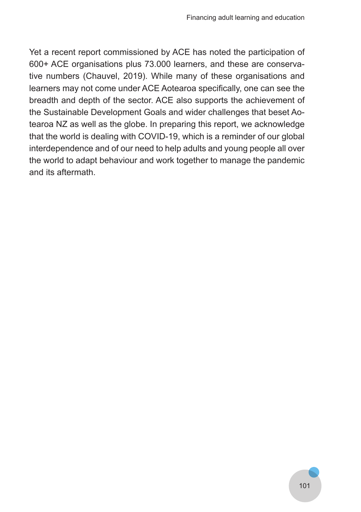Yet a recent report commissioned by ACE has noted the participation of 600+ ACE organisations plus 73.000 learners, and these are conservative numbers (Chauvel, 2019). While many of these organisations and learners may not come under ACE Aotearoa specifically, one can see the breadth and depth of the sector. ACE also supports the achievement of the Sustainable Development Goals and wider challenges that beset Aotearoa NZ as well as the globe. In preparing this report, we acknowledge that the world is dealing with COVID-19, which is a reminder of our global interdependence and of our need to help adults and young people all over the world to adapt behaviour and work together to manage the pandemic and its aftermath.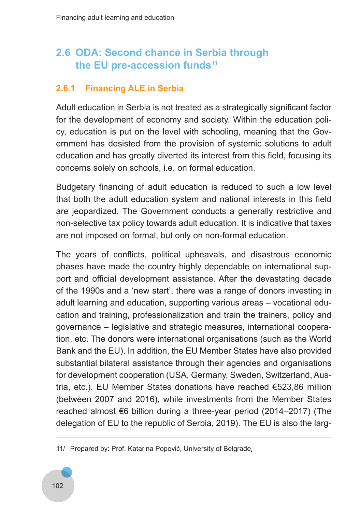# **2.6 ODA: Second chance in Serbia through**  the EU pre-accession funds<sup>11</sup>

### **2.6.1 Financing ALE in Serbia**

Adult education in Serbia is not treated as a strategically significant factor for the development of economy and society. Within the education policy, education is put on the level with schooling, meaning that the Government has desisted from the provision of systemic solutions to adult education and has greatly diverted its interest from this field, focusing its concerns solely on schools, i.e. on formal education.

Budgetary financing of adult education is reduced to such a low level that both the adult education system and national interests in this field are jeopardized. The Government conducts a generally restrictive and non-selective tax policy towards adult education. It is indicative that taxes are not imposed on formal, but only on non-formal education.

The years of conflicts, political upheavals, and disastrous economic phases have made the country highly dependable on international support and official development assistance. After the devastating decade of the 1990s and a 'new start', there was a range of donors investing in adult learning and education, supporting various areas – vocational education and training, professionalization and train the trainers, policy and governance – legislative and strategic measures, international cooperation, etc. The donors were international organisations (such as the World Bank and the EU). In addition, the EU Member States have also provided substantial bilateral assistance through their agencies and organisations for development cooperation (USA, Germany, Sweden, Switzerland, Austria, etc.). EU Member States donations have reached €523,86 million (between 2007 and 2016), while investments from the Member States reached almost €6 billion during a three-year period (2014–2017) (The delegation of EU to the republic of Serbia, 2019). The EU is also the larg-

<sup>11/</sup> Prepared by: Prof. Katarina Popović, University of Belgrade.

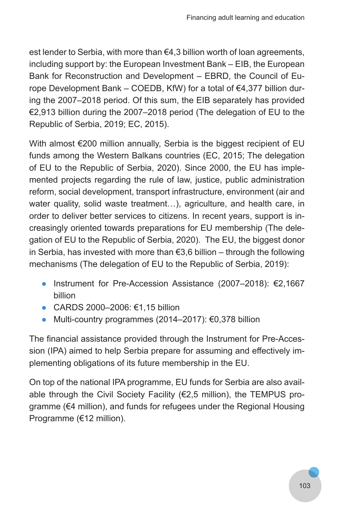est lender to Serbia, with more than €4,3 billion worth of loan agreements, including support by: the European Investment Bank – EIB, the European Bank for Reconstruction and Development – EBRD, the Council of Europe Development Bank – COEDB, KfW) for a total of €4,377 billion during the 2007–2018 period. Of this sum, the EIB separately has provided €2,913 billion during the 2007–2018 period (The delegation of EU to the Republic of Serbia, 2019; EC, 2015).

With almost €200 million annually. Serbia is the biggest recipient of EU funds among the Western Balkans countries (EC, 2015; The delegation of EU to the Republic of Serbia, 2020). Since 2000, the EU has implemented projects regarding the rule of law, justice, public administration reform, social development, transport infrastructure, environment (air and water quality, solid waste treatment…), agriculture, and health care, in order to deliver better services to citizens. In recent years, support is increasingly oriented towards preparations for EU membership (The delegation of EU to the Republic of Serbia, 2020). The EU, the biggest donor in Serbia, has invested with more than €3,6 billion – through the following mechanisms (The delegation of EU to the Republic of Serbia, 2019):

- Instrument for Pre-Accession Assistance (2007–2018): €2,1667 billion
- CARDS 2000–2006: €1,15 billion
- $\bullet$  Multi-country programmes (2014–2017): €0,378 billion

The financial assistance provided through the Instrument for Pre-Accession (IPA) aimed to help Serbia prepare for assuming and effectively implementing obligations of its future membership in the EU.

On top of the national IPA programme, EU funds for Serbia are also available through the Civil Society Facility (€2,5 million), the TEMPUS programme (€4 million), and funds for refugees under the Regional Housing Programme (€12 million).

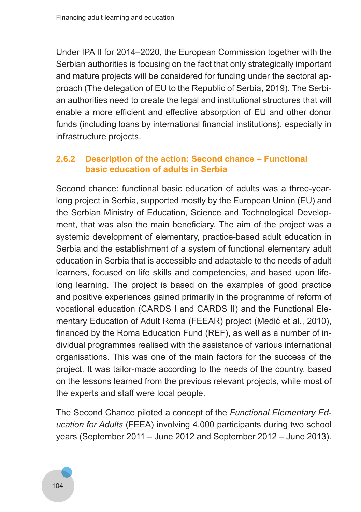Under IPA II for 2014–2020, the European Commission together with the Serbian authorities is focusing on the fact that only strategically important and mature projects will be considered for funding under the sectoral approach (The delegation of EU to the Republic of Serbia, 2019). The Serbian authorities need to create the legal and institutional structures that will enable a more efficient and effective absorption of EU and other donor funds (including loans by international financial institutions), especially in infrastructure projects.

### **2.6.2 Description of the action: Second chance – Functional basic education of adults in Serbia**

Second chance: functional basic education of adults was a three-yearlong project in Serbia, supported mostly by the European Union (EU) and the Serbian Ministry of Education, Science and Technological Development, that was also the main beneficiary. The aim of the project was a systemic development of elementary, practice-based adult education in Serbia and the establishment of a system of functional elementary adult education in Serbia that is accessible and adaptable to the needs of adult learners, focused on life skills and competencies, and based upon lifelong learning. The project is based on the examples of good practice and positive experiences gained primarily in the programme of reform of vocational education (CARDS I and CARDS II) and the Functional Elementary Education of Adult Roma (FEEAR) project (Medić et al., 2010), financed by the Roma Education Fund (REF), as well as a number of individual programmes realised with the assistance of various international organisations. This was one of the main factors for the success of the project. It was tailor-made according to the needs of the country, based on the lessons learned from the previous relevant projects, while most of the experts and staff were local people.

The Second Chance piloted a concept of the *Functional Elementary Ed‑ ucation for Adults* (FEEA) involving 4.000 participants during two school years (September 2011 – June 2012 and September 2012 – June 2013).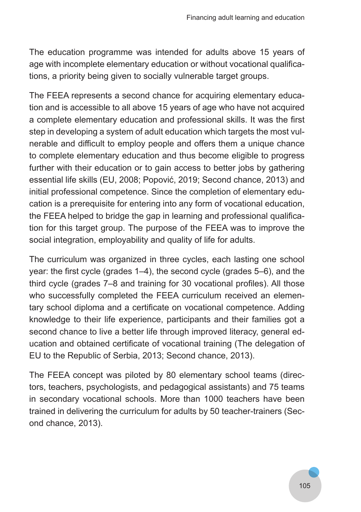The education programme was intended for adults above 15 years of age with incomplete elementary education or without vocational qualifications, a priority being given to socially vulnerable target groups.

The FEEA represents a second chance for acquiring elementary education and is accessible to all above 15 years of age who have not acquired a complete elementary education and professional skills. It was the first step in developing a system of adult education which targets the most vulnerable and difficult to employ people and offers them a unique chance to complete elementary education and thus become eligible to progress further with their education or to gain access to better jobs by gathering essential life skills (EU, 2008; Popović, 2019; Second chance, 2013) and initial professional competence. Since the completion of elementary education is a prerequisite for entering into any form of vocational education, the FEEA helped to bridge the gap in learning and professional qualification for this target group. The purpose of the FEEA was to improve the social integration, employability and quality of life for adults.

The curriculum was organized in three cycles, each lasting one school year: the first cycle (grades 1–4), the second cycle (grades 5–6), and the third cycle (grades 7–8 and training for 30 vocational profiles). All those who successfully completed the FEEA curriculum received an elementary school diploma and a certificate on vocational competence. Adding knowledge to their life experience, participants and their families got a second chance to live a better life through improved literacy, general education and obtained certificate of vocational training (The delegation of EU to the Republic of Serbia, 2013; Second chance, 2013).

The FEEA concept was piloted by 80 elementary school teams (directors, teachers, psychologists, and pedagogical assistants) and 75 teams in secondary vocational schools. More than 1000 teachers have been trained in delivering the curriculum for adults by 50 teacher-trainers (Second chance, 2013).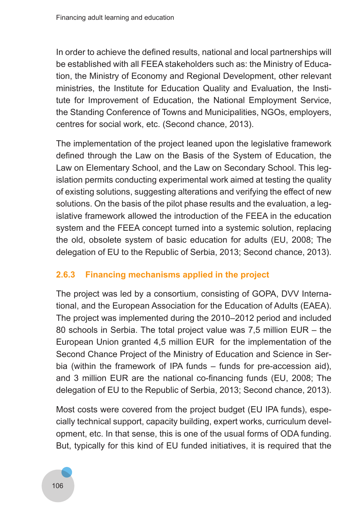In order to achieve the defined results, national and local partnerships will be established with all FEEA stakeholders such as: the Ministry of Education, the Ministry of Economy and Regional Development, other relevant ministries, the Institute for Education Quality and Evaluation, the Institute for Improvement of Education, the National Employment Service, the Standing Conference of Towns and Municipalities, NGOs, employers, centres for social work, etc. (Second chance, 2013).

The implementation of the project leaned upon the legislative framework defined through the Law on the Basis of the System of Education, the Law on Elementary School, and the Law on Secondary School. This legislation permits conducting experimental work aimed at testing the quality of existing solutions, suggesting alterations and verifying the effect of new solutions. On the basis of the pilot phase results and the evaluation, a legislative framework allowed the introduction of the FEEA in the education system and the FEEA concept turned into a systemic solution, replacing the old, obsolete system of basic education for adults (EU, 2008; The delegation of EU to the Republic of Serbia, 2013; Second chance, 2013).

# **2.6.3 Financing mechanisms applied in the project**

The project was led by a consortium, consisting of GOPA, DVV International, and the European Association for the Education of Adults (EAEA). The project was implemented during the 2010–2012 period and included 80 schools in Serbia. The total project value was 7,5 million EUR – the European Union granted 4,5 million EUR for the implementation of the Second Chance Project of the Ministry of Education and Science in Serbia (within the framework of IPA funds – funds for pre-accession aid), and 3 million EUR are the national co-financing funds (EU, 2008; The delegation of EU to the Republic of Serbia, 2013; Second chance, 2013).

Most costs were covered from the project budget (EU IPA funds), especially technical support, capacity building, expert works, curriculum development, etc. In that sense, this is one of the usual forms of ODA funding. But, typically for this kind of EU funded initiatives, it is required that the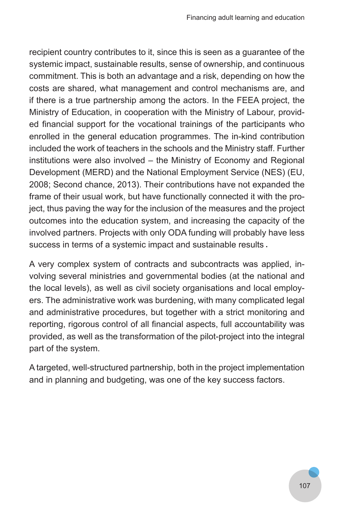recipient country contributes to it, since this is seen as a guarantee of the systemic impact, sustainable results, sense of ownership, and continuous commitment. This is both an advantage and a risk, depending on how the costs are shared, what management and control mechanisms are, and if there is a true partnership among the actors. In the FEEA project, the Ministry of Education, in cooperation with the Ministry of Labour, provided financial support for the vocational trainings of the participants who enrolled in the general education programmes. The in-kind contribution included the work of teachers in the schools and the Ministry staff. Further institutions were also involved – the Ministry of Economy and Regional Development (MERD) and the National Employment Service (NES) (EU, 2008; Second chance, 2013). Their contributions have not expanded the frame of their usual work, but have functionally connected it with the project, thus paving the way for the inclusion of the measures and the project outcomes into the education system, and increasing the capacity of the involved partners. Projects with only ODA funding will probably have less success in terms of a systemic impact and sustainable results .

A very complex system of contracts and subcontracts was applied, involving several ministries and governmental bodies (at the national and the local levels), as well as civil society organisations and local employers. The administrative work was burdening, with many complicated legal and administrative procedures, but together with a strict monitoring and reporting, rigorous control of all financial aspects, full accountability was provided, as well as the transformation of the pilot-project into the integral part of the system.

A targeted, well-structured partnership, both in the project implementation and in planning and budgeting, was one of the key success factors.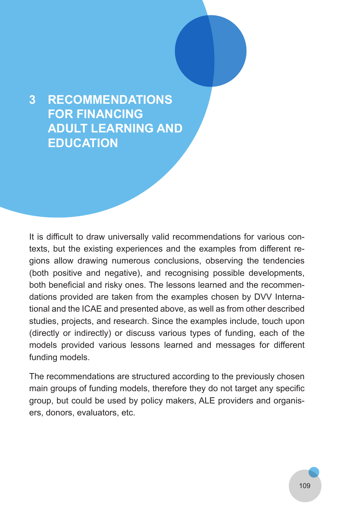# **3 RECOMMENDATIONS FOR FINANCING ADULT LEARNING AND EDUCATION**

It is difficult to draw universally valid recommendations for various contexts, but the existing experiences and the examples from different regions allow drawing numerous conclusions, observing the tendencies (both positive and negative), and recognising possible developments, both beneficial and risky ones. The lessons learned and the recommendations provided are taken from the examples chosen by DVV International and the ICAE and presented above, as well as from other described studies, projects, and research. Since the examples include, touch upon (directly or indirectly) or discuss various types of funding, each of the models provided various lessons learned and messages for different funding models.

The recommendations are structured according to the previously chosen main groups of funding models, therefore they do not target any specific group, but could be used by policy makers, ALE providers and organisers, donors, evaluators, etc.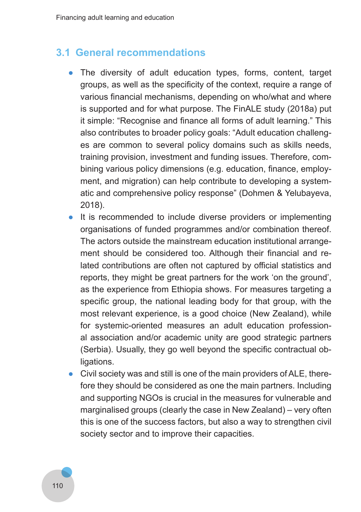### **3.1 General recommendations**

- The diversity of adult education types, forms, content, target groups, as well as the specificity of the context, require a range of various financial mechanisms, depending on who/what and where is supported and for what purpose. The FinALE study (2018a) put it simple: "Recognise and finance all forms of adult learning." This also contributes to broader policy goals: "Adult education challenges are common to several policy domains such as skills needs, training provision, investment and funding issues. Therefore, combining various policy dimensions (e.g. education, finance, employment, and migration) can help contribute to developing a systematic and comprehensive policy response" (Dohmen & Yelubayeva, 2018).
- It is recommended to include diverse providers or implementing organisations of funded programmes and/or combination thereof. The actors outside the mainstream education institutional arrangement should be considered too. Although their financial and related contributions are often not captured by official statistics and reports, they might be great partners for the work 'on the ground', as the experience from Ethiopia shows. For measures targeting a specific group, the national leading body for that group, with the most relevant experience, is a good choice (New Zealand), while for systemic-oriented measures an adult education professional association and/or academic unity are good strategic partners (Serbia). Usually, they go well beyond the specific contractual obligations.
- Civil society was and still is one of the main providers of ALE, therefore they should be considered as one the main partners. Including and supporting NGOs is crucial in the measures for vulnerable and marginalised groups (clearly the case in New Zealand) – very often this is one of the success factors, but also a way to strengthen civil society sector and to improve their capacities.

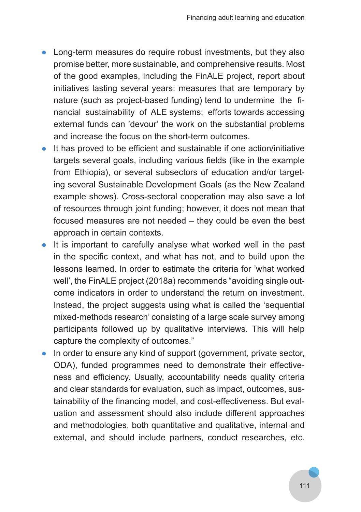- Long-term measures do require robust investments, but they also promise better, more sustainable, and comprehensive results. Most of the good examples, including the FinALE project, report about initiatives lasting several years: measures that are temporary by nature (such as project-based funding) tend to undermine the financial sustainability of ALE systems; efforts towards accessing external funds can 'devour' the work on the substantial problems and increase the focus on the short-term outcomes.
- It has proved to be efficient and sustainable if one action/initiative targets several goals, including various fields (like in the example from Ethiopia), or several subsectors of education and/or targeting several Sustainable Development Goals (as the New Zealand example shows). Cross-sectoral cooperation may also save a lot of resources through joint funding; however, it does not mean that focused measures are not needed – they could be even the best approach in certain contexts.
- It is important to carefully analyse what worked well in the past in the specific context, and what has not, and to build upon the lessons learned. In order to estimate the criteria for 'what worked well', the FinALE project (2018a) recommends "avoiding single outcome indicators in order to understand the return on investment. Instead, the project suggests using what is called the 'sequential mixed-methods research' consisting of a large scale survey among participants followed up by qualitative interviews. This will help capture the complexity of outcomes."
- In order to ensure any kind of support (government, private sector, ODA), funded programmes need to demonstrate their effectiveness and efficiency. Usually, accountability needs quality criteria and clear standards for evaluation, such as impact, outcomes, sustainability of the financing model, and cost-effectiveness. But evaluation and assessment should also include different approaches and methodologies, both quantitative and qualitative, internal and external, and should include partners, conduct researches, etc.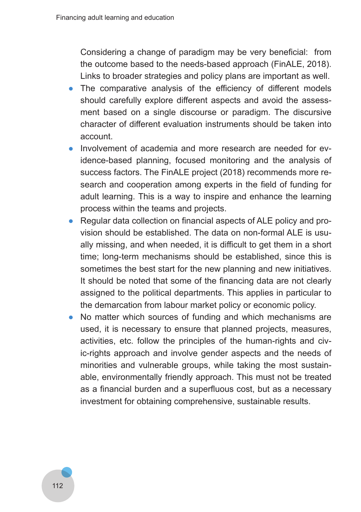Considering a change of paradigm may be very beneficial: from the outcome based to the needs-based approach (FinALE, 2018). Links to broader strategies and policy plans are important as well.

- The comparative analysis of the efficiency of different models should carefully explore different aspects and avoid the assessment based on a single discourse or paradigm. The discursive character of different evaluation instruments should be taken into account.
- Involvement of academia and more research are needed for evidence-based planning, focused monitoring and the analysis of success factors. The FinALE project (2018) recommends more research and cooperation among experts in the field of funding for adult learning. This is a way to inspire and enhance the learning process within the teams and projects.
- Regular data collection on financial aspects of ALE policy and provision should be established. The data on non-formal ALE is usually missing, and when needed, it is difficult to get them in a short time; long-term mechanisms should be established, since this is sometimes the best start for the new planning and new initiatives. It should be noted that some of the financing data are not clearly assigned to the political departments. This applies in particular to the demarcation from labour market policy or economic policy.
- No matter which sources of funding and which mechanisms are used, it is necessary to ensure that planned projects, measures, activities, etc. follow the principles of the human-rights and civic-rights approach and involve gender aspects and the needs of minorities and vulnerable groups, while taking the most sustainable, environmentally friendly approach. This must not be treated as a financial burden and a superfluous cost, but as a necessary investment for obtaining comprehensive, sustainable results.

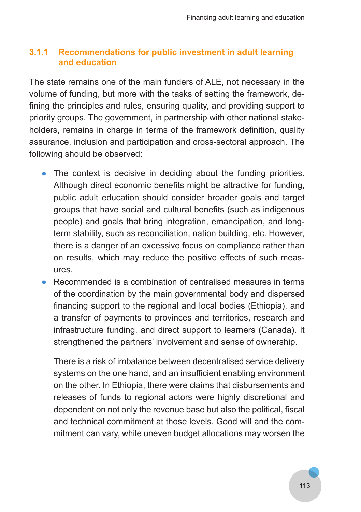#### **3.1.1 Recommendations for public investment in adult learning and education**

The state remains one of the main funders of ALE, not necessary in the volume of funding, but more with the tasks of setting the framework, defining the principles and rules, ensuring quality, and providing support to priority groups. The government, in partnership with other national stakeholders, remains in charge in terms of the framework definition, quality assurance, inclusion and participation and cross-sectoral approach. The following should be observed:

- The context is decisive in deciding about the funding priorities. Although direct economic benefits might be attractive for funding, public adult education should consider broader goals and target groups that have social and cultural benefits (such as indigenous people) and goals that bring integration, emancipation, and longterm stability, such as reconciliation, nation building, etc. However, there is a danger of an excessive focus on compliance rather than on results, which may reduce the positive effects of such measures.
- Recommended is a combination of centralised measures in terms of the coordination by the main governmental body and dispersed financing support to the regional and local bodies (Ethiopia), and a transfer of payments to provinces and territories, research and infrastructure funding, and direct support to learners (Canada). It strengthened the partners' involvement and sense of ownership.

There is a risk of imbalance between decentralised service delivery systems on the one hand, and an insufficient enabling environment on the other. In Ethiopia, there were claims that disbursements and releases of funds to regional actors were highly discretional and dependent on not only the revenue base but also the political, fiscal and technical commitment at those levels. Good will and the commitment can vary, while uneven budget allocations may worsen the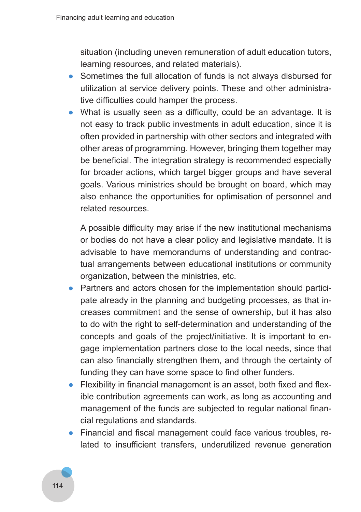situation (including uneven remuneration of adult education tutors, learning resources, and related materials).

- Sometimes the full allocation of funds is not always disbursed for utilization at service delivery points. These and other administrative difficulties could hamper the process.
- What is usually seen as a difficulty, could be an advantage. It is not easy to track public investments in adult education, since it is often provided in partnership with other sectors and integrated with other areas of programming. However, bringing them together may be beneficial. The integration strategy is recommended especially for broader actions, which target bigger groups and have several goals. Various ministries should be brought on board, which may also enhance the opportunities for optimisation of personnel and related resources.

A possible difficulty may arise if the new institutional mechanisms or bodies do not have a clear policy and legislative mandate. It is advisable to have memorandums of understanding and contractual arrangements between educational institutions or community organization, between the ministries, etc.

- Partners and actors chosen for the implementation should participate already in the planning and budgeting processes, as that increases commitment and the sense of ownership, but it has also to do with the right to self-determination and understanding of the concepts and goals of the project/initiative. It is important to engage implementation partners close to the local needs, since that can also financially strengthen them, and through the certainty of funding they can have some space to find other funders.
- Flexibility in financial management is an asset, both fixed and flexible contribution agreements can work, as long as accounting and management of the funds are subjected to regular national financial regulations and standards.
- Financial and fiscal management could face various troubles, related to insufficient transfers, underutilized revenue generation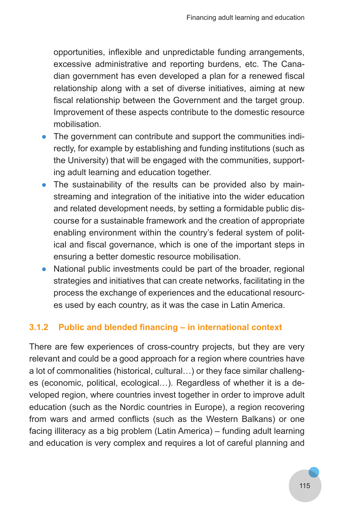opportunities, inflexible and unpredictable funding arrangements, excessive administrative and reporting burdens, etc. The Canadian government has even developed a plan for a renewed fiscal relationship along with a set of diverse initiatives, aiming at new fiscal relationship between the Government and the target group. Improvement of these aspects contribute to the domestic resource mobilisation.

- The government can contribute and support the communities indirectly, for example by establishing and funding institutions (such as the University) that will be engaged with the communities, supporting adult learning and education together.
- The sustainability of the results can be provided also by mainstreaming and integration of the initiative into the wider education and related development needs, by setting a formidable public discourse for a sustainable framework and the creation of appropriate enabling environment within the country's federal system of political and fiscal governance, which is one of the important steps in ensuring a better domestic resource mobilisation.
- National public investments could be part of the broader, regional strategies and initiatives that can create networks, facilitating in the process the exchange of experiences and the educational resources used by each country, as it was the case in Latin America.

#### **3.1.2 Public and blended financing – in international context**

There are few experiences of cross-country projects, but they are very relevant and could be a good approach for a region where countries have a lot of commonalities (historical, cultural…) or they face similar challenges (economic, political, ecological…). Regardless of whether it is a developed region, where countries invest together in order to improve adult education (such as the Nordic countries in Europe), a region recovering from wars and armed conflicts (such as the Western Balkans) or one facing illiteracy as a big problem (Latin America) – funding adult learning and education is very complex and requires a lot of careful planning and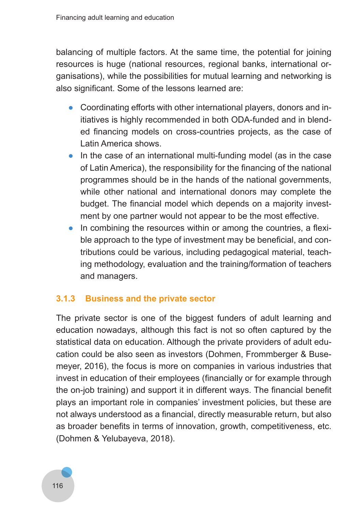balancing of multiple factors. At the same time, the potential for joining resources is huge (national resources, regional banks, international organisations), while the possibilities for mutual learning and networking is also significant. Some of the lessons learned are:

- Coordinating efforts with other international players, donors and initiatives is highly recommended in both ODA-funded and in blended financing models on cross-countries projects, as the case of Latin America shows.
- In the case of an international multi-funding model (as in the case of Latin America), the responsibility for the financing of the national programmes should be in the hands of the national governments, while other national and international donors may complete the budget. The financial model which depends on a majority investment by one partner would not appear to be the most effective.
- In combining the resources within or among the countries, a flexible approach to the type of investment may be beneficial, and contributions could be various, including pedagogical material, teaching methodology, evaluation and the training/formation of teachers and managers.

### **3.1.3 Business and the private sector**

The private sector is one of the biggest funders of adult learning and education nowadays, although this fact is not so often captured by the statistical data on education. Although the private providers of adult education could be also seen as investors (Dohmen, Frommberger & Busemeyer, 2016), the focus is more on companies in various industries that invest in education of their employees (financially or for example through the on-job training) and support it in different ways. The financial benefit plays an important role in companies' investment policies, but these are not always understood as a financial, directly measurable return, but also as broader benefits in terms of innovation, growth, competitiveness, etc. (Dohmen & Yelubayeva, 2018).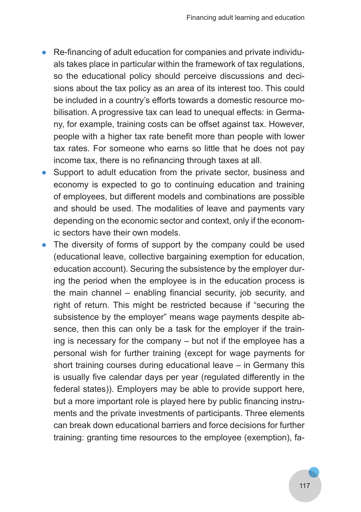- Re-financing of adult education for companies and private individuals takes place in particular within the framework of tax regulations, so the educational policy should perceive discussions and decisions about the tax policy as an area of its interest too. This could be included in a country's efforts towards a domestic resource mobilisation. A progressive tax can lead to unequal effects: in Germany, for example, training costs can be offset against tax. However, people with a higher tax rate benefit more than people with lower tax rates. For someone who earns so little that he does not pay income tax, there is no refinancing through taxes at all.
- Support to adult education from the private sector, business and economy is expected to go to continuing education and training of employees, but different models and combinations are possible and should be used. The modalities of leave and payments vary depending on the economic sector and context, only if the economic sectors have their own models.
- The diversity of forms of support by the company could be used (educational leave, collective bargaining exemption for education, education account). Securing the subsistence by the employer during the period when the employee is in the education process is the main channel – enabling financial security, job security, and right of return. This might be restricted because if "securing the subsistence by the employer" means wage payments despite absence, then this can only be a task for the employer if the training is necessary for the company – but not if the employee has a personal wish for further training (except for wage payments for short training courses during educational leave – in Germany this is usually five calendar days per year (regulated differently in the federal states)). Employers may be able to provide support here, but a more important role is played here by public financing instruments and the private investments of participants. Three elements can break down educational barriers and force decisions for further training: granting time resources to the employee (exemption), fa-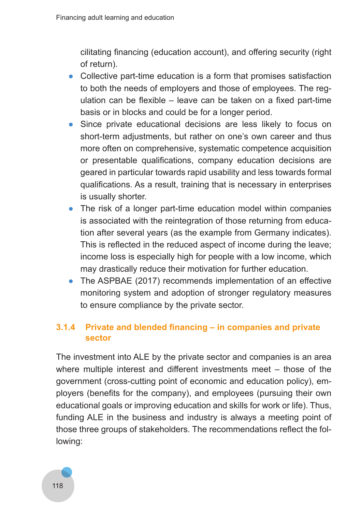cilitating financing (education account), and offering security (right of return).

- Collective part-time education is a form that promises satisfaction to both the needs of employers and those of employees. The regulation can be flexible – leave can be taken on a fixed part-time basis or in blocks and could be for a longer period.
- Since private educational decisions are less likely to focus on short-term adjustments, but rather on one's own career and thus more often on comprehensive, systematic competence acquisition or presentable qualifications, company education decisions are geared in particular towards rapid usability and less towards formal qualifications. As a result, training that is necessary in enterprises is usually shorter.
- The risk of a longer part-time education model within companies is associated with the reintegration of those returning from education after several years (as the example from Germany indicates). This is reflected in the reduced aspect of income during the leave; income loss is especially high for people with a low income, which may drastically reduce their motivation for further education.
- The ASPBAE (2017) recommends implementation of an effective monitoring system and adoption of stronger regulatory measures to ensure compliance by the private sector.

#### **3.1.4 Private and blended financing – in companies and private sector**

The investment into ALE by the private sector and companies is an area where multiple interest and different investments meet – those of the government (cross-cutting point of economic and education policy), employers (benefits for the company), and employees (pursuing their own educational goals or improving education and skills for work or life). Thus, funding ALE in the business and industry is always a meeting point of those three groups of stakeholders. The recommendations reflect the following:

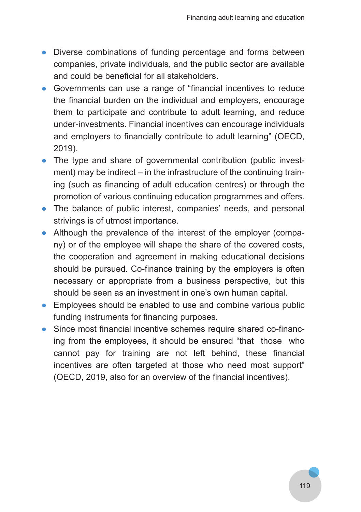- Diverse combinations of funding percentage and forms between companies, private individuals, and the public sector are available and could be beneficial for all stakeholders.
- Governments can use a range of "financial incentives to reduce the financial burden on the individual and employers, encourage them to participate and contribute to adult learning, and reduce under-investments. Financial incentives can encourage individuals and employers to financially contribute to adult learning" (OECD, 2019).
- The type and share of governmental contribution (public investment) may be indirect – in the infrastructure of the continuing training (such as financing of adult education centres) or through the promotion of various continuing education programmes and offers.
- The balance of public interest, companies' needs, and personal strivings is of utmost importance.
- Although the prevalence of the interest of the employer (company) or of the employee will shape the share of the covered costs, the cooperation and agreement in making educational decisions should be pursued. Co-finance training by the employers is often necessary or appropriate from a business perspective, but this should be seen as an investment in one's own human capital.
- Employees should be enabled to use and combine various public funding instruments for financing purposes.
- Since most financial incentive schemes require shared co-financing from the employees, it should be ensured "that those who cannot pay for training are not left behind, these financial incentives are often targeted at those who need most support" (OECD, 2019, also for an overview of the financial incentives).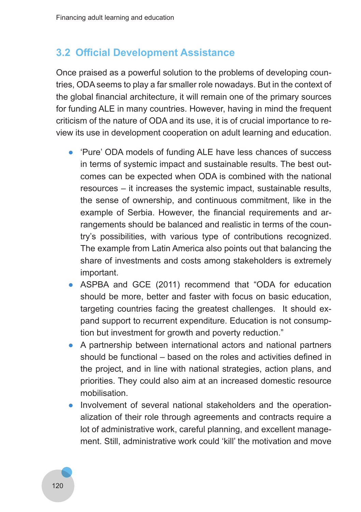### **3.2 Official Development Assistance**

Once praised as a powerful solution to the problems of developing countries, ODA seems to play a far smaller role nowadays. But in the context of the global financial architecture, it will remain one of the primary sources for funding ALE in many countries. However, having in mind the frequent criticism of the nature of ODA and its use, it is of crucial importance to review its use in development cooperation on adult learning and education.

- 'Pure' ODA models of funding ALE have less chances of success in terms of systemic impact and sustainable results. The best outcomes can be expected when ODA is combined with the national resources – it increases the systemic impact, sustainable results, the sense of ownership, and continuous commitment, like in the example of Serbia. However, the financial requirements and arrangements should be balanced and realistic in terms of the country's possibilities, with various type of contributions recognized. The example from Latin America also points out that balancing the share of investments and costs among stakeholders is extremely important.
- ASPBA and GCE (2011) recommend that "ODA for education should be more, better and faster with focus on basic education, targeting countries facing the greatest challenges. It should expand support to recurrent expenditure. Education is not consumption but investment for growth and poverty reduction."
- A partnership between international actors and national partners should be functional – based on the roles and activities defined in the project, and in line with national strategies, action plans, and priorities. They could also aim at an increased domestic resource mobilisation.
- Involvement of several national stakeholders and the operationalization of their role through agreements and contracts require a lot of administrative work, careful planning, and excellent management. Still, administrative work could 'kill' the motivation and move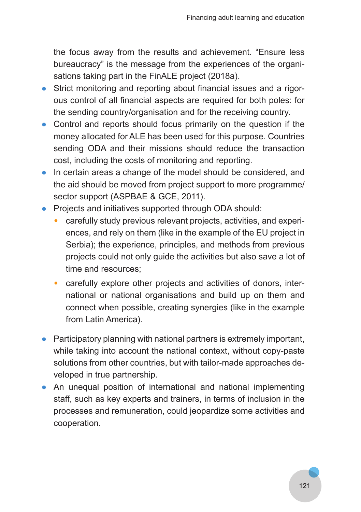the focus away from the results and achievement. "Ensure less bureaucracy" is the message from the experiences of the organisations taking part in the FinALE project (2018a).

- Strict monitoring and reporting about financial issues and a rigorous control of all financial aspects are required for both poles: for the sending country/organisation and for the receiving country.
- Control and reports should focus primarily on the question if the money allocated for ALE has been used for this purpose. Countries sending ODA and their missions should reduce the transaction cost, including the costs of monitoring and reporting.
- In certain areas a change of the model should be considered, and the aid should be moved from project support to more programme/ sector support (ASPBAE & GCE, 2011).
- Projects and initiatives supported through ODA should:
	- carefully study previous relevant projects, activities, and experiences, and rely on them (like in the example of the EU project in Serbia); the experience, principles, and methods from previous projects could not only guide the activities but also save a lot of time and resources;
	- carefully explore other projects and activities of donors, international or national organisations and build up on them and connect when possible, creating synergies (like in the example from Latin America).
- Participatory planning with national partners is extremely important, while taking into account the national context, without copy-paste solutions from other countries, but with tailor-made approaches developed in true partnership.
- An unequal position of international and national implementing staff, such as key experts and trainers, in terms of inclusion in the processes and remuneration, could jeopardize some activities and cooperation.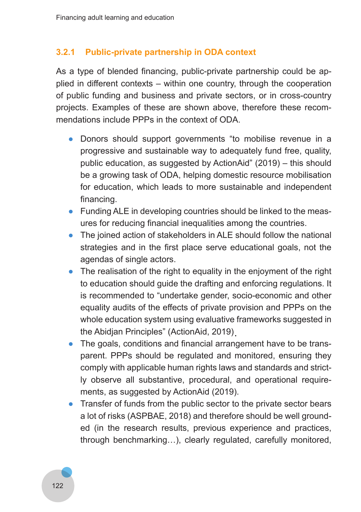#### **3.2.1 Public-private partnership in ODA context**

As a type of blended financing, public-private partnership could be applied in different contexts – within one country, through the cooperation of public funding and business and private sectors, or in cross-country projects. Examples of these are shown above, therefore these recommendations include PPPs in the context of ODA.

- Donors should support governments "to mobilise revenue in a progressive and sustainable way to adequately fund free, quality, public education, as suggested by ActionAid" (2019) – this should be a growing task of ODA, helping domestic resource mobilisation for education, which leads to more sustainable and independent financing.
- Funding ALE in developing countries should be linked to the measures for reducing financial inequalities among the countries.
- The joined action of stakeholders in ALE should follow the national strategies and in the first place serve educational goals, not the agendas of single actors.
- The realisation of the right to equality in the enjoyment of the right to education should guide the drafting and enforcing regulations. It is recommended to "undertake gender, socio-economic and other equality audits of the effects of private provision and PPPs on the whole education system using evaluative frameworks suggested in the Abidjan Principles" (ActionAid, 2019) .
- The goals, conditions and financial arrangement have to be transparent. PPPs should be regulated and monitored, ensuring they comply with applicable human rights laws and standards and strictly observe all substantive, procedural, and operational requirements, as suggested by ActionAid (2019).
- Transfer of funds from the public sector to the private sector bears a lot of risks (ASPBAE, 2018) and therefore should be well grounded (in the research results, previous experience and practices, through benchmarking…), clearly regulated, carefully monitored,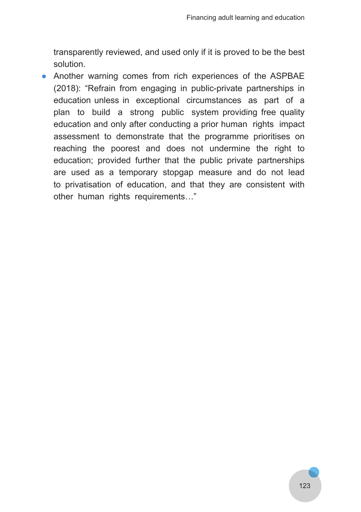transparently reviewed, and used only if it is proved to be the best solution.

● Another warning comes from rich experiences of the ASPBAE (2018): "Refrain from engaging in public-private partnerships in education unless in exceptional circumstances as part of a plan to build a strong public system providing free quality education and only after conducting a prior human rights impact assessment to demonstrate that the programme prioritises on reaching the poorest and does not undermine the right to education; provided further that the public private partnerships are used as a temporary stopgap measure and do not lead to privatisation of education, and that they are consistent with other human rights requirements..."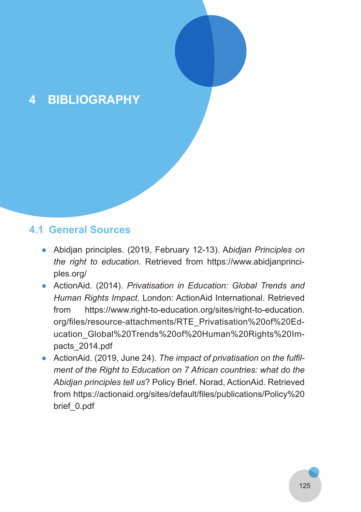# **4 BIBLIOGRAPHY**

### **4.1 General Sources**

- Abidjan principles. (2019, February 12-13). A*bidjan Principles on the right to education.* Retrieved from https://www.abidjanprinciples.org/
- ActionAid. (2014). *Privatisation in Education: Global Trends and Human Rights Impact.* London: ActionAid International. Retrieved from https://www.right-to-education.org/sites/right-to-education. org/files/resource-attachments/RTE\_Privatisation%20of%20Education\_Global%20Trends%20of%20Human%20Rights%20Impacts\_2014.pdf
- ActionAid. (2019, June 24). *The impact of privatisation on the fulfil ment of the Right to Education on 7 African countries: what do the Abidjan principles tell us*? Policy Brief. Norad, ActionAid. Retrieved from https://actionaid.org/sites/default/files/publications/Policy%20 brief\_0.pdf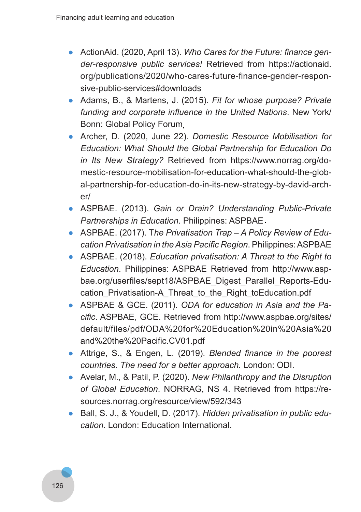- ActionAid. (2020, April 13). *Who Cares for the Future: finance gen der-responsive public services!* Retrieved from https://actionaid. org/publications/2020/who-cares-future-finance-gender-responsive-public-services#downloads
- Adams, B., & Martens, J. (2015). *Fit for whose purpose? Private funding and corporate influence in the United Nations*. New York/ Bonn: Global Policy Forum .
- Archer, D. (2020, June 22). *Domestic Resource Mobilisation for Education: What Should the Global Partnership for Education Do in Its New Strategy?* Retrieved from https://www.norrag.org/domestic-resource-mobilisation-for-education-what-should-the-global-partnership-for-education-do-in-its-new-strategy-by-david-archer/
- ASPBAE. (2013). *Gain or Drain? Understanding Public-Private Partnerships in Education*. Philippines: ASPBAE .
- ASPBAE. (2017). T*he Privatisation Trap A Policy Review of Edu‑ cation Privatisation in the Asia Pacific Region*. Philippines: ASPBAE
- ASPBAE. (2018). *Education privatisation: A Threat to the Right to Education*. Philippines: ASPBAE Retrieved from http://www.aspbae.org/userfiles/sept18/ASPBAE\_Digest\_Parallel\_Reports-Education Privatisation-A Threat to the Right toEducation.pdf
- ASPBAE & GCE. (2011). *ODA for education in Asia and the Pa‑ cific*. ASPBAE, GCE. Retrieved from http://www.aspbae.org/sites/ default/files/pdf/ODA%20for%20Education%20in%20Asia%20 and%20the%20Pacific.CV01.pdf
- Attrige, S., & Engen, L. (2019). *Blended finance in the poorest countries. The need for a better approach.* London: ODI.
- Avelar, M., & Patil, P. (2020). *New Philanthropy and the Disruption of Global Education*. NORRAG, NS 4. Retrieved from https://resources.norrag.org/resource/view/592/343
- Ball, S. J., & Youdell, D. (2017). *Hidden privatisation in public edu‑ cation*. London: Education International.

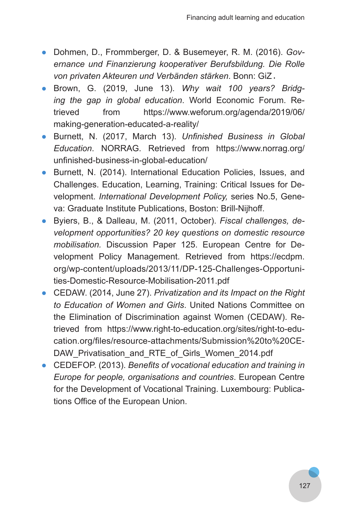- Dohmen, D., Frommberger, D. & Busemeyer, R. M. (2016). *Gov‑ ernance und Finanzierung kooperativer Berufsbildung. Die Rolle von privaten Akteuren und Verbänden stärken*. Bonn: GiZ .
- Brown, G. (2019, June 13). *Why wait 100 years? Bridg‑ ing the gap in global education*. World Economic Forum. Retrieved from https://www.weforum.org/agenda/2019/06/ making-generation-educated-a-reality/
- Burnett, N. (2017, March 13). *Unfinished Business in Global Education*. NORRAG. Retrieved from https://www.norrag.org/ unfinished-business-in-global-education/
- Burnett, N. (2014). International Education Policies, Issues, and Challenges. Education, Learning, Training: Critical Issues for Development. *International Development Policy,* series No.5, Geneva: Graduate Institute Publications, Boston: Brill-Nijhoff.
- Byiers, B., & Dalleau, M. (2011, October). *Fiscal challenges, de‑ velopment opportunities? 20 key questions on domestic resource mobilisation.* Discussion Paper 125. European Centre for Development Policy Management. Retrieved from https://ecdpm. org/wp-content/uploads/2013/11/DP-125-Challenges-Opportunities-Domestic-Resource-Mobilisation-2011.pdf
- CEDAW. (2014, June 27). *Privatization and its Impact on the Right to Education of Women and Girls*. United Nations Committee on the Elimination of Discrimination against Women (CEDAW). Retrieved from https://www.right-to-education.org/sites/right-to-education.org/files/resource-attachments/Submission%20to%20CE-DAW\_Privatisation\_and\_RTE\_of\_Girls\_Women\_2014.pdf
- CEDEFOP. (2013). *Benefits of vocational education and training in Europe for people, organisations and countries*. European Centre for the Development of Vocational Training. Luxembourg: Publications Office of the European Union.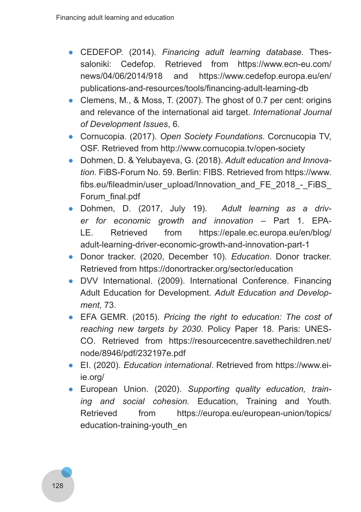- CEDEFOP. (2014). *Financing adult learning database.* Thessaloniki: Cedefop. Retrieved from https://www.ecn-eu.com/ news/04/06/2014/918 and https://www.cedefop.europa.eu/en/ publications-and-resources/tools/financing-adult-learning-db
- Clemens, M., & Moss, T. (2007). The ghost of 0.7 per cent: origins and relevance of the international aid target. *International Journal of Development Issues*, 6.
- Cornucopia. (2017). *Open Society Foundations*. Corcnucopia TV, OSF. Retrieved from http://www.cornucopia.tv/open-society
- Dohmen, D. & Yelubayeva, G. (2018). *Adult education and Innova‑ tion*. FiBS-Forum No. 59. Berlin: FIBS. Retrieved from https://www. fibs.eu/fileadmin/user\_upload/Innovation\_and\_FE\_2018\_-\_FiBS Forum\_final.pdf
- Dohmen, D. (2017, July 19). *Adult learning as a driv‑ er for economic growth and innovation* – Part 1. EPA-LE. Retrieved from https://epale.ec.europa.eu/en/blog/ adult-learning-driver-economic-growth-and-innovation-part-1
- Donor tracker. (2020, December 10). *Education*. Donor tracker. Retrieved from https://donortracker.org/sector/education
- DVV International. (2009). International Conference. Financing Adult Education for Development. *Adult Education and Develop‑ ment,* 73.
- EFA GEMR. (2015). *Pricing the right to education: The cost of reaching new targets by 2030*. Policy Paper 18. Paris: UNES-CO. Retrieved from https://resourcecentre.savethechildren.net/ node/8946/pdf/232197e.pdf
- EI. (2020). *Education international*. Retrieved from https://www.eiie.org/
- European Union. (2020). *Supporting quality education, train‑ ing and social cohesion.* Education, Training and Youth. Retrieved from https://europa.eu/european-union/topics/ education-training-youth\_en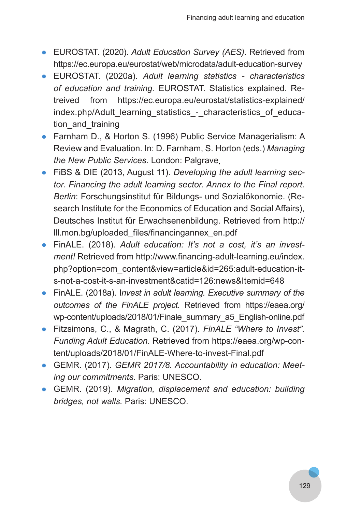- EUROSTAT. (2020). *Adult Education Survey (AES)*. Retrieved from https://ec.europa.eu/eurostat/web/microdata/adult-education-survey
- EUROSTAT. (2020a). *Adult learning statistics characteristics of education and training.* EUROSTAT. Statistics explained. Retreived from https://ec.europa.eu/eurostat/statistics-explained/ index.php/Adult\_learning\_statistics - characteristics\_of\_education and training
- Farnham D., & Horton S. (1996) Public Service Managerialism: A Review and Evaluation. In: D. Farnham, S. Horton (eds.) *Managing the New Public Services*. London: Palgrave .
- FiBS & DIE (2013, August 11). *Developing the adult learning sec‑ tor. Financing the adult learning sector. Annex to the Final report. Berlin*: Forschungsinstitut für Bildungs- und Sozialökonomie. (Research Institute for the Economics of Education and Social Affairs), Deutsches Institut für Erwachsenenbildung. Retrieved from http:// lll.mon.bg/uploaded\_files/financingannex\_en.pdf
- FinALE. (2018). *Adult education: It's not a cost, it's an invest‑ ment!* Retrieved from http://www.financing-adult-learning.eu/index. php?option=com\_content&view=article&id=265:adult-education-its-not-a-cost-it-s-an-investment&catid=126:news&Itemid=648
- FinALE. (2018a). I*nvest in adult learning. Executive summary of the outcomes of the FinALE project.* Retrieved from https://eaea.org/ wp-content/uploads/2018/01/Finale\_summary\_a5\_English-online.pdf
- Fitzsimons, C., & Magrath, C. (2017). *FinALE "Where to Invest". Funding Adult Education*. Retrieved from https://eaea.org/wp-content/uploads/2018/01/FinALE-Where-to-invest-Final.pdf
- GEMR. (2017). *GEMR 2017/8. Accountability in education: Meet‑ ing our commitments.* Paris: UNESCO.
- GEMR. (2019). *Migration, displacement and education: building bridges, not walls.* Paris: UNESCO.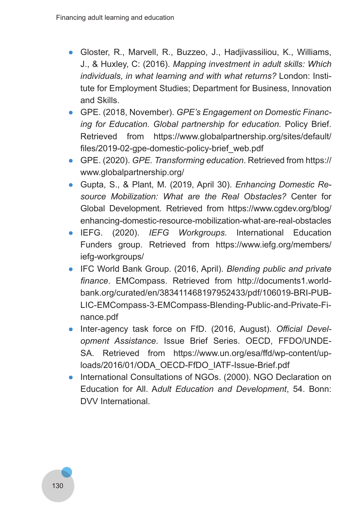- Gloster, R., Marvell, R., Buzzeo, J., Hadjivassiliou, K., Williams, J., & Huxley, C: (2016). *Mapping investment in adult skills: Which individuals, in what learning and with what returns?* London: Institute for Employment Studies; Department for Business, Innovation and Skills.
- GPE. (2018, November). *GPE's Engagement on Domestic Financ‑ ing for Education. Global partnership for education.* Policy Brief. Retrieved from https://www.globalpartnership.org/sites/default/ files/2019-02-gpe-domestic-policy-brief\_web.pdf
- GPE. (2020). *GPE. Transforming education*. Retrieved from https:// www.globalpartnership.org/
- Gupta, S., & Plant, M. (2019, April 30). *Enhancing Domestic Re‑ source Mobilization: What are the Real Obstacles?* Center for Global Development*.* Retrieved from https://www.cgdev.org/blog/ enhancing-domestic-resource-mobilization-what-are-real-obstacles
- IEFG. (2020). *IEFG Workgroups.* International Education Funders group. Retrieved from https://www.iefg.org/members/ iefg-workgroups/
- IFC World Bank Group. (2016, April). *Blending public and private finance*. EMCompass. Retrieved from http://documents1.worldbank.org/curated/en/383411468197952433/pdf/106019-BRI-PUB-LIC-EMCompass-3-EMCompass-Blending-Public-and-Private-Finance.pdf
- Inter-agency task force on FfD. (2016, August). *Official Devel‑ opment Assistance*. Issue Brief Series. OECD, FFDO/UNDE-SA. Retrieved from https://www.un.org/esa/ffd/wp-content/uploads/2016/01/ODA\_OECD-FfDO\_IATF-Issue-Brief.pdf
- International Consultations of NGOs. (2000). NGO Declaration on Education for All. A*dult Education and Development*, 54. Bonn: DVV International.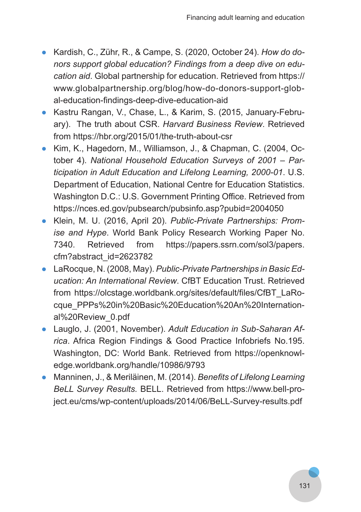- Kardish, C., Zühr, R., & Campe, S. (2020, October 24). *How do do‑ nors support global education? Findings from a deep dive on edu‑ cation aid*. Global partnership for education. Retrieved from https:// www.globalpartnership.org/blog/how-do-donors-support-global-education-findings-deep-dive-education-aid
- Kastru Rangan, V., Chase, L., & Karim, S. (2015, January-February). The truth about CSR. *Harvard Business Review*. Retrieved from https://hbr.org/2015/01/the-truth-about-csr
- Kim, K., Hagedorn, M., Williamson, J., & Chapman, C. (2004, October 4). *National Household Education Surveys of 2001 – Par‑ ticipation in Adult Education and Lifelong Learning, 2000-01*. U.S. Department of Education, National Centre for Education Statistics. Washington D.C.: U.S. Government Printing Office. Retrieved from https://nces.ed.gov/pubsearch/pubsinfo.asp?pubid=2004050
- Klein, M. U. (2016, April 20). *Public-Private Partnerships: Prom‑ ise and Hype*. World Bank Policy Research Working Paper No. 7340. Retrieved from https://papers.ssrn.com/sol3/papers. cfm?abstract\_id=2623782
- LaRocque, N. (2008, May). *Public-Private Partnerships in Basic Ed‑ ucation: An International Review*. CfBT Education Trust. Retrieved from https://olcstage.worldbank.org/sites/default/files/CfBT\_LaRocque\_PPPs%20in%20Basic%20Education%20An%20International%20Review\_0.pdf
- Lauglo, J. (2001, November). Adult Education in Sub-Saharan Af*rica*. Africa Region Findings & Good Practice Infobriefs No.195. Washington, DC: World Bank. Retrieved from https://openknowledge.worldbank.org/handle/10986/9793
- Manninen, J., & Meriläinen, M. (2014). *Benefits of Lifelong Learning BeLL Survey Results.* BELL. Retrieved from https://www.bell-project.eu/cms/wp-content/uploads/2014/06/BeLL-Survey-results.pdf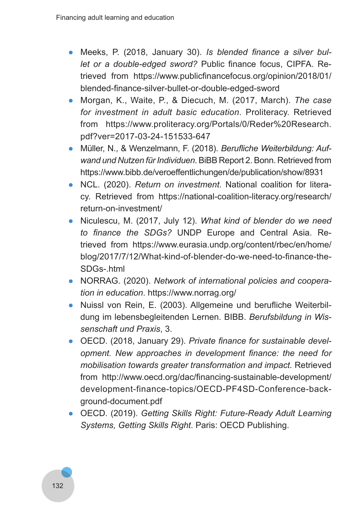- Meeks, P. (2018, January 30). *Is blended finance a silver bul‑ let or a double-edged sword?* Public finance focus, CIPFA. Retrieved from https://www.publicfinancefocus.org/opinion/2018/01/ blended-finance-silver-bullet-or-double-edged-sword
- Morgan, K., Waite, P., & Diecuch, M. (2017, March). *The case for investment in adult basic education*. Proliteracy. Retrieved from https://www.proliteracy.org/Portals/0/Reder%20Research. pdf?ver=2017-03-24-151533-647
- Müller, N., & Wenzelmann, F. (2018). *Berufliche Weiterbildung: Auf‑ wand und Nutzen für Individuen*. BiBB Report 2. Bonn. Retrieved from https://www.bibb.de/veroeffentlichungen/de/publication/show/8931
- NCL. (2020). *Return on investment.* National coalition for literacy. Retrieved from https://national-coalition-literacy.org/research/ return-on-investment/
- Niculescu, M. (2017, July 12). *What kind of blender do we need to finance the SDGs?* UNDP Europe and Central Asia. Retrieved from https://www.eurasia.undp.org/content/rbec/en/home/ blog/2017/7/12/What-kind-of-blender-do-we-need-to-finance-the-SDGs-html
- NORRAG. (2020). *Network of international policies and coopera‑ tion in education*. https://www.norrag.org/
- Nuissl von Rein, E. (2003). Allgemeine und berufliche Weiterbildung im lebensbegleitenden Lernen. BIBB. *Berufsbildung in Wis‑ senschaft und Praxis*, 3.
- OECD. (2018, January 29). *Private finance for sustainable devel‑ opment. New approaches in development finance: the need for mobilisation towards greater transformation and impact.* Retrieved from http://www.oecd.org/dac/financing-sustainable-development/ development-finance-topics/OECD-PF4SD-Conference-background-document.pdf
- OECD. (2019). *Getting Skills Right: Future-Ready Adult Learning Systems, Getting Skills Right*. Paris: OECD Publishing.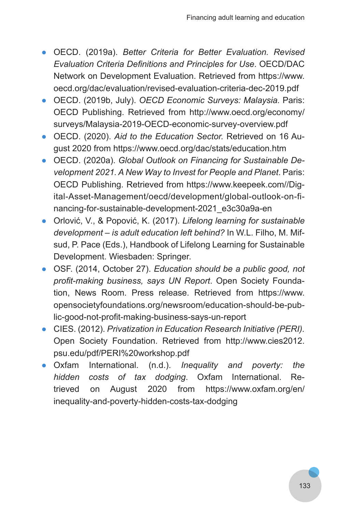- OECD. (2019a). *Better Criteria for Better Evaluation. Revised Evaluation Criteria Definitions and Principles for Use*. OECD/DAC Network on Development Evaluation. Retrieved from https://www. oecd.org/dac/evaluation/revised-evaluation-criteria-dec-2019.pdf
- OECD. (2019b, July). *OECD Economic Surveys: Malaysia.* Paris: OECD Publishing. Retrieved from http://www.oecd.org/economy/ surveys/Malaysia-2019-OECD-economic-survey-overview.pdf
- OECD. (2020). *Aid to the Education Sector.* Retrieved on 16 August 2020 from https://www.oecd.org/dac/stats/education.htm
- OECD. (2020a). *Global Outlook on Financing for Sustainable De‑ velopment 2021. A New Way to Invest for People and Planet*. Paris: OECD Publishing. Retrieved from https://www.keepeek.com//Digital-Asset-Management/oecd/development/global-outlook-on-financing-for-sustainable-development-2021\_e3c30a9a-en
- Orlović, V., & Popović, K. (2017). *Lifelong learning for sustainable development – is adult education left behind?* In W.L. Filho, M. Mifsud, P. Pace (Eds.), Handbook of Lifelong Learning for Sustainable Development. Wiesbaden: Springer.
- OSF. (2014, October 27). *Education should be a public good, not profit-making business, says UN Report*. Open Society Foundation, News Room. Press release. Retrieved from https://www. opensocietyfoundations.org/newsroom/education-should-be-public-good-not-profit-making-business-says-un-report
- CIES. (2012). *Privatization in Education Research Initiative (PERI).* Open Society Foundation. Retrieved from http://www.cies2012. psu.edu/pdf/PERI%20workshop.pdf
- Oxfam International. (n.d.). *Inequality and poverty: the hidden costs of tax dodging*. Oxfam International. Retrieved on August 2020 from https://www.oxfam.org/en/ inequality-and-poverty-hidden-costs-tax-dodging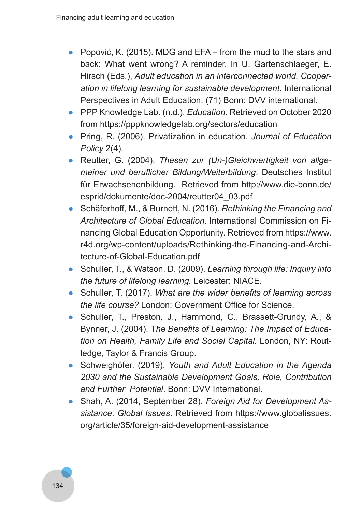- Popović, K. (2015). MDG and EFA from the mud to the stars and back: What went wrong? A reminder. In U. Gartenschlaeger, E. Hirsch (Eds.), *Adult education in an interconnected world. Cooper‑ ation in lifelong learning for sustainable development.* International Perspectives in Adult Education. (71) Bonn: DVV international.
- PPP Knowledge Lab. (n.d.). *Education*. Retrieved on October 2020 from https://pppknowledgelab.org/sectors/education
- Pring, R. (2006). Privatization in education. *Journal of Education Policy* 2(4).
- Reutter, G. (2004). *Thesen zur (Un-)Gleichwertigkeit von allge‑ meiner und beruflicher Bildung/Weiterbildung*. Deutsches Institut für Erwachsenenbildung. Retrieved from http://www.die-bonn.de/ esprid/dokumente/doc-2004/reutter04\_03.pdf
- Schäferhoff, M., & Burnett, N. (2016). *Rethinking the Financing and Architecture of Global Education.* International Commission on Financing Global Education Opportunity. Retrieved from https://www. r4d.org/wp-content/uploads/Rethinking-the-Financing-and-Architecture-of-Global-Education.pdf
- Schuller, T., & Watson, D. (2009). *Learning through life: Inquiry into the future of lifelong learning.* Leicester: NIACE.
- Schuller, T. (2017). *What are the wider benefits of learning across the life course?* London: Government Office for Science.
- Schuller, T., Preston, J., Hammond, C., Brassett-Grundy, A., & Bynner, J. (2004). T*he Benefits of Learning: The Impact of Educa‑ tion on Health, Family Life and Social Capital.* London, NY: Routledge, Taylor & Francis Group.
- Schweighöfer. (2019). *Youth and Adult Education in the Agenda 2030 and the Sustainable Development Goals. Role, Contribution and Further Potential*. Bonn: DVV International.
- Shah, A. (2014, September 28). *Foreign Aid for Development As‑ sistance*. *Global Issues*. Retrieved from https://www.globalissues. org/article/35/foreign-aid-development-assistance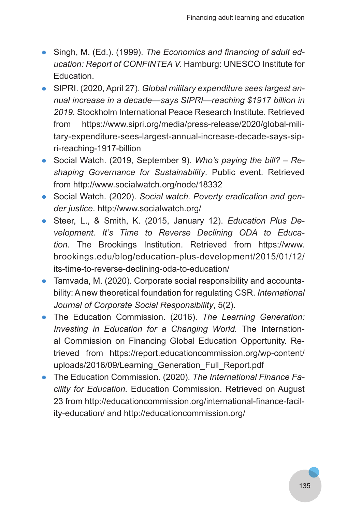- Singh, M. (Ed.). (1999). *The Economics and financing of adult ed‑ ucation: Report of CONFINTEA V.* Hamburg: UNESCO Institute for Education.
- SIPRI. (2020, April 27). *Global military expenditure sees largest an‑ nual increase in a decade—says SIPRI—reaching \$1917 billion in 2019.* Stockholm International Peace Research Institute. Retrieved from https://www.sipri.org/media/press-release/2020/global-military-expenditure-sees-largest-annual-increase-decade-says-sipri-reaching-1917-billion
- Social Watch. (2019, September 9). *Who's paying the bill? Re‑ shaping Governance for Sustainability*. Public event. Retrieved from http://www.socialwatch.org/node/18332
- Social Watch. (2020). *Social watch. Poverty eradication and gen‑ der justice*. http://www.socialwatch.org/
- Steer, L., & Smith, K. (2015, January 12). *Education Plus De‑ velopment. It's Time to Reverse Declining ODA to Educa‑ tion.* The Brookings Institution. Retrieved from https://www. brookings.edu/blog/education-plus-development/2015/01/12/ its-time-to-reverse-declining-oda-to-education/
- Tamvada, M. (2020). Corporate social responsibility and accountability: A new theoretical foundation for regulating CSR. *International Journal of Corporate Social Responsibility*, 5(2).
- The Education Commission. (2016). *The Learning Generation: Investing in Education for a Changing World.* The International Commission on Financing Global Education Opportunity. Retrieved from https://report.educationcommission.org/wp-content/ uploads/2016/09/Learning Generation Full Report.pdf
- The Education Commission. (2020). *The International Finance Fa‑ cility for Education.* Education Commission. Retrieved on August 23 from http://educationcommission.org/international-finance-facility-education/ and http://educationcommission.org/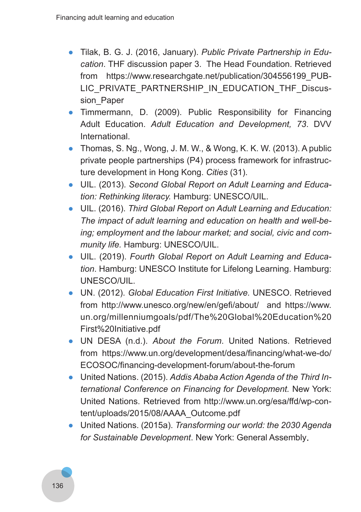- Tilak, B. G. J. (2016, January). *Public Private Partnership in Edu‑ cation*. THF discussion paper 3. The Head Foundation. Retrieved from https://www.researchgate.net/publication/304556199\_PUB-LIC\_PRIVATE\_PARTNERSHIP\_IN\_EDUCATION\_THF\_Discussion Paper
- Timmermann, D. (2009). Public Responsibility for Financing Adult Education. *Adult Education and Development, 73*. DVV International.
- Thomas, S. Ng., Wong, J. M. W., & Wong, K. K. W. (2013). A public private people partnerships (P4) process framework for infrastructure development in Hong Kong. *Cities* (31).
- UIL. (2013). *Second Global Report on Adult Learning and Educa‑ tion: Rethinking literacy.* Hamburg: UNESCO/UIL.
- UIL. (2016). *Third Global Report on Adult Learning and Education: The impact of adult learning and education on health and well-be‑ ing; employment and the labour market; and social, civic and com‑ munity life.* Hamburg: UNESCO/UIL.
- UIL. (2019). *Fourth Global Report on Adult Learning and Educa‑ tion*. Hamburg: UNESCO Institute for Lifelong Learning. Hamburg: UNESCO/UIL.
- UN. (2012). *Global Education First Initiative.* UNESCO. Retrieved from http://www.unesco.org/new/en/gefi/about/ and https://www. un.org/millenniumgoals/pdf/The%20Global%20Education%20 First%20Initiative.pdf
- UN DESA (n.d.). *About the Forum*. United Nations. Retrieved from https://www.un.org/development/desa/financing/what-we-do/ ECOSOC/financing-development-forum/about-the-forum
- United Nations. (2015). *Addis Ababa Action Agenda of the Third In‑ ternational Conference on Financing for Development.* New York: United Nations. Retrieved from http://www.un.org/esa/ffd/wp-content/uploads/2015/08/AAAA\_Outcome.pdf
- United Nations. (2015a). *Transforming our world: the 2030 Agenda for Sustainable Development*. New York: General Assembly.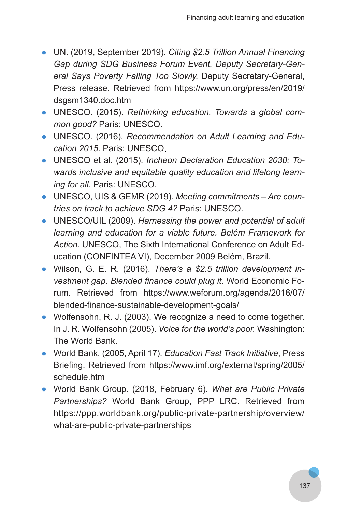- UN. (2019, September 2019). *Citing \$2.5 Trillion Annual Financing Gap during SDG Business Forum Event, Deputy Secretary-Gen‑ eral Says Poverty Falling Too Slowly.* Deputy Secretary-General, Press release. Retrieved from https://www.un.org/press/en/2019/ dsgsm1340.doc.htm
- UNESCO. (2015). *Rethinking education. Towards a global com‑ mon good?* Paris: UNESCO.
- UNESCO. (2016). *Recommendation on Adult Learning and Edu‑ cation 2015*. Paris: UNESCO .
- UNESCO et al. (2015). *Incheon Declaration Education 2030: To‑ wards inclusive and equitable quality education and lifelong learn‑ ing for all*. Paris: UNESCO.
- UNESCO, UIS & GEMR (2019). *Meeting commitments Are coun‑ tries on track to achieve SDG 4?* Paris: UNESCO.
- UNESCO/UIL (2009). *Harnessing the power and potential of adult learning and education for a viable future. Belém Framework for Action.* UNESCO, The Sixth International Conference on Adult Education (CONFINTEA VI), December 2009 Belém, Brazil.
- Wilson, G. E. R. (2016). *There's a \$2.5 trillion development in‑ vestment gap. Blended finance could plug it*. World Economic Forum. Retrieved from https://www.weforum.org/agenda/2016/07/ blended-finance-sustainable-development-goals/
- Wolfensohn, R. J. (2003). We recognize a need to come together. In J. R. Wolfensohn (2005). *Voice for the world's poor.* Washington: The World Bank.
- World Bank. (2005, April 17). *Education Fast Track Initiative*, Press Briefing. Retrieved from https://www.imf.org/external/spring/2005/ schedule.htm
- World Bank Group. (2018, February 6). *What are Public Private Partnerships?* World Bank Group, PPP LRC. Retrieved from https://ppp.worldbank.org/public-private-partnership/overview/ what-are-public-private-partnerships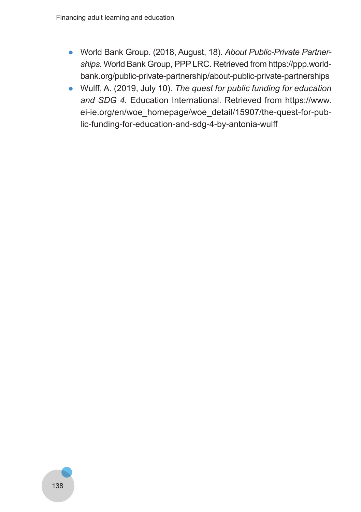- World Bank Group. (2018, August, 18). *About Public-Private Partner‑ ships*. World Bank Group, PPP LRC. Retrieved from https://ppp.worldbank.org/public-private-partnership/about-public-private-partnerships
- Wulff, A. (2019, July 10). *The quest for public funding for education and SDG 4.* Education International. Retrieved from https://www. ei-ie.org/en/woe\_homepage/woe\_detail/15907/the-quest-for-public-funding-for-education-and-sdg-4-by-antonia-wulff

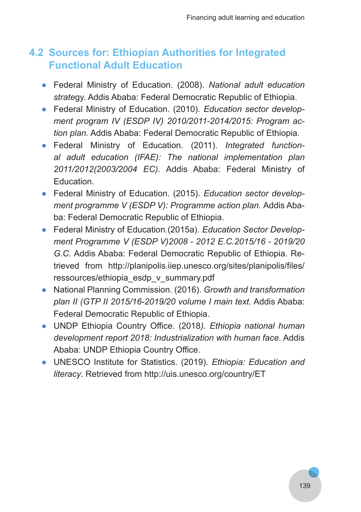# **4.2 Sources for: Ethiopian Authorities for Integrated Functional Adult Education**

- Federal Ministry of Education. (2008). *National adult education strate*gy. Addis Ababa: Federal Democratic Republic of Ethiopia.
- Federal Ministry of Education. (2010). *Education sector develop‑ ment program IV (ESDP IV) 2010/2011-2014/2015: Program ac‑ tion plan.* Addis Ababa: Federal Democratic Republic of Ethiopia.
- Federal Ministry of Education. (2011). *Integrated function‑ al adult education (IFAE): The national implementation plan 2011/2012(2003/2004 EC).* Addis Ababa: Federal Ministry of Education.
- Federal Ministry of Education. (2015). *Education sector develop‑ ment programme V (ESDP V): Programme action plan.* Addis Ababa: Federal Democratic Republic of Ethiopia.
- Federal Ministry of Education.(2015a). *Education Sector Develop‑ ment Programme V (ESDP V)2008 - 2012 E.C.2015/16 - 2019/20 G.C.* Addis Ababa: Federal Democratic Republic of Ethiopia. Retrieved from http://planipolis.iiep.unesco.org/sites/planipolis/files/ ressources/ethiopia\_esdp\_v\_summary.pdf
- National Planning Commission. (2016). *Growth and transformation plan II (GTP II 2015/16-2019/20 volume I main text.* Addis Ababa: Federal Democratic Republic of Ethiopia.
- UNDP Ethiopia Country Office. (2018*). Ethiopia national human development report 2018: Industrialization with human face*. Addis Ababa: UNDP Ethiopia Country Office.
- UNESCO Institute for Statistics. (2019). *Ethiopia: Education and literacy*. Retrieved from http://uis.unesco.org/country/ET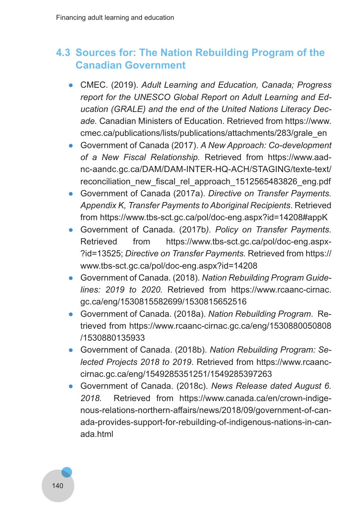# **4.3 Sources for: The Nation Rebuilding Program of the Canadian Government**

- CMEC. (2019). *Adult Learning and Education, Canada; Progress report for the UNESCO Global Report on Adult Learning and Ed‑ ucation (GRALE) and the end of the United Nations Literacy Dec‑ ade.* Canadian Ministers of Education. Retrieved from https://www. cmec.ca/publications/lists/publications/attachments/283/grale\_en
- Government of Canada (2017). *A New Approach: Co-development of a New Fiscal Relationship.* Retrieved from https://www.aadnc-aandc.gc.ca/DAM/DAM-INTER-HQ-ACH/STAGING/texte-text/ reconciliation\_new\_fiscal\_rel\_approach\_1512565483826\_eng.pdf
- Government of Canada (2017a). *Directive on Transfer Payments. Appendix K, Transfer Payments to Aboriginal Recipients*. Retrieved from https://www.tbs-sct.gc.ca/pol/doc-eng.aspx?id=14208#appK
- Government of Canada. (2017b*). Policy on Transfer Payments*. Retrieved from https://www.tbs-sct.gc.ca/pol/doc-eng.aspx-?id=13525; *Directive on Transfer Payments.* Retrieved from https:// www.tbs-sct.gc.ca/pol/doc-eng.aspx?id=14208
- Government of Canada. (2018). *Nation Rebuilding Program Guide‑ lines: 2019 to 2020.* Retrieved from https://www.rcaanc-cirnac. gc.ca/eng/1530815582699/1530815652516
- Government of Canada. (2018a). *Nation Rebuilding Program*. Retrieved from https://www.rcaanc-cirnac.gc.ca/eng/1530880050808 /1530880135933
- Government of Canada. (2018b). *Nation Rebuilding Program: Se‑ lected Projects 2018 to 2019*. Retrieved from https://www.rcaanccirnac.gc.ca/eng/1549285351251/1549285397263
- Government of Canada. (2018c). *News Release dated August 6. 2018.* Retrieved from https://www.canada.ca/en/crown-indigenous-relations-northern-affairs/news/2018/09/government-of-canada-provides-support-for-rebuilding-of-indigenous-nations-in-canada.html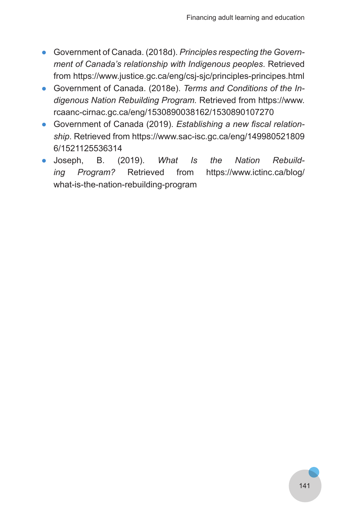- Government of Canada. (2018d). *Principles respecting the Govern‑ ment of Canada's relationship with Indigenous peoples*. Retrieved from https://www.justice.gc.ca/eng/csj-sjc/principles-principes.html
- Government of Canada. (2018e). *Terms and Conditions of the In‑ digenous Nation Rebuilding Program.* Retrieved from https://www. rcaanc-cirnac.gc.ca/eng/1530890038162/1530890107270
- Government of Canada (2019). *Establishing a new fiscal relation‑ ship*. Retrieved from https://www.sac-isc.gc.ca/eng/149980521809 6/1521125536314
- Joseph, B. (2019). *What Is the Nation Rebuild‑ ing Program?* Retrieved from https://www.ictinc.ca/blog/ what-is-the-nation-rebuilding-program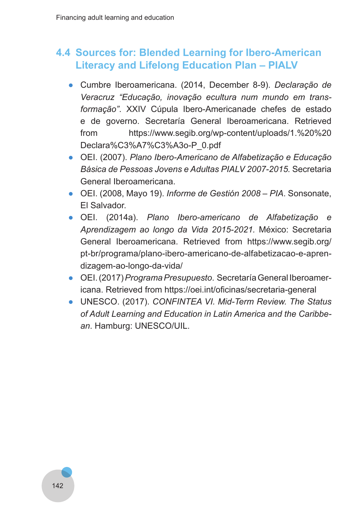# **4.4 Sources for: Blended Learning for Ibero-American Literacy and Lifelong Education Plan – PIALV**

- Cumbre Iberoamericana. (2014, December 8-9). *Declaração de Veracruz "Educação, inovação ecultura num mundo em trans‑ formação"*. XXIV Cúpula Ibero-Americanade chefes de estado e de governo. Secretaría General Iberoamericana. Retrieved from https://www.segib.org/wp-content/uploads/1.%20%20 Declara%C3%A7%C3%A3o-P\_0.pdf
- OEI. (2007). *Plano Ibero-Americano de Alfabetização e Educação Básica de Pessoas Jovens e Adultas PIALV 2007-2015.* Secretaria General Iberoamericana.
- OEI. (2008, Mayo 19). *Informe de Gestión 2008 PIA*. Sonsonate, El Salvador.
- OEI. (2014a). *Plano Ibero-americano de Alfabetização e Aprendizagem ao longo da Vida 2015-2021.* México: Secretaria General Iberoamericana. Retrieved from https://www.segib.org/ pt-br/programa/plano-ibero-americano-de-alfabetizacao-e-aprendizagem-ao-longo-da-vida/
- OEI. (2017) *Programa Presupuesto*. Secretaría General Iberoamericana. Retrieved from https://oei.int/oficinas/secretaria-general
- UNESCO. (2017). *CONFINTEA VI. Mid-Term Review. The Status of Adult Learning and Education in Latin America and the Caribbe‑ an*. Hamburg: UNESCO/UIL.

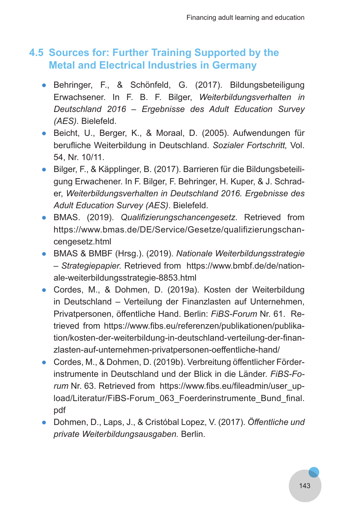## **4.5 Sources for: Further Training Supported by the Metal and Electrical Industries in Germany**

- Behringer, F., & Schönfeld, G. (2017). Bildungsbeteiligung Erwachsener. In F. B. F. Bilger, *Weiterbildungsverhalten in Deutschland 2016 – Ergebnisse des Adult Education Survey (AES).* Bielefeld.
- Beicht, U., Berger, K., & Moraal, D. (2005). Aufwendungen für berufliche Weiterbildung in Deutschland. *Sozialer Fortschritt,* Vol. 54, Nr. 10/11.
- Bilger, F., & Käpplinger, B. (2017). Barrieren für die Bildungsbeteiligung Erwachener. In F. Bilger, F. Behringer, H. Kuper, & J. Schrader, *Weiterbildungsverhalten in Deutschland 2016. Ergebnisse des Adult Education Survey (AES)*. Bielefeld.
- BMAS. (2019). *Qualifizierungschancengesetz.* Retrieved from https://www.bmas.de/DE/Service/Gesetze/qualifizierungschancengesetz.html
- BMAS & BMBF (Hrsg.). (2019). *Nationale Weiterbildungsstrategie – Strategiepapier.* Retrieved from https://www.bmbf.de/de/nationale-weiterbildungsstrategie-8853.html
- Cordes, M., & Dohmen, D. (2019a). Kosten der Weiterbildung in Deutschland – Verteilung der Finanzlasten auf Unternehmen, Privatpersonen, öffentliche Hand. Berlin: *FiBS-Forum* Nr. 61. Retrieved from https://www.fibs.eu/referenzen/publikationen/publikation/kosten-der-weiterbildung-in-deutschland-verteilung-der-finanzlasten-auf-unternehmen-privatpersonen-oeffentliche-hand/
- Cordes, M., & Dohmen, D. (2019b). Verbreitung öffentlicher Förderinstrumente in Deutschland und der Blick in die Länder. *FiBS-Fo‑ rum* Nr. 63. Retrieved from https://www.fibs.eu/fileadmin/user\_upload/Literatur/FiBS-Forum\_063\_Foerderinstrumente\_Bund\_final. pdf
- Dohmen, D., Laps, J., & Cristóbal Lopez, V. (2017). *Öffentliche und private Weiterbildungsausgaben.* Berlin.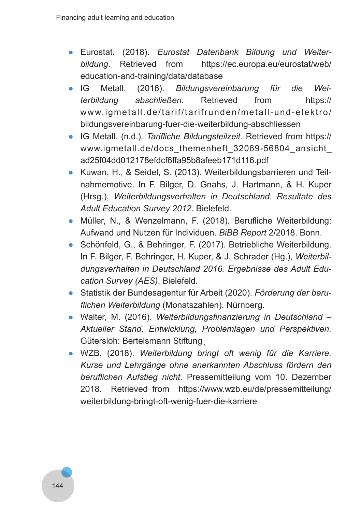- Eurostat. (2018). *Eurostat Datenbank Bildung und Weiter‑ bildung*. Retrieved from https://ec.europa.eu/eurostat/web/ education-and-training/data/database
- IG Metall. (2016). *Bildungsvereinbarung für die Wei‑ terbildung abschließen*. Retrieved from https:// www.igmetall.de/tarif/tarifrunden/metall-und-elektro/ bildungsvereinbarung-fuer-die-weiterbildung-abschliessen
- IG Metall. (n.d.). *Tarifliche Bildungsteilzeit*. Retrieved from https:// www.igmetall.de/docs\_themenheft\_32069-56804\_ansicht\_ ad25f04dd012178efdcf6ffa95b8afeeb171d116.pdf
- Kuwan, H., & Seidel, S. (2013). Weiterbildungsbarrieren und Teilnahmemotive. In F. Bilger, D. Gnahs, J. Hartmann, & H. Kuper (Hrsg.), *Weiterbildungsverhalten in Deutschland. Resultate des Adult Education Survey 2012*. Bielefeld.
- Müller, N., & Wenzelmann, F. (2018). Berufliche Weiterbildung: Aufwand und Nutzen für Individuen. *BiBB Report* 2/2018. Bonn.
- Schönfeld, G., & Behringer, F. (2017). Betriebliche Weiterbildung. In F. Bilger, F. Behringer, H. Kuper, & J. Schrader (Hg.), *Weiterbil‑ dungsverhalten in Deutschland 2016. Ergebnisse des Adult Edu‑ cation Survey (AES)*. Bielefeld.
- Statistik der Bundesagentur für Arbeit (2020). *Förderung der beru‑ flichen Weiterbildung* (Monatszahlen). Nürnberg.
- Walter, M. (2016). *Weiterbildungsfinanzierung in Deutschland – Aktueller Stand, Entwicklung, Problemlagen und Perspektiven.* Gütersloh: Bertelsmann Stiftung .
- WZB. (2018). *Weiterbildung bringt oft wenig für die Karriere. Kurse und Lehrgänge ohne anerkannten Abschluss fördern den beruflichen Aufstieg nicht*. Pressemitteilung vom 10. Dezember 2018. Retrieved from https://www.wzb.eu/de/pressemitteilung/ weiterbildung-bringt-oft-wenig-fuer-die-karriere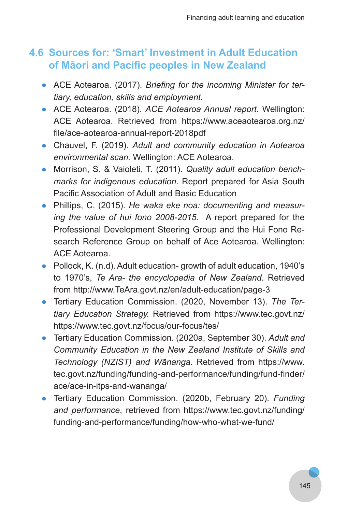## **4.6 Sources for: 'Smart' Investment in Adult Education of Māori and Pacific peoples in New Zealand**

- ACE Aotearoa. (2017). *Briefing for the incoming Minister for ter‑ tiary, education, skills and employment.*
- ACE Aotearoa. (2018). *ACE Aotearoa Annual report*. Wellington: ACE Aotearoa. Retrieved from https://www.aceaotearoa.org.nz/ file/ace-aotearoa-annual-report-2018pdf
- Chauvel, F. (2019). *Adult and community education in Aotearoa environmental scan.* Wellington: ACE Aotearoa.
- Morrison, S. & Vaioleti, T. (2011). *Quality adult education bench‑ marks for indigenous education*. Report prepared for Asia South Pacific Association of Adult and Basic Education
- Phillips, C. (2015). *He waka eke noa: documenting and measur‑ ing the value of hui fono 2008-2015*. A report prepared for the Professional Development Steering Group and the Hui Fono Research Reference Group on behalf of Ace Aotearoa. Wellington: ACE Aotearoa.
- Pollock, K. (n.d). Adult education-growth of adult education, 1940's to 1970's, *Te Ara- the encyclopedia of New Zealand*. Retrieved from http://www.TeAra.govt.nz/en/adult-education/page-3
- Tertiary Education Commission. (2020, November 13). *The Ter‑ tiary Education Strategy.* Retrieved from https://www.tec.govt.nz/ https://www.tec.govt.nz/focus/our-focus/tes/
- Tertiary Education Commission. (2020a, September 30). *Adult and Community Education in the New Zealand Institute of Skills and Technology (NZIST) and Wānanga.* Retrieved from https://www. tec.govt.nz/funding/funding-and-performance/funding/fund-finder/ ace/ace-in-itps-and-wananga/
- Tertiary Education Commission. (2020b, February 20). *Funding and performance*, retrieved from https://www.tec.govt.nz/funding/ funding-and-performance/funding/how-who-what-we-fund/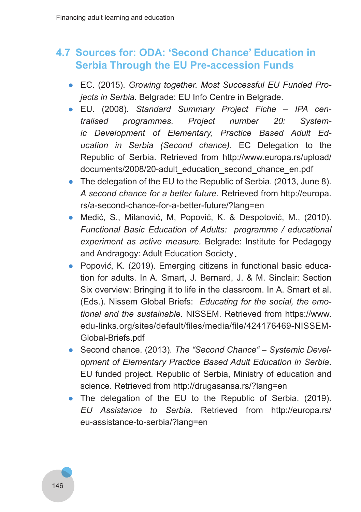## **4.7 Sources for: ODA: 'Second Chance' Education in Serbia Through the EU Pre-accession Funds**

- EC. (2015). *Growing together. Most Successful EU Funded Pro‑ jects in Serbia.* Belgrade: EU Info Centre in Belgrade.
- EU. (2008). *Standard Summary Project Fiche IPA cen‑ tralised programmes. Project number 20: System‑ ic Development of Elementary, Practice Based Adult Ed‑ ucation in Serbia (Second chance).* EC Delegation to the Republic of Serbia. Retrieved from http://www.europa.rs/upload/ documents/2008/20-adult\_education\_second\_chance\_en.pdf
- The delegation of the EU to the Republic of Serbia. (2013, June 8). *A second chance for a better future*. Retrieved from http://europa. rs/a-second-chance-for-a-better-future/?lang=en
- Medić, S., Milanović, M, Popović, K. & Despotović, M., (2010). *Functional Basic Education of Adults: programme / educational experiment as active measure.* Belgrade: Institute for Pedagogy and Andragogy: Adult Education Society .
- Popovi*ć*, K. (2019). Emerging citizens in functional basic education for adults. In A. Smart, J. Bernard, J. & M. Sinclair: Section Six overview: Bringing it to life in the classroom. In A. Smart et al. (Eds.). Nissem Global Briefs: *Educating for the social, the emo‑ tional and the sustainable.* NISSEM. Retrieved from https://www. edu-links.org/sites/default/files/media/file/424176469-NISSEM-Global-Briefs.pdf
- Second chance. (2013). *The "Second Chance" Systemic Devel‑ opment of Elementary Practice Based Adult Education in Serbia*. EU funded project. Republic of Serbia, Ministry of education and science. Retrieved from http://drugasansa.rs/?lang=en
- The delegation of the EU to the Republic of Serbia. (2019). *EU Assistance to Serbia*. Retrieved from http://europa.rs/ eu-assistance-to-serbia/?lang=en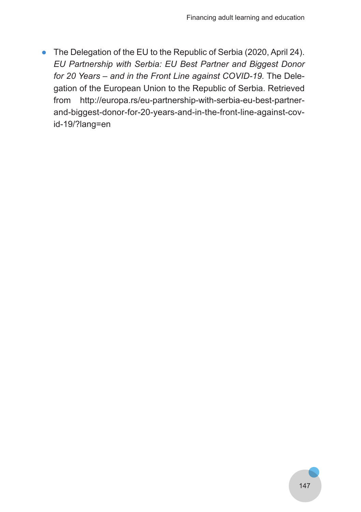● The Delegation of the EU to the Republic of Serbia (2020, April 24). *EU Partnership with Serbia: EU Best Partner and Biggest Donor for 20 Years – and in the Front Line against COVID-19.* The Delegation of the European Union to the Republic of Serbia. Retrieved from http://europa.rs/eu-partnership-with-serbia-eu-best-partnerand-biggest-donor-for-20-years-and-in-the-front-line-against-covid-19/?lang=en

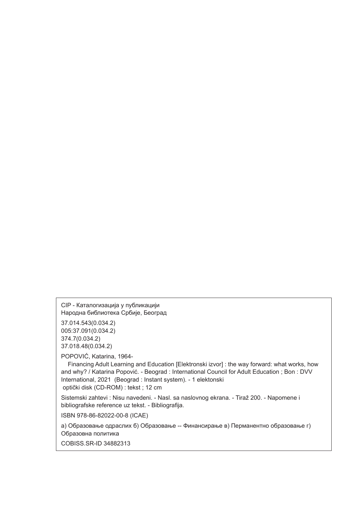CIP - Каталогизација у публикацији Народна библиотека Србије, Београд

37.014.543(0.034.2) 005:37.091(0.034.2) 374.7(0.034.2) 37.018.48(0.034.2)

POPOVIĆ, Katarina, 1964-

 Financing Adult Learning and Education [Elektronski izvor] : the way forward: what works, how and why? / Katarina Popović. - Beograd : International Council for Adult Education ; Bon : DVV International, 2021 (Beograd : Instant system). - 1 elektonski optički disk (CD-ROM) : tekst ; 12 cm

Sistemski zahtevi : Nisu navedeni. - Nasl. sa naslovnog ekrana. - Tiraž 200. - Napomene i bibliografske reference uz tekst. - Bibliografija.

ISBN 978-86-82022-00-8 (ICAE)

а) Образовање одраслих б) Образовање -- Финансирање в) Перманентно образовање г) Обрaзовна политика

COBISS.SR-ID 34882313